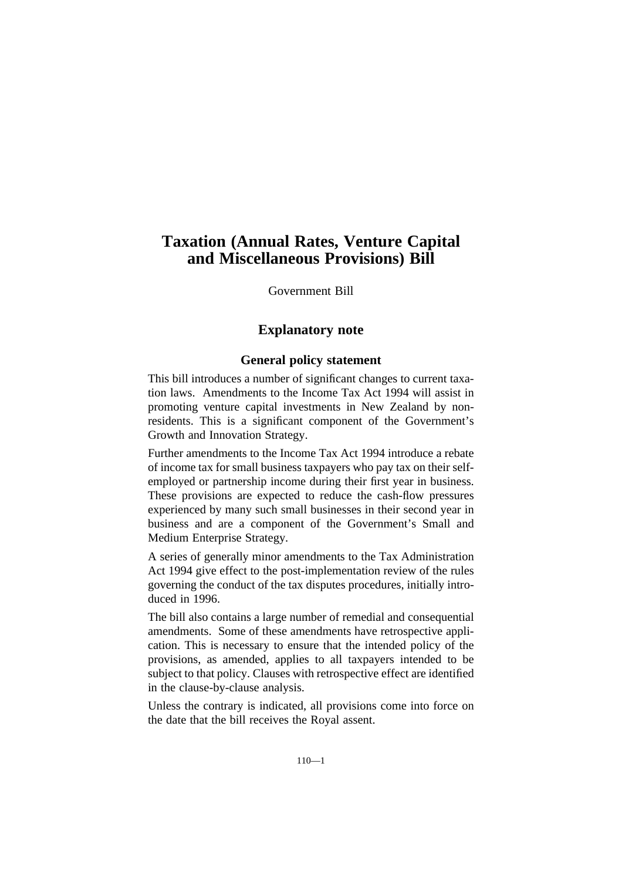# **Taxation (Annual Rates, Venture Capital and Miscellaneous Provisions) Bill**

Government Bill

# **Explanatory note**

# **General policy statement**

This bill introduces a number of significant changes to current taxation laws. Amendments to the Income Tax Act 1994 will assist in promoting venture capital investments in New Zealand by nonresidents. This is a significant component of the Government's Growth and Innovation Strategy.

Further amendments to the Income Tax Act 1994 introduce a rebate of income tax for small business taxpayers who pay tax on their selfemployed or partnership income during their first year in business. These provisions are expected to reduce the cash-flow pressures experienced by many such small businesses in their second year in business and are a component of the Government's Small and Medium Enterprise Strategy.

A series of generally minor amendments to the Tax Administration Act 1994 give effect to the post-implementation review of the rules governing the conduct of the tax disputes procedures, initially introduced in 1996.

The bill also contains a large number of remedial and consequential amendments. Some of these amendments have retrospective application. This is necessary to ensure that the intended policy of the provisions, as amended, applies to all taxpayers intended to be subject to that policy. Clauses with retrospective effect are identified in the clause-by-clause analysis.

Unless the contrary is indicated, all provisions come into force on the date that the bill receives the Royal assent.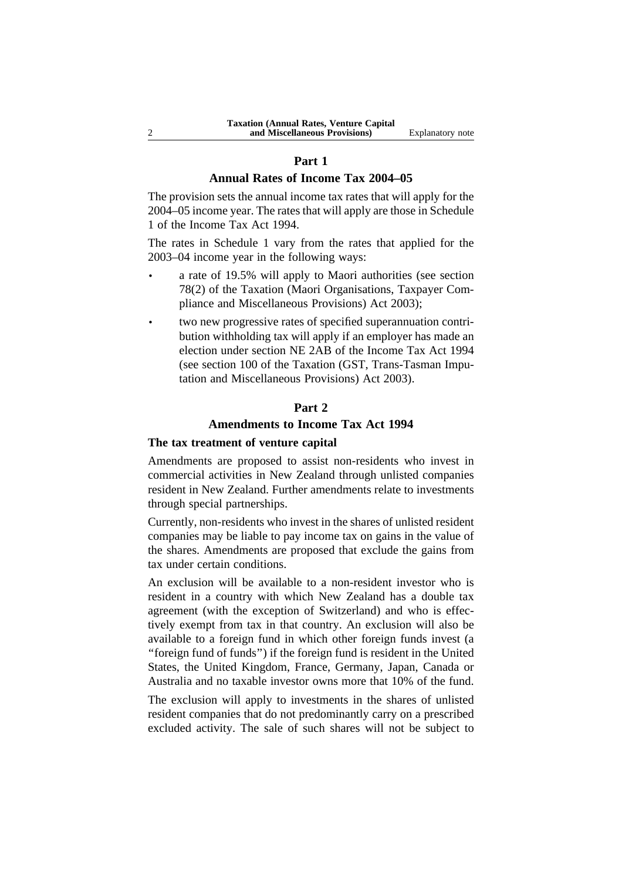#### **Part 1**

# **Annual Rates of Income Tax 2004–05**

The provision sets the annual income tax rates that will apply for the 2004–05 income year. The rates that will apply are those in Schedule 1 of the Income Tax Act 1994.

The rates in Schedule 1 vary from the rates that applied for the 2003–04 income year in the following ways:

- a rate of 19.5% will apply to Maori authorities (see section 78(2) of the Taxation (Maori Organisations, Taxpayer Compliance and Miscellaneous Provisions) Act 2003);
- two new progressive rates of specified superannuation contribution withholding tax will apply if an employer has made an election under section NE 2AB of the Income Tax Act 1994 (see section 100 of the Taxation (GST, Trans-Tasman Imputation and Miscellaneous Provisions) Act 2003).

# **Part 2**

# **Amendments to Income Tax Act 1994**

# **The tax treatment of venture capital**

Amendments are proposed to assist non-residents who invest in commercial activities in New Zealand through unlisted companies resident in New Zealand. Further amendments relate to investments through special partnerships.

Currently, non-residents who invest in the shares of unlisted resident companies may be liable to pay income tax on gains in the value of the shares. Amendments are proposed that exclude the gains from tax under certain conditions.

An exclusion will be available to a non-resident investor who is resident in a country with which New Zealand has a double tax agreement (with the exception of Switzerland) and who is effectively exempt from tax in that country. An exclusion will also be available to a foreign fund in which other foreign funds invest (a ''foreign fund of funds'') if the foreign fund is resident in the United States, the United Kingdom, France, Germany, Japan, Canada or Australia and no taxable investor owns more that 10% of the fund.

The exclusion will apply to investments in the shares of unlisted resident companies that do not predominantly carry on a prescribed excluded activity. The sale of such shares will not be subject to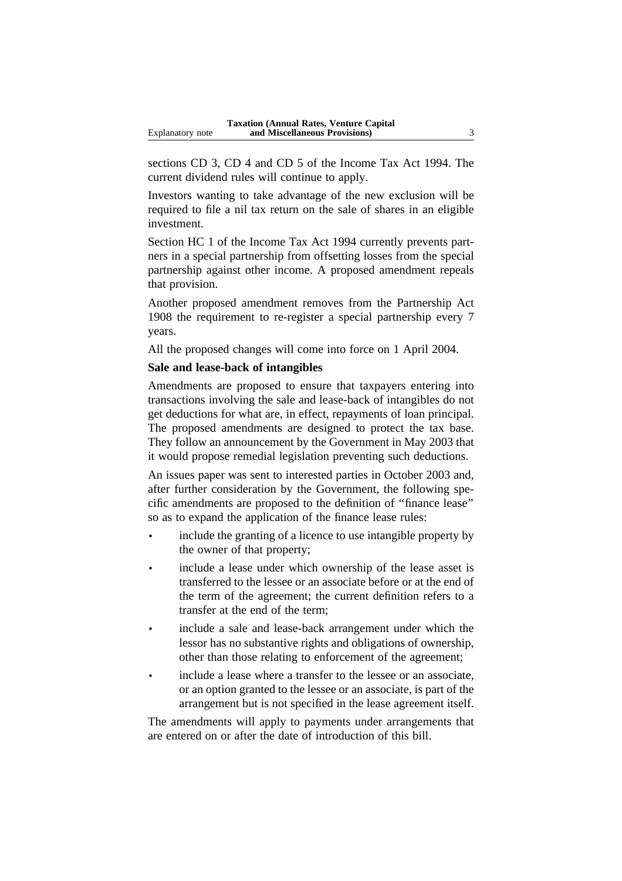sections CD 3, CD 4 and CD 5 of the Income Tax Act 1994. The current dividend rules will continue to apply.

Investors wanting to take advantage of the new exclusion will be required to file a nil tax return on the sale of shares in an eligible investment.

Section HC 1 of the Income Tax Act 1994 currently prevents partners in a special partnership from offsetting losses from the special partnership against other income. A proposed amendment repeals that provision.

Another proposed amendment removes from the Partnership Act 1908 the requirement to re-register a special partnership every 7 years.

All the proposed changes will come into force on 1 April 2004.

# **Sale and lease-back of intangibles**

Amendments are proposed to ensure that taxpayers entering into transactions involving the sale and lease-back of intangibles do not get deductions for what are, in effect, repayments of loan principal. The proposed amendments are designed to protect the tax base. They follow an announcement by the Government in May 2003 that it would propose remedial legislation preventing such deductions.

An issues paper was sent to interested parties in October 2003 and, after further consideration by the Government, the following specific amendments are proposed to the definition of ''finance lease'' so as to expand the application of the finance lease rules:

- include the granting of a licence to use intangible property by the owner of that property;
- include a lease under which ownership of the lease asset is transferred to the lessee or an associate before or at the end of the term of the agreement; the current definition refers to a transfer at the end of the term;
- include a sale and lease-back arrangement under which the lessor has no substantive rights and obligations of ownership, other than those relating to enforcement of the agreement;
- include a lease where a transfer to the lessee or an associate, or an option granted to the lessee or an associate, is part of the arrangement but is not specified in the lease agreement itself.

The amendments will apply to payments under arrangements that are entered on or after the date of introduction of this bill.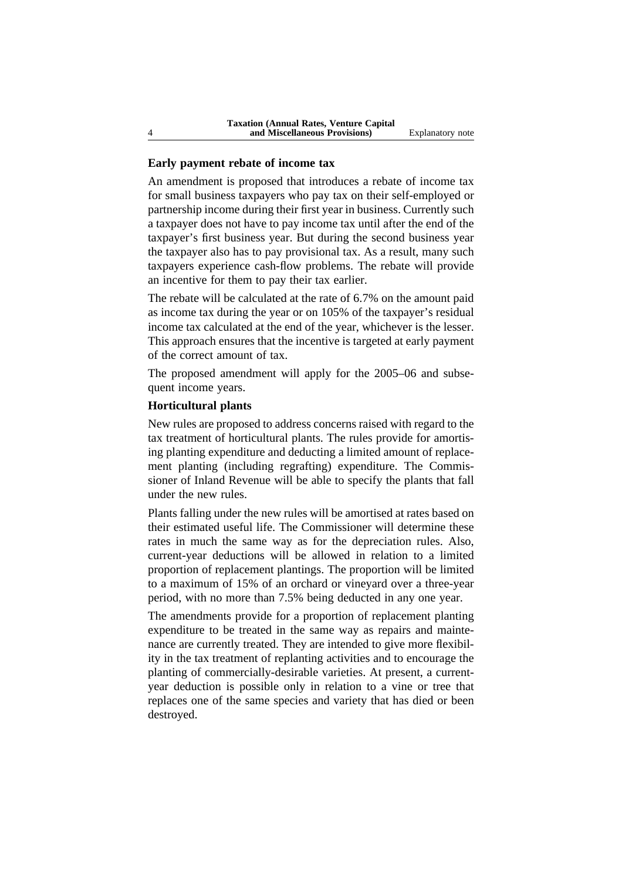#### **Early payment rebate of income tax**

An amendment is proposed that introduces a rebate of income tax for small business taxpayers who pay tax on their self-employed or partnership income during their first year in business. Currently such a taxpayer does not have to pay income tax until after the end of the taxpayer's first business year. But during the second business year the taxpayer also has to pay provisional tax. As a result, many such taxpayers experience cash-flow problems. The rebate will provide an incentive for them to pay their tax earlier.

The rebate will be calculated at the rate of 6.7% on the amount paid as income tax during the year or on 105% of the taxpayer's residual income tax calculated at the end of the year, whichever is the lesser. This approach ensures that the incentive is targeted at early payment of the correct amount of tax.

The proposed amendment will apply for the 2005–06 and subsequent income years.

# **Horticultural plants**

New rules are proposed to address concerns raised with regard to the tax treatment of horticultural plants. The rules provide for amortising planting expenditure and deducting a limited amount of replacement planting (including regrafting) expenditure. The Commissioner of Inland Revenue will be able to specify the plants that fall under the new rules.

Plants falling under the new rules will be amortised at rates based on their estimated useful life. The Commissioner will determine these rates in much the same way as for the depreciation rules. Also, current-year deductions will be allowed in relation to a limited proportion of replacement plantings. The proportion will be limited to a maximum of 15% of an orchard or vineyard over a three-year period, with no more than 7.5% being deducted in any one year.

The amendments provide for a proportion of replacement planting expenditure to be treated in the same way as repairs and maintenance are currently treated. They are intended to give more flexibility in the tax treatment of replanting activities and to encourage the planting of commercially-desirable varieties. At present, a currentyear deduction is possible only in relation to a vine or tree that replaces one of the same species and variety that has died or been destroyed.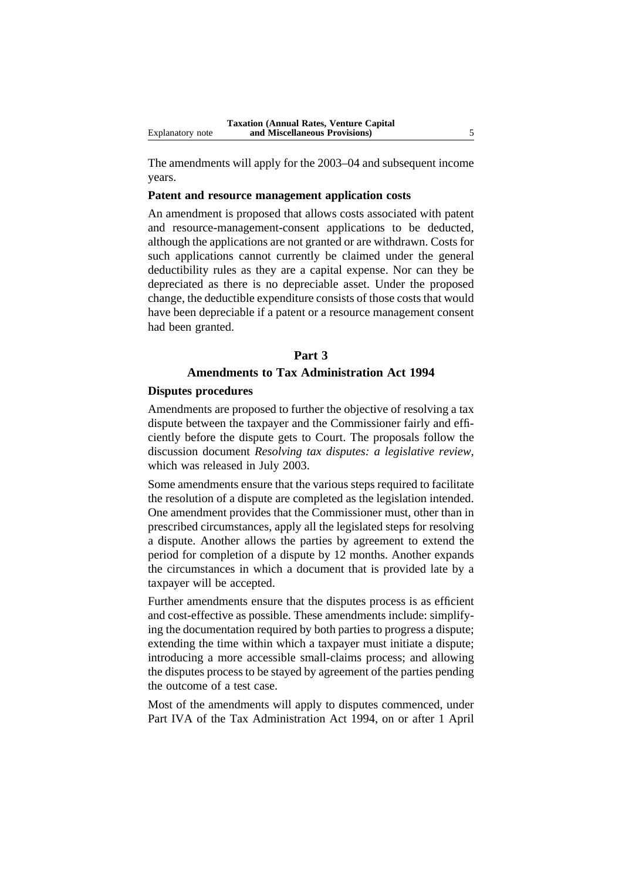The amendments will apply for the 2003–04 and subsequent income years.

# **Patent and resource management application costs**

An amendment is proposed that allows costs associated with patent and resource-management-consent applications to be deducted, although the applications are not granted or are withdrawn. Costs for such applications cannot currently be claimed under the general deductibility rules as they are a capital expense. Nor can they be depreciated as there is no depreciable asset. Under the proposed change, the deductible expenditure consists of those costs that would have been depreciable if a patent or a resource management consent had been granted.

#### **Part 3**

# **Amendments to Tax Administration Act 1994**

#### **Disputes procedures**

Amendments are proposed to further the objective of resolving a tax dispute between the taxpayer and the Commissioner fairly and efficiently before the dispute gets to Court. The proposals follow the discussion document *Resolving tax disputes: a legislative review*, which was released in July 2003.

Some amendments ensure that the various steps required to facilitate the resolution of a dispute are completed as the legislation intended. One amendment provides that the Commissioner must, other than in prescribed circumstances, apply all the legislated steps for resolving a dispute. Another allows the parties by agreement to extend the period for completion of a dispute by 12 months. Another expands the circumstances in which a document that is provided late by a taxpayer will be accepted.

Further amendments ensure that the disputes process is as efficient and cost-effective as possible. These amendments include: simplifying the documentation required by both parties to progress a dispute; extending the time within which a taxpayer must initiate a dispute; introducing a more accessible small-claims process; and allowing the disputes process to be stayed by agreement of the parties pending the outcome of a test case.

Most of the amendments will apply to disputes commenced, under Part IVA of the Tax Administration Act 1994, on or after 1 April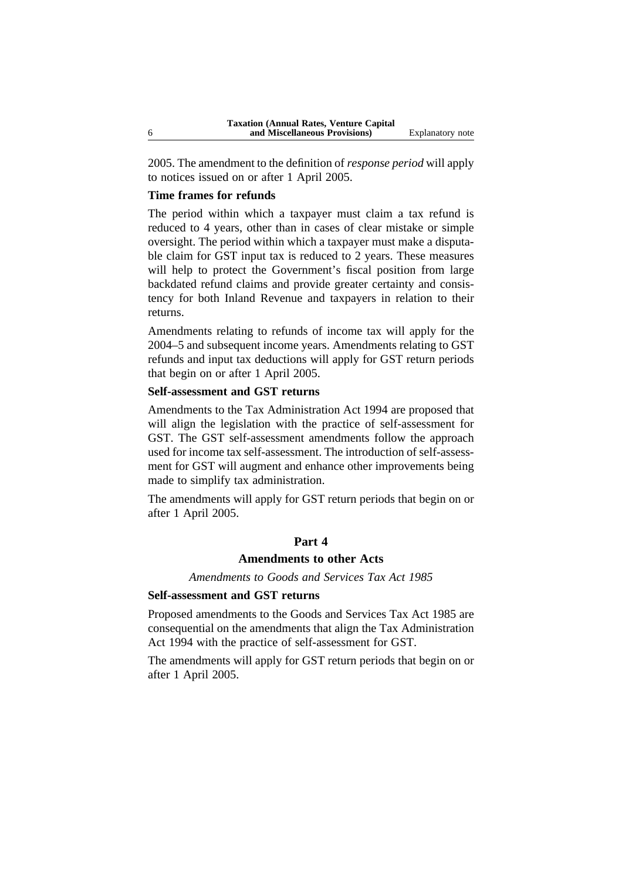2005. The amendment to the definition of *response period* will apply to notices issued on or after 1 April 2005.

# **Time frames for refunds**

The period within which a taxpayer must claim a tax refund is reduced to 4 years, other than in cases of clear mistake or simple oversight. The period within which a taxpayer must make a disputable claim for GST input tax is reduced to 2 years. These measures will help to protect the Government's fiscal position from large backdated refund claims and provide greater certainty and consistency for both Inland Revenue and taxpayers in relation to their returns.

Amendments relating to refunds of income tax will apply for the 2004–5 and subsequent income years. Amendments relating to GST refunds and input tax deductions will apply for GST return periods that begin on or after 1 April 2005.

# **Self-assessment and GST returns**

Amendments to the Tax Administration Act 1994 are proposed that will align the legislation with the practice of self-assessment for GST. The GST self-assessment amendments follow the approach used for income tax self-assessment. The introduction of self-assessment for GST will augment and enhance other improvements being made to simplify tax administration.

The amendments will apply for GST return periods that begin on or after 1 April 2005.

### **Part 4**

# **Amendments to other Acts**

*Amendments to Goods and Services Tax Act 1985*

# **Self-assessment and GST returns**

Proposed amendments to the Goods and Services Tax Act 1985 are consequential on the amendments that align the Tax Administration Act 1994 with the practice of self-assessment for GST.

The amendments will apply for GST return periods that begin on or after 1 April 2005.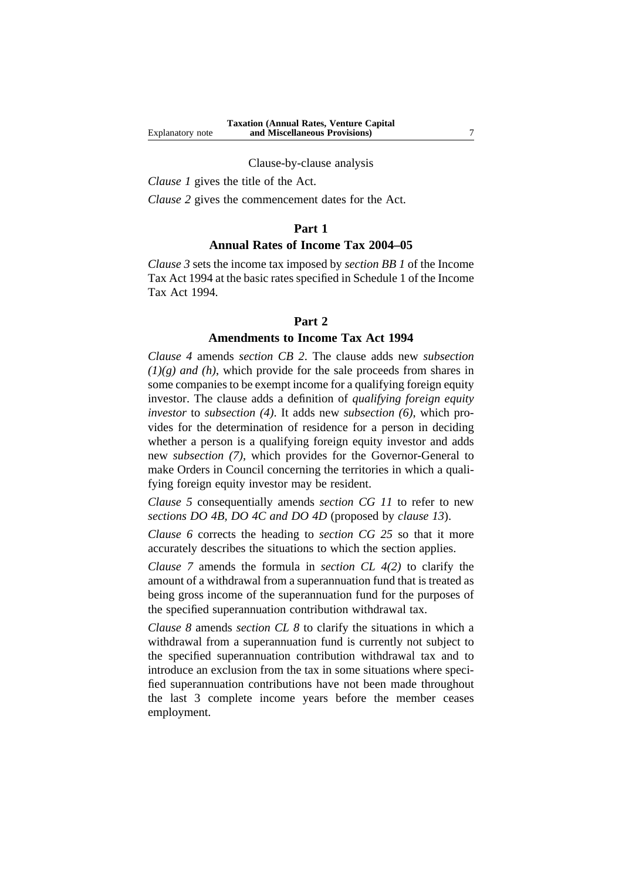#### Clause-by-clause analysis

*Clause 1* gives the title of the Act.

*Clause 2* gives the commencement dates for the Act.

#### **Part 1**

# **Annual Rates of Income Tax 2004–05**

*Clause 3* sets the income tax imposed by *section BB 1* of the Income Tax Act 1994 at the basic rates specified in Schedule 1 of the Income Tax Act 1994.

#### **Part 2**

#### **Amendments to Income Tax Act 1994**

*Clause 4* amends *section CB 2*. The clause adds new *subsection (1)(g) and (h)*, which provide for the sale proceeds from shares in some companies to be exempt income for a qualifying foreign equity investor. The clause adds a definition of *qualifying foreign equity investor* to *subsection (4)*. It adds new *subsection (6)*, which provides for the determination of residence for a person in deciding whether a person is a qualifying foreign equity investor and adds new *subsection (7)*, which provides for the Governor-General to make Orders in Council concerning the territories in which a qualifying foreign equity investor may be resident.

*Clause 5* consequentially amends *section CG 11* to refer to new *sections DO 4B, DO 4C and DO 4D* (proposed by *clause 13*).

*Clause 6* corrects the heading to *section CG 25* so that it more accurately describes the situations to which the section applies.

*Clause 7* amends the formula in *section CL 4(2)* to clarify the amount of a withdrawal from a superannuation fund that is treated as being gross income of the superannuation fund for the purposes of the specified superannuation contribution withdrawal tax.

*Clause 8* amends *section CL 8* to clarify the situations in which a withdrawal from a superannuation fund is currently not subject to the specified superannuation contribution withdrawal tax and to introduce an exclusion from the tax in some situations where specified superannuation contributions have not been made throughout the last 3 complete income years before the member ceases employment.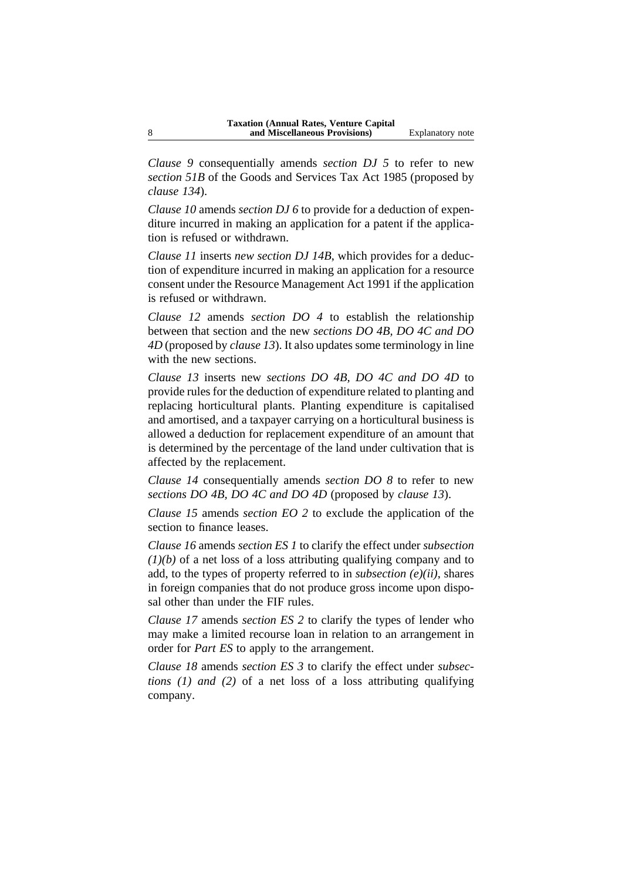*Clause 9* consequentially amends *section DJ 5* to refer to new *section 51B* of the Goods and Services Tax Act 1985 (proposed by *clause 134*).

*Clause 10* amends *section DJ 6* to provide for a deduction of expenditure incurred in making an application for a patent if the application is refused or withdrawn.

*Clause 11* inserts *new section DJ 14B*, which provides for a deduction of expenditure incurred in making an application for a resource consent under the Resource Management Act 1991 if the application is refused or withdrawn.

*Clause 12* amends *section DO 4* to establish the relationship between that section and the new *sections DO 4B, DO 4C and DO 4D* (proposed by *clause 13*). It also updates some terminology in line with the new sections.

*Clause 13* inserts new *sections DO 4B, DO 4C and DO 4D* to provide rules for the deduction of expenditure related to planting and replacing horticultural plants. Planting expenditure is capitalised and amortised, and a taxpayer carrying on a horticultural business is allowed a deduction for replacement expenditure of an amount that is determined by the percentage of the land under cultivation that is affected by the replacement.

*Clause 14* consequentially amends *section DO 8* to refer to new *sections DO 4B, DO 4C and DO 4D* (proposed by *clause 13*).

*Clause 15* amends *section EO 2* to exclude the application of the section to finance leases.

*Clause 16* amends *section ES 1* to clarify the effect under *subsection (1)(b)* of a net loss of a loss attributing qualifying company and to add, to the types of property referred to in *subsection (e)(ii)*, shares in foreign companies that do not produce gross income upon disposal other than under the FIF rules.

*Clause 17* amends *section ES 2* to clarify the types of lender who may make a limited recourse loan in relation to an arrangement in order for *Part ES* to apply to the arrangement.

*Clause 18* amends *section ES 3* to clarify the effect under *subsections (1) and (2)* of a net loss of a loss attributing qualifying company.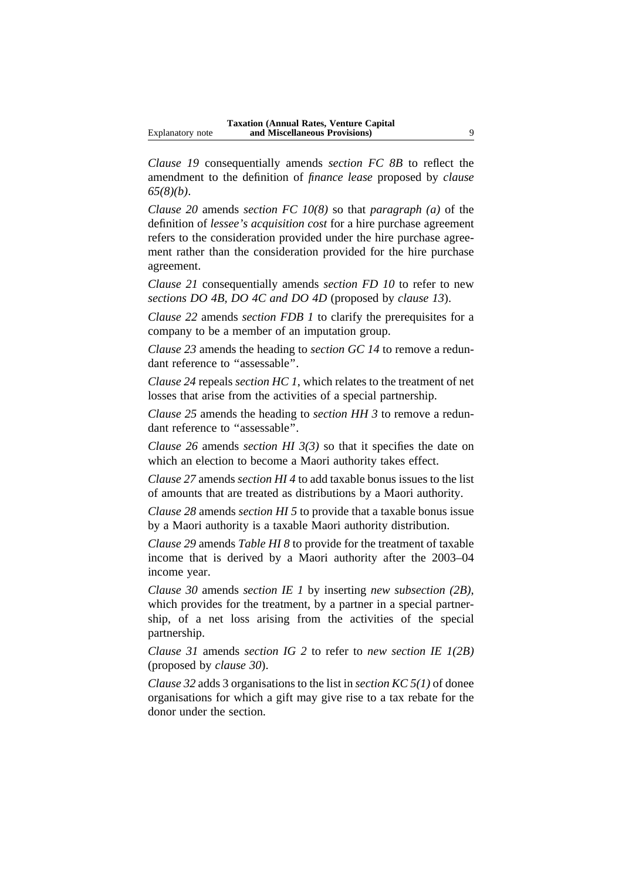*Clause 19* consequentially amends *section FC 8B* to reflect the amendment to the definition of *finance lease* proposed by *clause 65(8)(b)*.

*Clause 20* amends *section FC 10(8)* so that *paragraph (a)* of the definition of *lessee's acquisition cost* for a hire purchase agreement refers to the consideration provided under the hire purchase agreement rather than the consideration provided for the hire purchase agreement.

*Clause 21* consequentially amends *section FD 10* to refer to new *sections DO 4B, DO 4C and DO 4D* (proposed by *clause 13*).

*Clause 22* amends *section FDB 1* to clarify the prerequisites for a company to be a member of an imputation group.

*Clause 23* amends the heading to *section GC 14* to remove a redundant reference to "assessable".

*Clause 24* repeals *section HC 1*, which relates to the treatment of net losses that arise from the activities of a special partnership.

*Clause 25* amends the heading to *section HH 3* to remove a redundant reference to "assessable".

*Clause 26* amends *section HI 3(3)* so that it specifies the date on which an election to become a Maori authority takes effect.

*Clause 27* amends *section HI 4* to add taxable bonus issues to the list of amounts that are treated as distributions by a Maori authority.

*Clause 28* amends *section HI 5* to provide that a taxable bonus issue by a Maori authority is a taxable Maori authority distribution.

*Clause 29* amends *Table HI 8* to provide for the treatment of taxable income that is derived by a Maori authority after the 2003–04 income year.

*Clause 30* amends *section IE 1* by inserting *new subsection (2B)*, which provides for the treatment, by a partner in a special partnership, of a net loss arising from the activities of the special partnership.

*Clause 31* amends *section IG 2* to refer to *new section IE 1(2B)* (proposed by *clause 30*).

*Clause 32* adds 3 organisations to the list in *section KC 5(1)* of donee organisations for which a gift may give rise to a tax rebate for the donor under the section.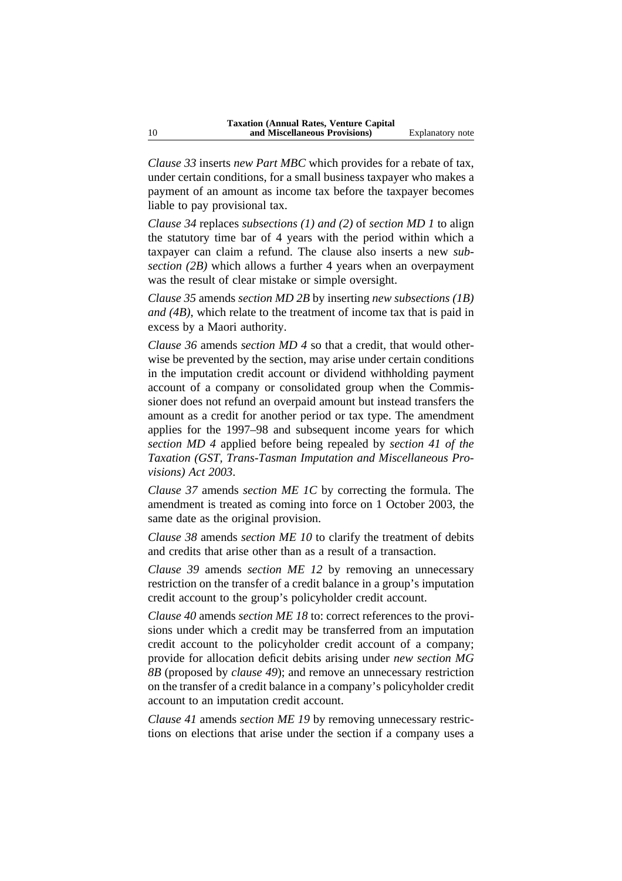*Clause 33* inserts *new Part MBC* which provides for a rebate of tax, under certain conditions, for a small business taxpayer who makes a payment of an amount as income tax before the taxpayer becomes liable to pay provisional tax.

*Clause 34* replaces *subsections (1) and (2)* of *section MD 1* to align the statutory time bar of 4 years with the period within which a taxpayer can claim a refund. The clause also inserts a new *subsection (2B)* which allows a further 4 years when an overpayment was the result of clear mistake or simple oversight.

*Clause 35* amends *section MD 2B* by inserting *new subsections (1B) and (4B)*, which relate to the treatment of income tax that is paid in excess by a Maori authority.

*Clause 36* amends *section MD 4* so that a credit, that would otherwise be prevented by the section, may arise under certain conditions in the imputation credit account or dividend withholding payment account of a company or consolidated group when the Commissioner does not refund an overpaid amount but instead transfers the amount as a credit for another period or tax type. The amendment applies for the 1997–98 and subsequent income years for which *section MD 4* applied before being repealed by *section 41 of the Taxation (GST, Trans-Tasman Imputation and Miscellaneous Provisions) Act 2003*.

*Clause 37* amends *section ME 1C* by correcting the formula. The amendment is treated as coming into force on 1 October 2003, the same date as the original provision.

*Clause 38* amends *section ME 10* to clarify the treatment of debits and credits that arise other than as a result of a transaction.

*Clause 39* amends *section ME 12* by removing an unnecessary restriction on the transfer of a credit balance in a group's imputation credit account to the group's policyholder credit account.

*Clause 40* amends *section ME 18* to: correct references to the provisions under which a credit may be transferred from an imputation credit account to the policyholder credit account of a company; provide for allocation deficit debits arising under *new section MG 8B* (proposed by *clause 49*); and remove an unnecessary restriction on the transfer of a credit balance in a company's policyholder credit account to an imputation credit account.

*Clause 41* amends *section ME 19* by removing unnecessary restrictions on elections that arise under the section if a company uses a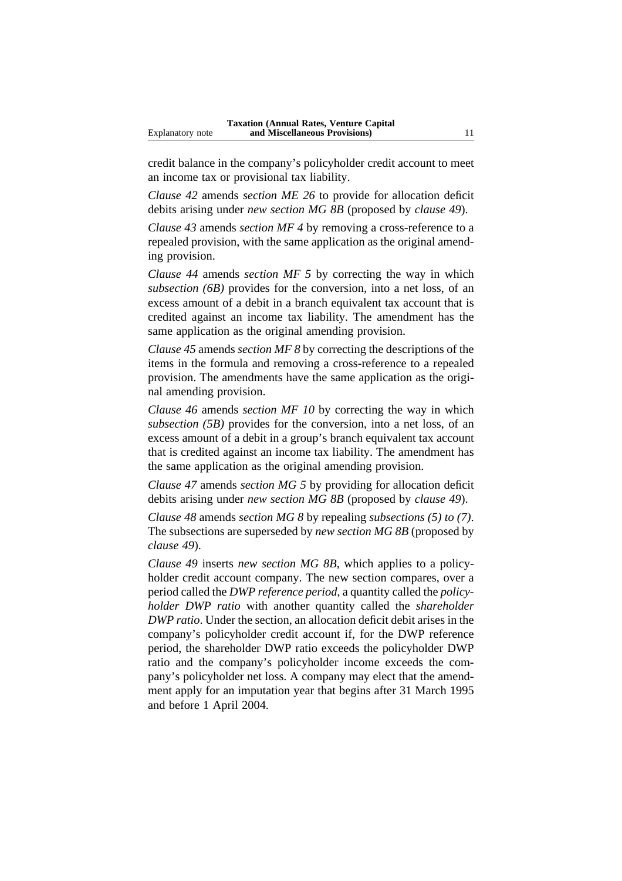credit balance in the company's policyholder credit account to meet an income tax or provisional tax liability.

*Clause 42* amends *section ME 26* to provide for allocation deficit debits arising under *new section MG 8B* (proposed by *clause 49*).

*Clause 43* amends *section MF 4* by removing a cross-reference to a repealed provision, with the same application as the original amending provision.

*Clause 44* amends *section MF 5* by correcting the way in which *subsection (6B)* provides for the conversion, into a net loss, of an excess amount of a debit in a branch equivalent tax account that is credited against an income tax liability. The amendment has the same application as the original amending provision.

*Clause 45* amends *section MF 8* by correcting the descriptions of the items in the formula and removing a cross-reference to a repealed provision. The amendments have the same application as the original amending provision.

*Clause 46* amends *section MF 10* by correcting the way in which *subsection (5B)* provides for the conversion, into a net loss, of an excess amount of a debit in a group's branch equivalent tax account that is credited against an income tax liability. The amendment has the same application as the original amending provision.

*Clause 47* amends *section MG 5* by providing for allocation deficit debits arising under *new section MG 8B* (proposed by *clause 49*).

*Clause 48* amends *section MG 8* by repealing *subsections (5) to (7)*. The subsections are superseded by *new section MG 8B* (proposed by *clause 49*).

*Clause 49* inserts *new section MG 8B*, which applies to a policyholder credit account company. The new section compares, over a period called the *DWP reference period*, a quantity called the *policyholder DWP ratio* with another quantity called the *shareholder DWP ratio*. Under the section, an allocation deficit debit arises in the company's policyholder credit account if, for the DWP reference period, the shareholder DWP ratio exceeds the policyholder DWP ratio and the company's policyholder income exceeds the company's policyholder net loss. A company may elect that the amendment apply for an imputation year that begins after 31 March 1995 and before 1 April 2004.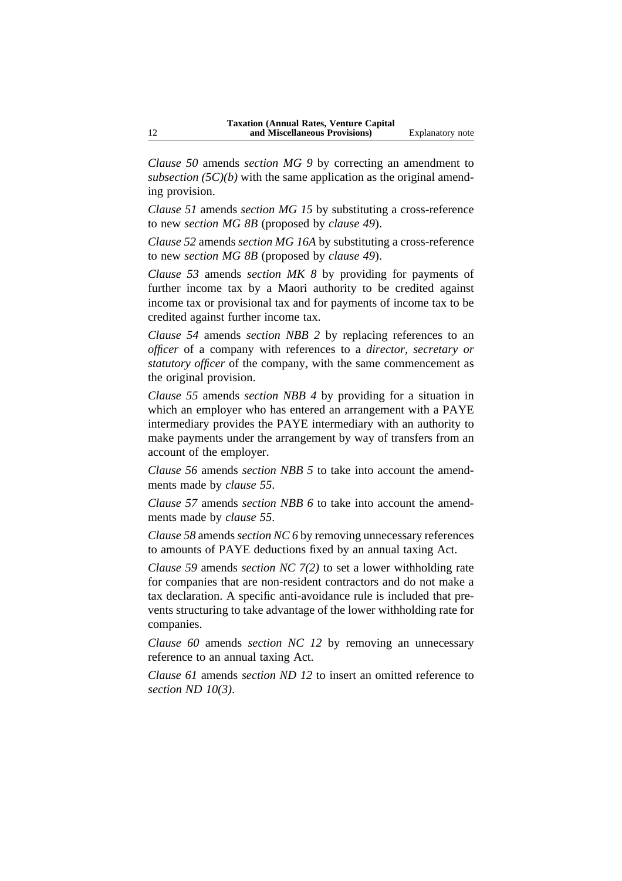*Clause 50* amends *section MG 9* by correcting an amendment to *subsection (5C)(b)* with the same application as the original amending provision.

*Clause 51* amends *section MG 15* by substituting a cross-reference to new *section MG 8B* (proposed by *clause 49*).

*Clause 52* amends *section MG 16A* by substituting a cross-reference to new *section MG 8B* (proposed by *clause 49*).

*Clause 53* amends *section MK 8* by providing for payments of further income tax by a Maori authority to be credited against income tax or provisional tax and for payments of income tax to be credited against further income tax.

*Clause 54* amends *section NBB 2* by replacing references to an *officer* of a company with references to a *director, secretary or statutory officer* of the company, with the same commencement as the original provision.

*Clause 55* amends *section NBB 4* by providing for a situation in which an employer who has entered an arrangement with a PAYE intermediary provides the PAYE intermediary with an authority to make payments under the arrangement by way of transfers from an account of the employer.

*Clause 56* amends *section NBB 5* to take into account the amendments made by *clause 55*.

*Clause 57* amends *section NBB 6* to take into account the amendments made by *clause 55*.

*Clause 58* amends *section NC 6* by removing unnecessary references to amounts of PAYE deductions fixed by an annual taxing Act.

*Clause 59* amends *section NC 7(2)* to set a lower withholding rate for companies that are non-resident contractors and do not make a tax declaration. A specific anti-avoidance rule is included that prevents structuring to take advantage of the lower withholding rate for companies.

*Clause 60* amends *section NC 12* by removing an unnecessary reference to an annual taxing Act.

*Clause 61* amends *section ND 12* to insert an omitted reference to *section ND 10(3)*.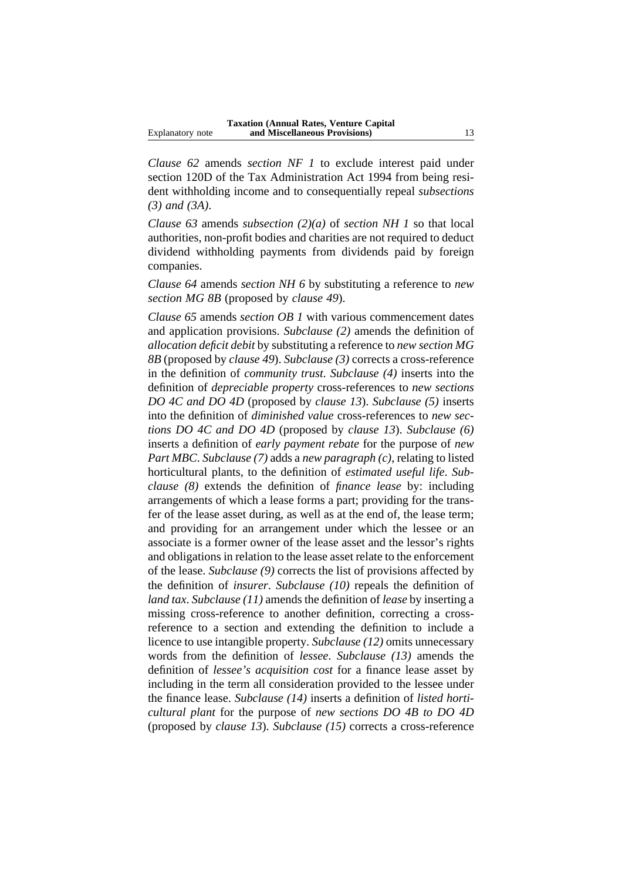*Clause 62* amends *section NF 1* to exclude interest paid under section 120D of the Tax Administration Act 1994 from being resident withholding income and to consequentially repeal *subsections (3) and (3A)*.

*Clause 63* amends *subsection (2)(a)* of *section NH 1* so that local authorities, non-profit bodies and charities are not required to deduct dividend withholding payments from dividends paid by foreign companies.

*Clause 64* amends *section NH 6* by substituting a reference to *new section MG 8B* (proposed by *clause 49*).

*Clause 65* amends *section OB 1* with various commencement dates and application provisions. *Subclause (2)* amends the definition of *allocation deficit debit* by substituting a reference to *new section MG 8B* (proposed by *clause 49*). *Subclause (3)* corrects a cross-reference in the definition of *community trust*. *Subclause (4)* inserts into the definition of *depreciable property* cross-references to *new sections DO 4C and DO 4D* (proposed by *clause 13*). *Subclause (5)* inserts into the definition of *diminished value* cross-references to *new sections DO 4C and DO 4D* (proposed by *clause 13*). *Subclause (6)* inserts a definition of *early payment rebate* for the purpose of *new Part MBC*. *Subclause (7)* adds a *new paragraph (c)*, relating to listed horticultural plants, to the definition of *estimated useful life*. *Subclause (8)* extends the definition of *finance lease* by: including arrangements of which a lease forms a part; providing for the transfer of the lease asset during, as well as at the end of, the lease term; and providing for an arrangement under which the lessee or an associate is a former owner of the lease asset and the lessor's rights and obligations in relation to the lease asset relate to the enforcement of the lease. *Subclause (9)* corrects the list of provisions affected by the definition of *insurer*. *Subclause (10)* repeals the definition of *land tax*. *Subclause (11)* amends the definition of *lease* by inserting a missing cross-reference to another definition, correcting a crossreference to a section and extending the definition to include a licence to use intangible property. *Subclause (12)* omits unnecessary words from the definition of *lessee*. *Subclause (13)* amends the definition of *lessee's acquisition cost* for a finance lease asset by including in the term all consideration provided to the lessee under the finance lease. *Subclause (14)* inserts a definition of *listed horticultural plant* for the purpose of *new sections DO 4B to DO 4D* (proposed by *clause 13*). *Subclause (15)* corrects a cross-reference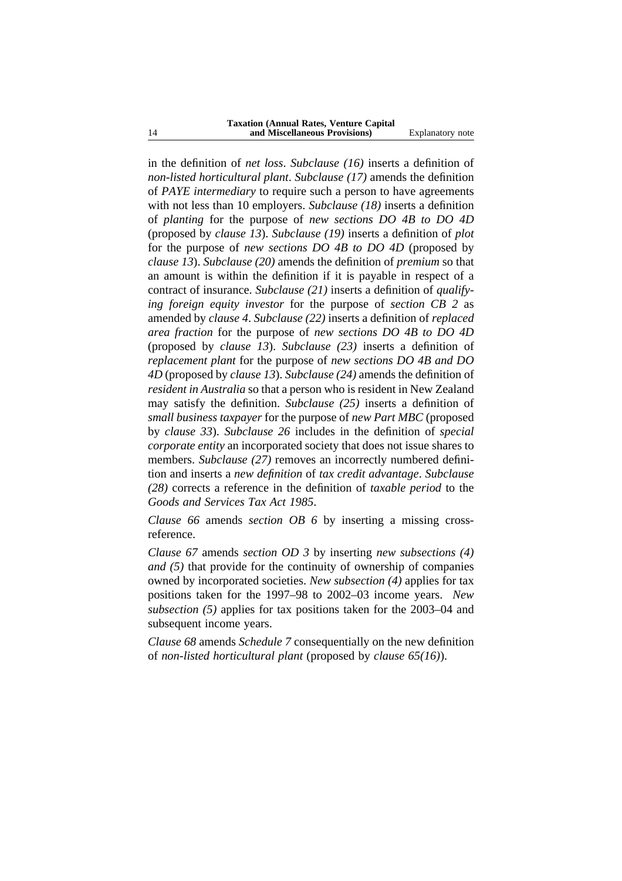in the definition of *net loss*. *Subclause (16)* inserts a definition of *non-listed horticultural plant*. *Subclause (17)* amends the definition of *PAYE intermediary* to require such a person to have agreements with not less than 10 employers. *Subclause (18)* inserts a definition of *planting* for the purpose of *new sections DO 4B to DO 4D* (proposed by *clause 13*). *Subclause (19)* inserts a definition of *plot* for the purpose of *new sections DO 4B to DO 4D* (proposed by *clause 13*). *Subclause (20)* amends the definition of *premium* so that an amount is within the definition if it is payable in respect of a contract of insurance. *Subclause (21)* inserts a definition of *qualifying foreign equity investor* for the purpose of *section CB 2* as amended by *clause 4*. *Subclause (22)* inserts a definition of *replaced area fraction* for the purpose of *new sections DO 4B to DO 4D* (proposed by *clause 13*). *Subclause (23)* inserts a definition of *replacement plant* for the purpose of *new sections DO 4B and DO 4D* (proposed by *clause 13*). *Subclause (24)* amends the definition of *resident in Australia* so that a person who is resident in New Zealand may satisfy the definition. *Subclause (25)* inserts a definition of *small business taxpayer* for the purpose of *new Part MBC* (proposed by *clause 33*). *Subclause 26* includes in the definition of *special corporate entity* an incorporated society that does not issue shares to members. *Subclause* (27) removes an incorrectly numbered definition and inserts a *new definition* of *tax credit advantage*. *Subclause (28)* corrects a reference in the definition of *taxable period* to the *Goods and Services Tax Act 1985*.

*Clause 66* amends *section OB 6* by inserting a missing crossreference.

*Clause 67* amends *section OD 3* by inserting *new subsections (4) and (5)* that provide for the continuity of ownership of companies owned by incorporated societies. *New subsection (4)* applies for tax positions taken for the 1997–98 to 2002–03 income years. *New subsection (5)* applies for tax positions taken for the 2003–04 and subsequent income years.

*Clause 68* amends *Schedule 7* consequentially on the new definition of *non-listed horticultural plant* (proposed by *clause 65(16)*).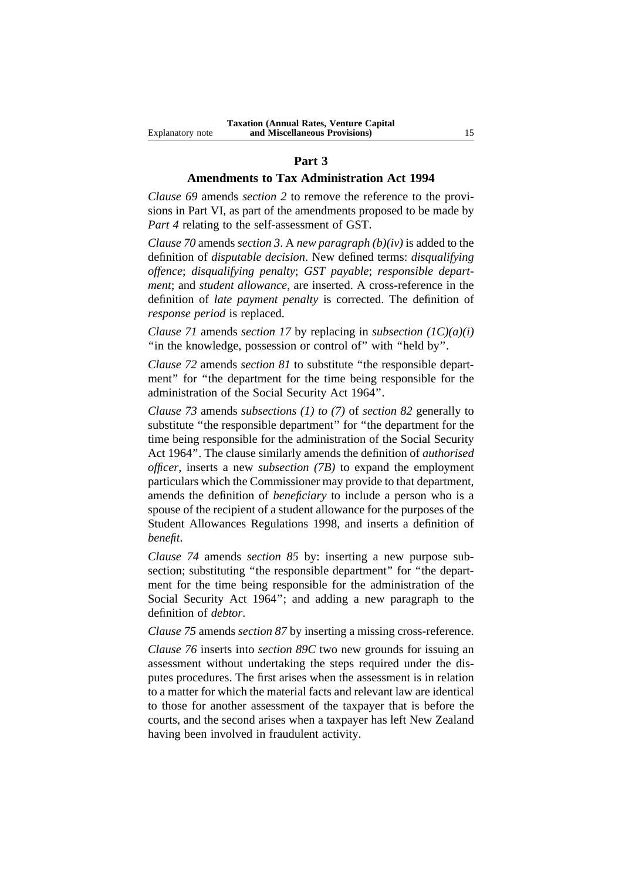#### **Part 3**

## **Amendments to Tax Administration Act 1994**

*Clause 69* amends *section 2* to remove the reference to the provisions in Part VI, as part of the amendments proposed to be made by *Part 4* relating to the self-assessment of GST.

*Clause 70* amends *section 3*. A *new paragraph (b)(iv)* is added to the definition of *disputable decision*. New defined terms: *disqualifying offence*; *disqualifying penalty*; *GST payable*; *responsible department*; and *student allowance*, are inserted. A cross-reference in the definition of *late payment penalty* is corrected. The definition of *response period* is replaced.

*Clause 71* amends *section 17* by replacing in *subsection (1C)(a)(i)* "in the knowledge, possession or control of" with "held by".

*Clause 72* amends *section 81* to substitute ''the responsible department" for "the department for the time being responsible for the administration of the Social Security Act 1964''.

*Clause 73* amends *subsections (1) to (7)* of *section 82* generally to substitute ''the responsible department'' for ''the department for the time being responsible for the administration of the Social Security Act 1964''. The clause similarly amends the definition of *authorised officer*, inserts a new *subsection (7B)* to expand the employment particulars which the Commissioner may provide to that department, amends the definition of *beneficiary* to include a person who is a spouse of the recipient of a student allowance for the purposes of the Student Allowances Regulations 1998, and inserts a definition of *benefit*.

*Clause 74* amends *section 85* by: inserting a new purpose subsection; substituting "the responsible department" for "the department for the time being responsible for the administration of the Social Security Act 1964''; and adding a new paragraph to the definition of *debtor*.

*Clause 75* amends *section 87* by inserting a missing cross-reference.

*Clause 76* inserts into *section 89C* two new grounds for issuing an assessment without undertaking the steps required under the disputes procedures. The first arises when the assessment is in relation to a matter for which the material facts and relevant law are identical to those for another assessment of the taxpayer that is before the courts, and the second arises when a taxpayer has left New Zealand having been involved in fraudulent activity.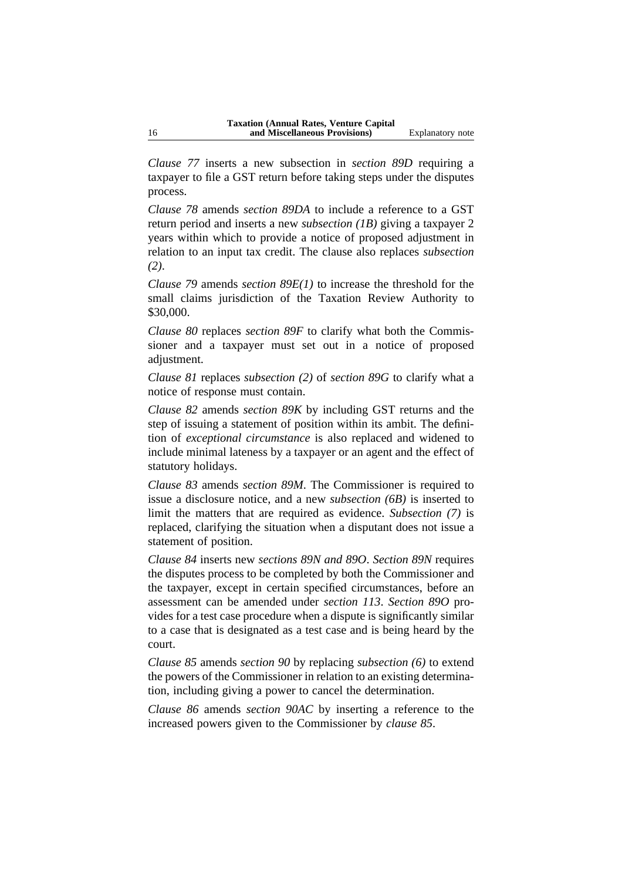*Clause 77* inserts a new subsection in *section 89D* requiring a taxpayer to file a GST return before taking steps under the disputes process.

*Clause 78* amends *section 89DA* to include a reference to a GST return period and inserts a new *subsection (1B)* giving a taxpayer 2 years within which to provide a notice of proposed adjustment in relation to an input tax credit. The clause also replaces *subsection (2)*.

*Clause 79* amends *section 89E(1)* to increase the threshold for the small claims jurisdiction of the Taxation Review Authority to \$30,000.

*Clause 80* replaces *section 89F* to clarify what both the Commissioner and a taxpayer must set out in a notice of proposed adjustment.

*Clause 81* replaces *subsection (2)* of *section 89G* to clarify what a notice of response must contain.

*Clause 82* amends *section 89K* by including GST returns and the step of issuing a statement of position within its ambit. The definition of *exceptional circumstance* is also replaced and widened to include minimal lateness by a taxpayer or an agent and the effect of statutory holidays.

*Clause 83* amends *section 89M*. The Commissioner is required to issue a disclosure notice, and a new *subsection (6B)* is inserted to limit the matters that are required as evidence. *Subsection (7)* is replaced, clarifying the situation when a disputant does not issue a statement of position.

*Clause 84* inserts new *sections 89N and 89O*. *Section 89N* requires the disputes process to be completed by both the Commissioner and the taxpayer, except in certain specified circumstances, before an assessment can be amended under *section 113*. *Section 89O* provides for a test case procedure when a dispute is significantly similar to a case that is designated as a test case and is being heard by the court.

*Clause 85* amends *section 90* by replacing *subsection (6)* to extend the powers of the Commissioner in relation to an existing determination, including giving a power to cancel the determination.

*Clause 86* amends *section 90AC* by inserting a reference to the increased powers given to the Commissioner by *clause 85*.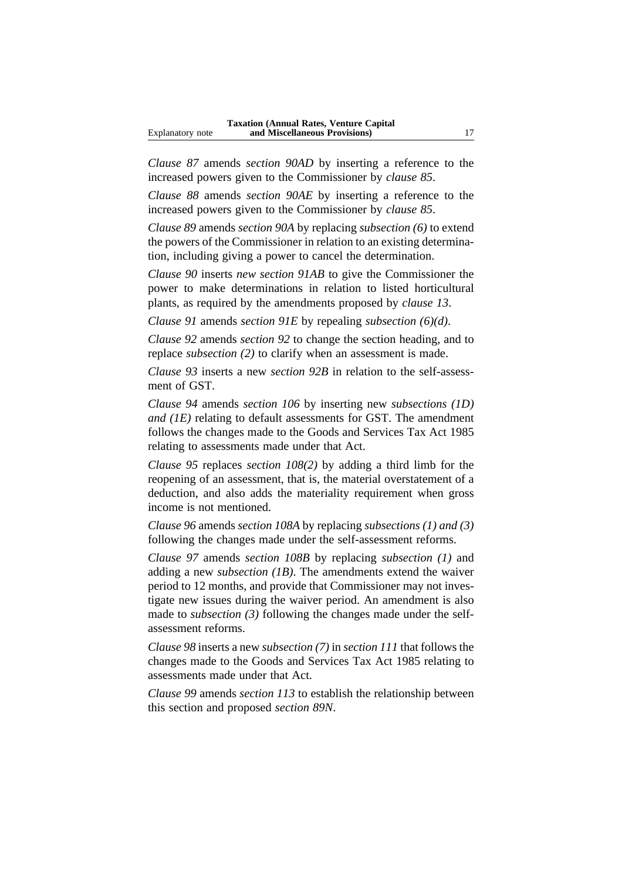*Clause 87* amends *section 90AD* by inserting a reference to the increased powers given to the Commissioner by *clause 85*.

*Clause 88* amends *section 90AE* by inserting a reference to the increased powers given to the Commissioner by *clause 85*.

*Clause 89* amends *section 90A* by replacing *subsection (6)* to extend the powers of the Commissioner in relation to an existing determination, including giving a power to cancel the determination.

*Clause 90* inserts *new section 91AB* to give the Commissioner the power to make determinations in relation to listed horticultural plants, as required by the amendments proposed by *clause 13*.

*Clause 91* amends *section 91E* by repealing *subsection (6)(d)*.

*Clause 92* amends *section 92* to change the section heading, and to replace *subsection (2)* to clarify when an assessment is made.

*Clause 93* inserts a new *section 92B* in relation to the self-assessment of GST.

*Clause 94* amends *section 106* by inserting new *subsections (1D) and (1E)* relating to default assessments for GST. The amendment follows the changes made to the Goods and Services Tax Act 1985 relating to assessments made under that Act.

*Clause 95* replaces *section 108(2)* by adding a third limb for the reopening of an assessment, that is, the material overstatement of a deduction, and also adds the materiality requirement when gross income is not mentioned.

*Clause 96* amends *section 108A* by replacing *subsections (1) and (3)* following the changes made under the self-assessment reforms.

*Clause 97* amends *section 108B* by replacing *subsection (1)* and adding a new *subsection (1B)*. The amendments extend the waiver period to 12 months, and provide that Commissioner may not investigate new issues during the waiver period. An amendment is also made to *subsection (3)* following the changes made under the selfassessment reforms.

*Clause 98* inserts a new *subsection (7)* in *section 111* that follows the changes made to the Goods and Services Tax Act 1985 relating to assessments made under that Act.

*Clause 99* amends *section 113* to establish the relationship between this section and proposed *section 89N*.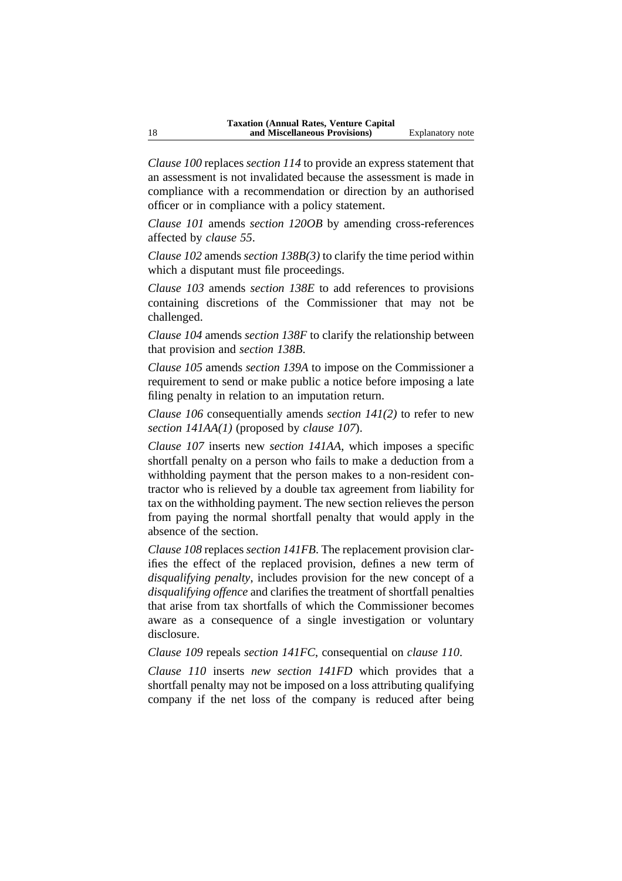*Clause 100* replaces *section 114* to provide an express statement that an assessment is not invalidated because the assessment is made in compliance with a recommendation or direction by an authorised officer or in compliance with a policy statement.

*Clause 101* amends *section 120OB* by amending cross-references affected by *clause 55*.

*Clause 102* amends *section 138B(3)* to clarify the time period within which a disputant must file proceedings.

*Clause 103* amends *section 138E* to add references to provisions containing discretions of the Commissioner that may not be challenged.

*Clause 104* amends *section 138F* to clarify the relationship between that provision and *section 138B*.

*Clause 105* amends *section 139A* to impose on the Commissioner a requirement to send or make public a notice before imposing a late filing penalty in relation to an imputation return.

*Clause 106* consequentially amends *section 141(2)* to refer to new *section 141AA(1)* (proposed by *clause 107*).

*Clause 107* inserts new *section 141AA*, which imposes a specific shortfall penalty on a person who fails to make a deduction from a withholding payment that the person makes to a non-resident contractor who is relieved by a double tax agreement from liability for tax on the withholding payment. The new section relieves the person from paying the normal shortfall penalty that would apply in the absence of the section.

*Clause 108* replaces *section 141FB*. The replacement provision clarifies the effect of the replaced provision, defines a new term of *disqualifying penalty*, includes provision for the new concept of a *disqualifying offence* and clarifies the treatment of shortfall penalties that arise from tax shortfalls of which the Commissioner becomes aware as a consequence of a single investigation or voluntary disclosure.

*Clause 109* repeals *section 141FC*, consequential on *clause 110*.

*Clause 110* inserts *new section 141FD* which provides that a shortfall penalty may not be imposed on a loss attributing qualifying company if the net loss of the company is reduced after being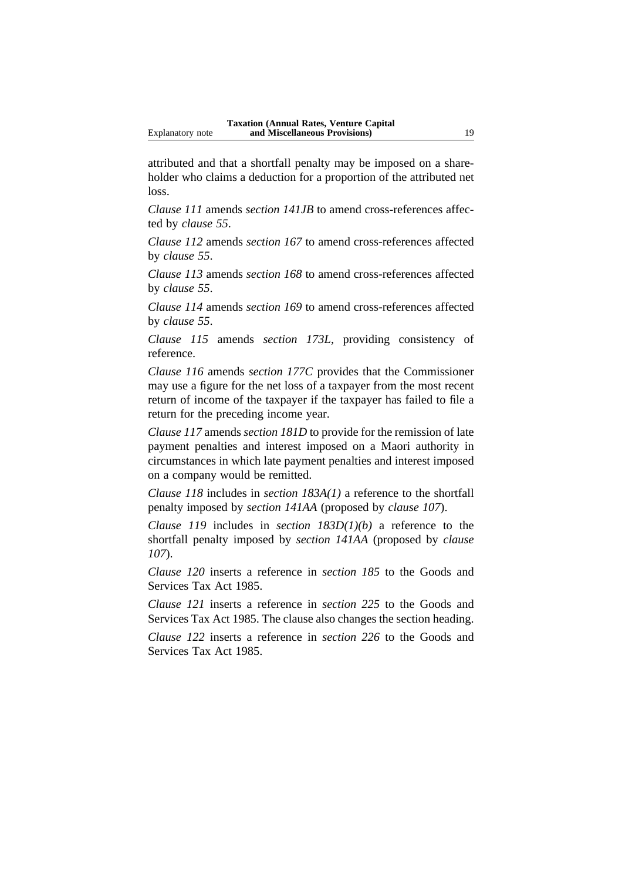attributed and that a shortfall penalty may be imposed on a shareholder who claims a deduction for a proportion of the attributed net loss.

*Clause 111* amends *section 141JB* to amend cross-references affected by *clause 55*.

*Clause 112* amends *section 167* to amend cross-references affected by *clause 55*.

*Clause 113* amends *section 168* to amend cross-references affected by *clause 55*.

*Clause 114* amends *section 169* to amend cross-references affected by *clause 55*.

*Clause 115* amends *section 173L*, providing consistency of reference.

*Clause 116* amends *section 177C* provides that the Commissioner may use a figure for the net loss of a taxpayer from the most recent return of income of the taxpayer if the taxpayer has failed to file a return for the preceding income year.

*Clause 117* amends *section 181D* to provide for the remission of late payment penalties and interest imposed on a Maori authority in circumstances in which late payment penalties and interest imposed on a company would be remitted.

*Clause 118* includes in *section 183A(1)* a reference to the shortfall penalty imposed by *section 141AA* (proposed by *clause 107*).

*Clause 119* includes in *section 183D(1)(b)* a reference to the shortfall penalty imposed by *section 141AA* (proposed by *clause 107*).

*Clause 120* inserts a reference in *section 185* to the Goods and Services Tax Act 1985.

*Clause 121* inserts a reference in *section 225* to the Goods and Services Tax Act 1985. The clause also changes the section heading.

*Clause 122* inserts a reference in *section 226* to the Goods and Services Tax Act 1985.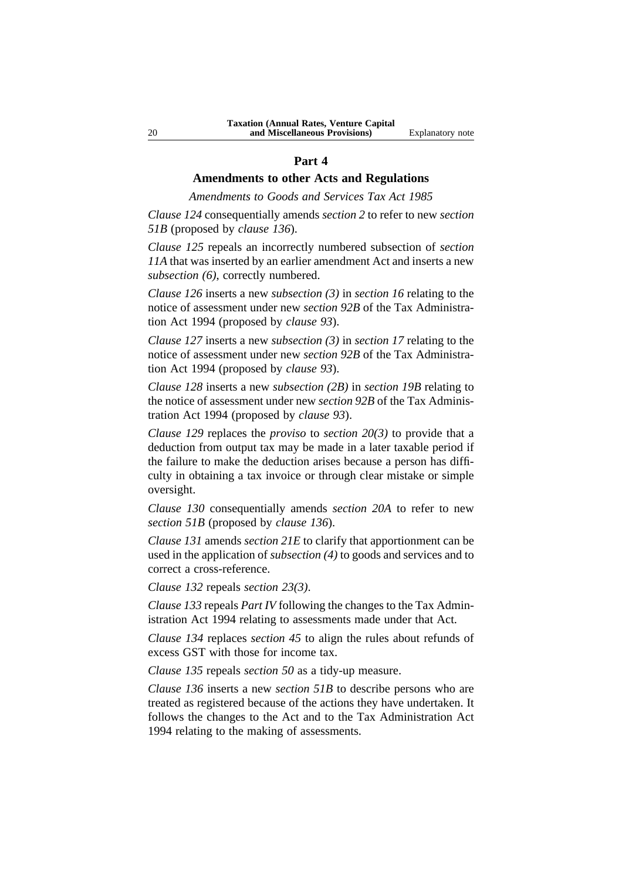#### **Part 4**

# **Amendments to other Acts and Regulations**

*Amendments to Goods and Services Tax Act 1985*

*Clause 124* consequentially amends *section 2* to refer to new *section 51B* (proposed by *clause 136*).

*Clause 125* repeals an incorrectly numbered subsection of *section 11A* that was inserted by an earlier amendment Act and inserts a new *subsection (6)*, correctly numbered.

*Clause 126* inserts a new *subsection (3)* in *section 16* relating to the notice of assessment under new *section 92B* of the Tax Administration Act 1994 (proposed by *clause 93*).

*Clause 127* inserts a new *subsection (3)* in *section 17* relating to the notice of assessment under new *section 92B* of the Tax Administration Act 1994 (proposed by *clause 93*).

*Clause 128* inserts a new *subsection (2B)* in *section 19B* relating to the notice of assessment under new *section 92B* of the Tax Administration Act 1994 (proposed by *clause 93*).

*Clause 129* replaces the *proviso* to *section 20(3)* to provide that a deduction from output tax may be made in a later taxable period if the failure to make the deduction arises because a person has difficulty in obtaining a tax invoice or through clear mistake or simple oversight.

*Clause 130* consequentially amends *section 20A* to refer to new *section 51B* (proposed by *clause 136*).

*Clause 131* amends *section 21E* to clarify that apportionment can be used in the application of *subsection (4)* to goods and services and to correct a cross-reference.

*Clause 132* repeals *section 23(3)*.

*Clause 133* repeals *Part IV* following the changes to the Tax Administration Act 1994 relating to assessments made under that Act.

*Clause 134* replaces *section 45* to align the rules about refunds of excess GST with those for income tax.

*Clause 135* repeals *section 50* as a tidy-up measure.

*Clause 136* inserts a new *section 51B* to describe persons who are treated as registered because of the actions they have undertaken. It follows the changes to the Act and to the Tax Administration Act 1994 relating to the making of assessments.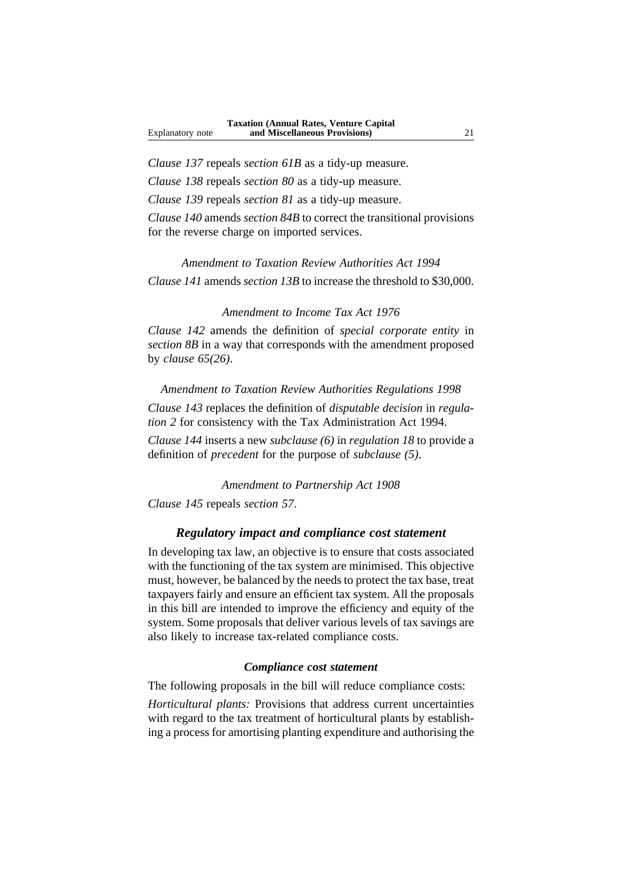*Clause 137* repeals *section 61B* as a tidy-up measure.

*Clause 138* repeals *section 80* as a tidy-up measure.

*Clause 139* repeals *section 81* as a tidy-up measure.

*Clause 140* amends *section 84B* to correct the transitional provisions for the reverse charge on imported services.

*Amendment to Taxation Review Authorities Act 1994 Clause 141* amends *section 13B* to increase the threshold to \$30,000.

#### *Amendment to Income Tax Act 1976*

*Clause 142* amends the definition of *special corporate entity* in *section 8B* in a way that corresponds with the amendment proposed by *clause 65(26)*.

*Amendment to Taxation Review Authorities Regulations 1998 Clause 143* replaces the definition of *disputable decision* in *regulation 2* for consistency with the Tax Administration Act 1994.

*Clause 144* inserts a new *subclause (6)* in *regulation 18* to provide a definition of *precedent* for the purpose of *subclause (5)*.

*Amendment to Partnership Act 1908*

*Clause 145* repeals *section 57*.

# *Regulatory impact and compliance cost statement*

In developing tax law, an objective is to ensure that costs associated with the functioning of the tax system are minimised. This objective must, however, be balanced by the needs to protect the tax base, treat taxpayers fairly and ensure an efficient tax system. All the proposals in this bill are intended to improve the efficiency and equity of the system. Some proposals that deliver various levels of tax savings are also likely to increase tax-related compliance costs.

## *Compliance cost statement*

The following proposals in the bill will reduce compliance costs:

*Horticultural plants:* Provisions that address current uncertainties with regard to the tax treatment of horticultural plants by establishing a process for amortising planting expenditure and authorising the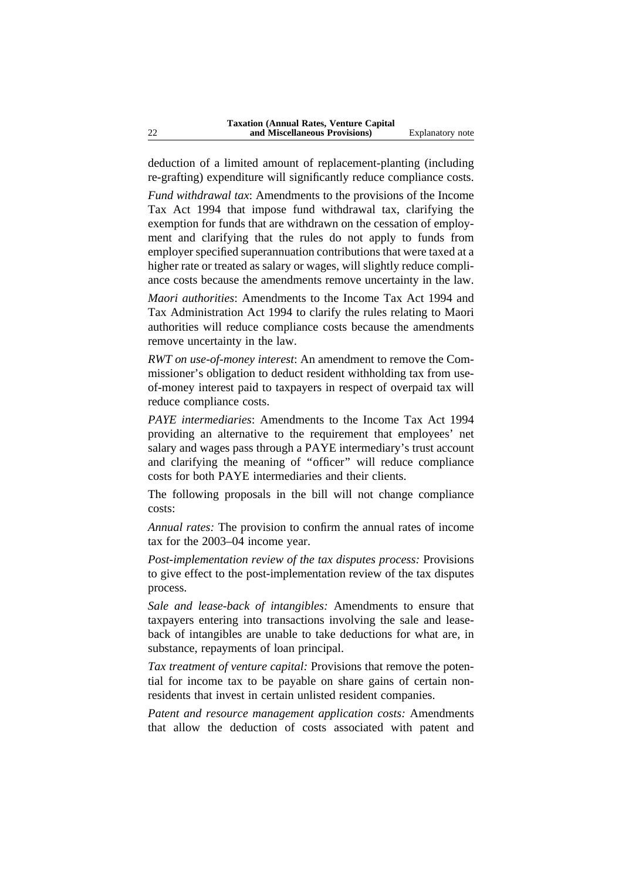deduction of a limited amount of replacement-planting (including re-grafting) expenditure will significantly reduce compliance costs.

*Fund withdrawal tax*: Amendments to the provisions of the Income Tax Act 1994 that impose fund withdrawal tax, clarifying the exemption for funds that are withdrawn on the cessation of employment and clarifying that the rules do not apply to funds from employer specified superannuation contributions that were taxed at a higher rate or treated as salary or wages, will slightly reduce compliance costs because the amendments remove uncertainty in the law.

*Maori authorities*: Amendments to the Income Tax Act 1994 and Tax Administration Act 1994 to clarify the rules relating to Maori authorities will reduce compliance costs because the amendments remove uncertainty in the law.

*RWT on use-of-money interest*: An amendment to remove the Commissioner's obligation to deduct resident withholding tax from useof-money interest paid to taxpayers in respect of overpaid tax will reduce compliance costs.

*PAYE intermediaries*: Amendments to the Income Tax Act 1994 providing an alternative to the requirement that employees' net salary and wages pass through a PAYE intermediary's trust account and clarifying the meaning of ''officer'' will reduce compliance costs for both PAYE intermediaries and their clients.

The following proposals in the bill will not change compliance costs:

*Annual rates:* The provision to confirm the annual rates of income tax for the 2003–04 income year.

*Post-implementation review of the tax disputes process:* Provisions to give effect to the post-implementation review of the tax disputes process.

*Sale and lease-back of intangibles:* Amendments to ensure that taxpayers entering into transactions involving the sale and leaseback of intangibles are unable to take deductions for what are, in substance, repayments of loan principal.

*Tax treatment of venture capital:* Provisions that remove the potential for income tax to be payable on share gains of certain nonresidents that invest in certain unlisted resident companies.

*Patent and resource management application costs:* Amendments that allow the deduction of costs associated with patent and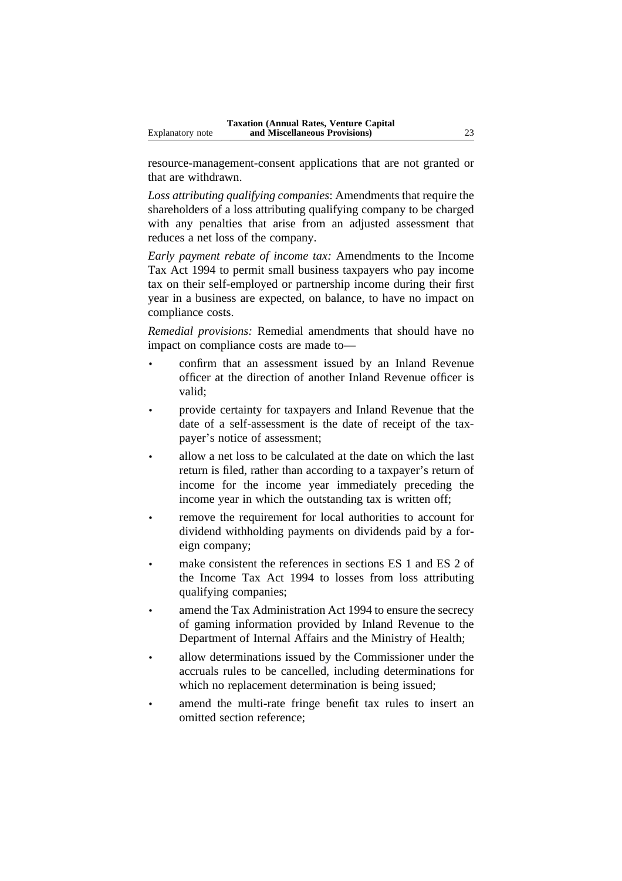resource-management-consent applications that are not granted or that are withdrawn.

*Loss attributing qualifying companies*: Amendments that require the shareholders of a loss attributing qualifying company to be charged with any penalties that arise from an adjusted assessment that reduces a net loss of the company.

*Early payment rebate of income tax:* Amendments to the Income Tax Act 1994 to permit small business taxpayers who pay income tax on their self-employed or partnership income during their first year in a business are expected, on balance, to have no impact on compliance costs.

*Remedial provisions:* Remedial amendments that should have no impact on compliance costs are made to—

- confirm that an assessment issued by an Inland Revenue officer at the direction of another Inland Revenue officer is valid;
- provide certainty for taxpayers and Inland Revenue that the date of a self-assessment is the date of receipt of the taxpayer's notice of assessment;
- allow a net loss to be calculated at the date on which the last return is filed, rather than according to a taxpayer's return of income for the income year immediately preceding the income year in which the outstanding tax is written off;
- remove the requirement for local authorities to account for dividend withholding payments on dividends paid by a foreign company;
- make consistent the references in sections ES 1 and ES 2 of the Income Tax Act 1994 to losses from loss attributing qualifying companies;
- amend the Tax Administration Act 1994 to ensure the secrecy of gaming information provided by Inland Revenue to the Department of Internal Affairs and the Ministry of Health;
- allow determinations issued by the Commissioner under the accruals rules to be cancelled, including determinations for which no replacement determination is being issued;
- amend the multi-rate fringe benefit tax rules to insert an omitted section reference;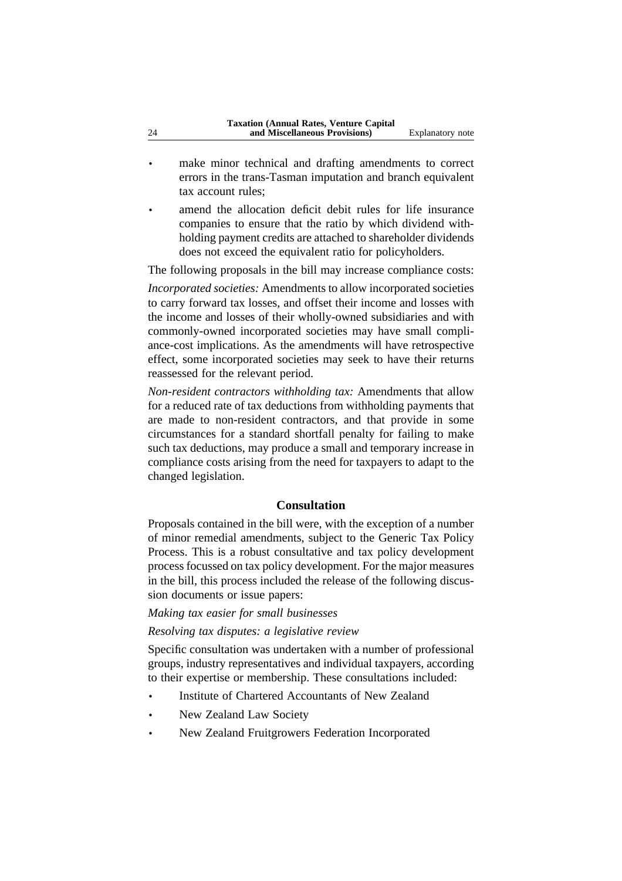- make minor technical and drafting amendments to correct errors in the trans-Tasman imputation and branch equivalent tax account rules;
- amend the allocation deficit debit rules for life insurance companies to ensure that the ratio by which dividend withholding payment credits are attached to shareholder dividends does not exceed the equivalent ratio for policyholders.

The following proposals in the bill may increase compliance costs:

*Incorporated societies:* Amendments to allow incorporated societies to carry forward tax losses, and offset their income and losses with the income and losses of their wholly-owned subsidiaries and with commonly-owned incorporated societies may have small compliance-cost implications. As the amendments will have retrospective effect, some incorporated societies may seek to have their returns reassessed for the relevant period.

*Non-resident contractors withholding tax:* Amendments that allow for a reduced rate of tax deductions from withholding payments that are made to non-resident contractors, and that provide in some circumstances for a standard shortfall penalty for failing to make such tax deductions, may produce a small and temporary increase in compliance costs arising from the need for taxpayers to adapt to the changed legislation.

#### **Consultation**

Proposals contained in the bill were, with the exception of a number of minor remedial amendments, subject to the Generic Tax Policy Process. This is a robust consultative and tax policy development process focussed on tax policy development. For the major measures in the bill, this process included the release of the following discussion documents or issue papers:

# *Making tax easier for small businesses*

## *Resolving tax disputes: a legislative review*

Specific consultation was undertaken with a number of professional groups, industry representatives and individual taxpayers, according to their expertise or membership. These consultations included:

- Institute of Chartered Accountants of New Zealand
- New Zealand Law Society
- New Zealand Fruitgrowers Federation Incorporated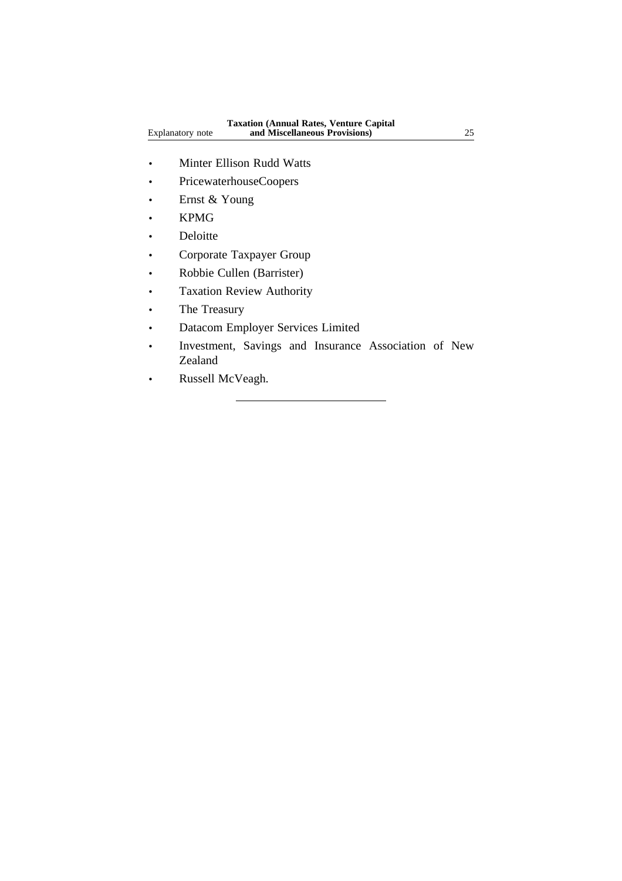- Minter Ellison Rudd Watts
- PricewaterhouseCoopers
- Ernst & Young
- KPMG
- Deloitte
- Corporate Taxpayer Group
- Robbie Cullen (Barrister)
- Taxation Review Authority
- The Treasury
- Datacom Employer Services Limited
- Investment, Savings and Insurance Association of New Zealand
- Russell McVeagh.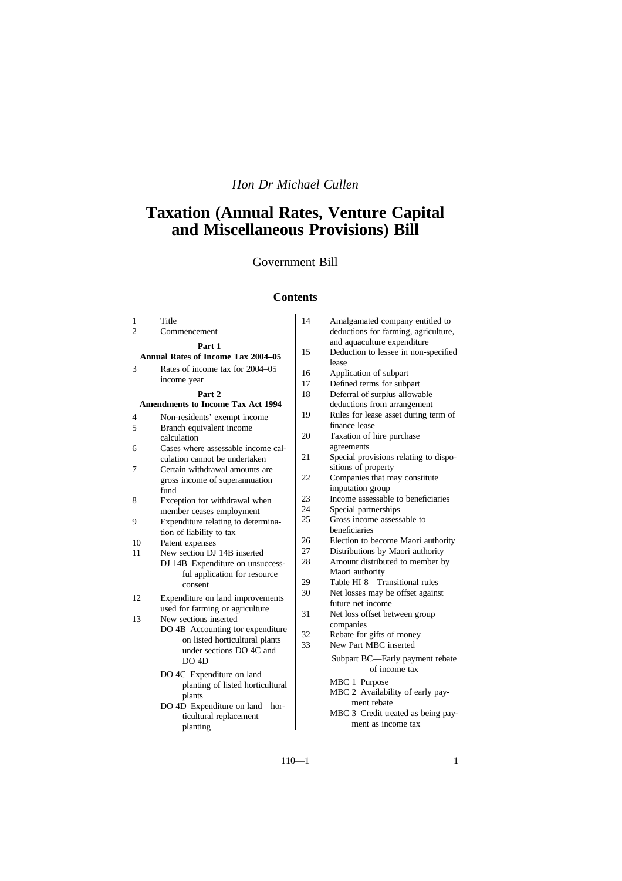# *Hon Dr Michael Cullen*

# **Taxation (Annual Rates, Venture Capital and Miscellaneous Provisions) Bill**

# Government Bill

# **Contents**

| 1                                         | Title                              | 14       | Amalgamated company entitled to                    |
|-------------------------------------------|------------------------------------|----------|----------------------------------------------------|
| $\overline{2}$                            | Commencement                       |          | deductions for farming, agriculture,               |
|                                           | Part 1                             |          | and aquaculture expenditure                        |
| <b>Annual Rates of Income Tax 2004–05</b> |                                    | 15       | Deduction to lessee in non-specified<br>lease      |
| 3                                         | Rates of income tax for 2004–05    | 16       | Application of subpart                             |
|                                           | income year                        | 17       | Defined terms for subpart                          |
|                                           | Part 2                             | 18       | Deferral of surplus allowable                      |
| <b>Amendments to Income Tax Act 1994</b>  |                                    |          | deductions from arrangement                        |
| 4                                         | Non-residents' exempt income       | 19       | Rules for lease asset during term of               |
| 5                                         | Branch equivalent income           |          | finance lease                                      |
|                                           | calculation                        | 20       | Taxation of hire purchase                          |
| 6                                         | Cases where assessable income cal- |          | agreements                                         |
|                                           | culation cannot be undertaken      | 21       | Special provisions relating to dispo-              |
| 7                                         | Certain withdrawal amounts are     |          | sitions of property                                |
|                                           | gross income of superannuation     | 22       | Companies that may constitute                      |
|                                           | fund                               |          | imputation group                                   |
| 8                                         | Exception for withdrawal when      | 23       | Income assessable to beneficiaries                 |
|                                           | member ceases employment           | 24       | Special partnerships                               |
| 9                                         | Expenditure relating to determina- | 25       | Gross income assessable to                         |
|                                           | tion of liability to tax           |          | beneficiaries                                      |
| 10                                        | Patent expenses                    | 26       | Election to become Maori authority                 |
| 11                                        | New section DJ 14B inserted        | 27<br>28 | Distributions by Maori authority                   |
|                                           | DJ 14B Expenditure on unsuccess-   |          | Amount distributed to member by<br>Maori authority |
|                                           | ful application for resource       | 29       | Table HI 8-Transitional rules                      |
|                                           | consent                            | 30       | Net losses may be offset against                   |
| 12                                        | Expenditure on land improvements   |          | future net income                                  |
|                                           | used for farming or agriculture    | 31       | Net loss offset between group                      |
| 13                                        | New sections inserted              |          | companies                                          |
|                                           | DO 4B Accounting for expenditure   | 32       | Rebate for gifts of money                          |
|                                           | on listed horticultural plants     | 33       | New Part MBC inserted                              |
|                                           | under sections DO 4C and           |          | Subpart BC—Early payment rebate                    |
|                                           | DO 4D                              |          | of income tax                                      |
|                                           | DO 4C Expenditure on land—         |          | MBC 1 Purpose                                      |
|                                           | planting of listed horticultural   |          | MBC 2 Availability of early pay-                   |
|                                           | plants                             |          | ment rebate                                        |
|                                           | DO 4D Expenditure on land—hor-     |          | MBC 3 Credit treated as being pay-                 |
|                                           | ticultural replacement             |          | ment as income tax                                 |
|                                           | planting                           |          |                                                    |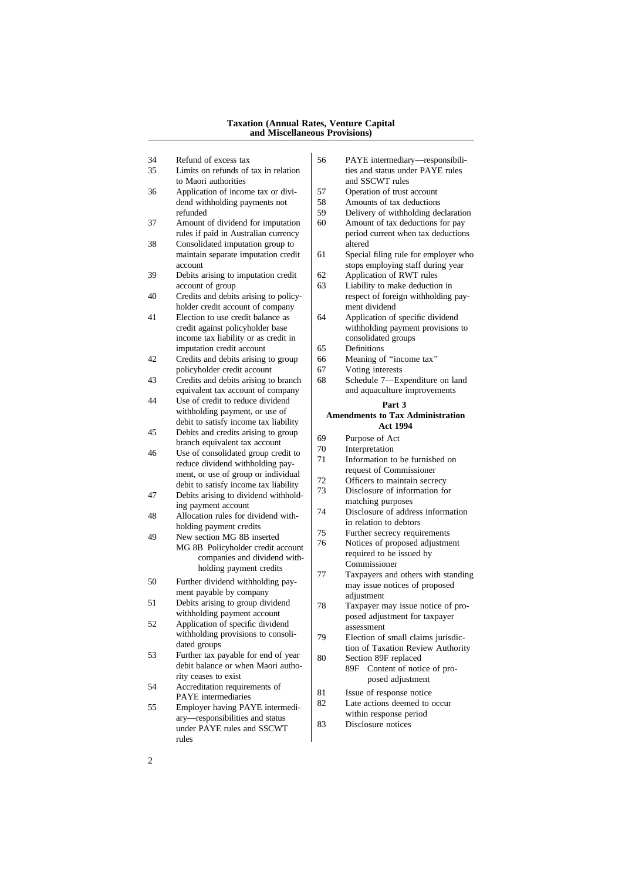#### **Taxation (Annual Rates, Venture Capital and Miscellaneous Provisions)**

- 
- to Maori authorities<br>Application of income tax or divi-<br>57 Operation of trust account
- 36 Application of income tax or divi-<br>dend withholding payments not 58 dend withholding payments not  $\begin{array}{|l|l|} 58 & \text{Amounts of tax deductions} \\ 59 & \text{Deliverv of withholding de} \end{array}$
- 37 Amount of dividend for imputation 60 Amount of tax deductions for pay rules if paid in Australian currency period current when tax deductions rules if paid in Australian currency
- 38 Consolidated imputation group to altered
- 39 Debits arising to imputation credit  $\begin{array}{|l|l|} 62 & \text{Application of RWT rules} \\ 63 & \text{Liability to make deduction} \end{array}$
- 
- 41 Election to use credit balance as income tax liability or as credit in imputation credit account 65 Definitions
- 42 Credits and debits arising to group 66 Meaning of "income tax" policyholder credit account  $\begin{vmatrix} 67 & \text{Voting interests} \\ \text{G8} & \text{Scheduled} \\ 7 & \text{Expenditure on land} \end{vmatrix}$
- 43 Credits and debits arising to branch 68
- 44 Use of credit to reduce dividend **Part 3**<br>withholding payment, or use of **Part 3** debit to satisfy income tax liability
- 45 Debits and credits arising to group  $\begin{array}{c|c}\n\text{Deous and creuts arising to group} \\
\text{branch equal to the two-  
blenoid.}\n\end{array}\n\quad\n\begin{array}{c|c}\n\text{69} & \text{Purpose of Act} \\
\text{70} & \text{Interpretation}\n\end{array}$
- 46 Use of consolidated group credit to  $\begin{bmatrix} 70 \\ 71 \end{bmatrix}$  Interpretation to be furnished on reduce dividend withholding pay-<br> $\frac{71}{2}$  Information to be furnished request of Commissioner request of Commissioner<br>here is the contribution of the ment of the ment of Commissioner<br>of Commissioner method is the commissioner of the contribution of the contribution of the contribution of the contribution of the con
- 47 Debits arising to dividend withhold-<br>ing payment account ing payment account<br>  $\begin{array}{|l|l|} \hline \end{array}$  matching purposes<br>  $\begin{array}{|l|l|} \hline \end{array}$  Misclosure of address information
- 48 Allocation rules for dividend with-<br>in relation to debtors<br>in relation to debtors  $\frac{1}{75}$  holding payment credits  $\frac{1}{75}$
- Fraction MG 8B inserted<br>
19 New section MG 8B inserted<br>
19 Notices of proposed adjustment  $\text{MG 8B}$  Policyholder credit account  $\begin{vmatrix} 76 \\ 10 \end{vmatrix}$  Notices of proposed adjustment of the issued by companies and dividend with-<br>  $\begin{array}{c} \text{required to be} \\ \text{Commissioner} \end{array}$ holding payment credits  $\begin{vmatrix} 77 \end{vmatrix}$
- 50 Further dividend withholding pay-<br>may issue notices of proposed ment payable by company<br>Debits arising to group dividend<br>  $\frac{1}{78}$ <br>
Taxpayer n
- 51 Debits arising to group dividend 78 Taxpayer may issue notice of pro-<br>withholding payment account
- 52 Application of specific dividend<br>withholding provisions to consoli-<br> $\begin{array}{c|c}\n\text{gscasymet} \\
\text{d}\text{gscasymet} \\
\text{Flection of}\n\end{array}$
- 53 Further tax payable for end of year<br>debit balance or when Maori autho-
- 54 Accreditation requirements of<br>PAYE intermediaries
- $\begin{array}{c|c|c|c|c} 55 & \text{Employee having PAYE intermediate} & & \text{22} & \text{Later actions deemed to within response period} \end{array}$  $\begin{array}{c|c}\n\text{ary—responsibilities and status} & \text{with} \text{m response per} \\
\text{under PAVE rules and SCCWT} & 83 \text{Disclosure notices}\n\end{array}$ under PAYE rules and SSCWT rules
- 34 Refund of excess tax 56 PAYE intermediary—responsibili-<br>35 Limits on refunds of tax in relation ties and status under PAYE rules ties and status under PAYE rules
	-
	-
	- refunded 59 Delivery of withholding declaration<br>Amount of dividend for imputation 60 Amount of tax deductions for pay
		-
	- maintain separate imputation credit  $\begin{vmatrix} 61 & \text{Special filing rule for employer who} \end{vmatrix}$ account stops employing staff during year
		-
- Liability to make deduction in 40 Credits and debits arising to policy-<br>
holder credit account of company<br>
ment dividend holder credit account of company<br>
Election to use credit balance as  $\begin{vmatrix} 64 & \text{Application of specific dividend} \\ 64 & \text{Application of specific dividend} \end{vmatrix}$ 
	- credit against policyholder base withholding payment provisions to income tax liability or as credit in consolidated groups
		-
		-
		-
	- equivalent tax account of company and aquaculture improvements

# Amendments to Tax Administration<br>Act 1994

- 
- 
- 
- debit to satisfy income tax liability  $\begin{bmatrix} 72 \\ 73 \end{bmatrix}$  Officers to maintain secrecy
	-
	-
	-
	-
	- Taxpayers and others with standing
	- posed adjustment for taxpayer
- withholding provisions to consoli-<br>dated groups<br>tion of Taxation Review Authority tion of Taxation Review Authority<br>
80 Section 89F replaced
- debit balance or when Maori autho-<br>  $89F$  Content of notice of pro-<br>  $89F$  Content of notice of proposed adjustment
	-
	- 81 Issue of response notice<br>82 Late actions deemed to occur
	-
	-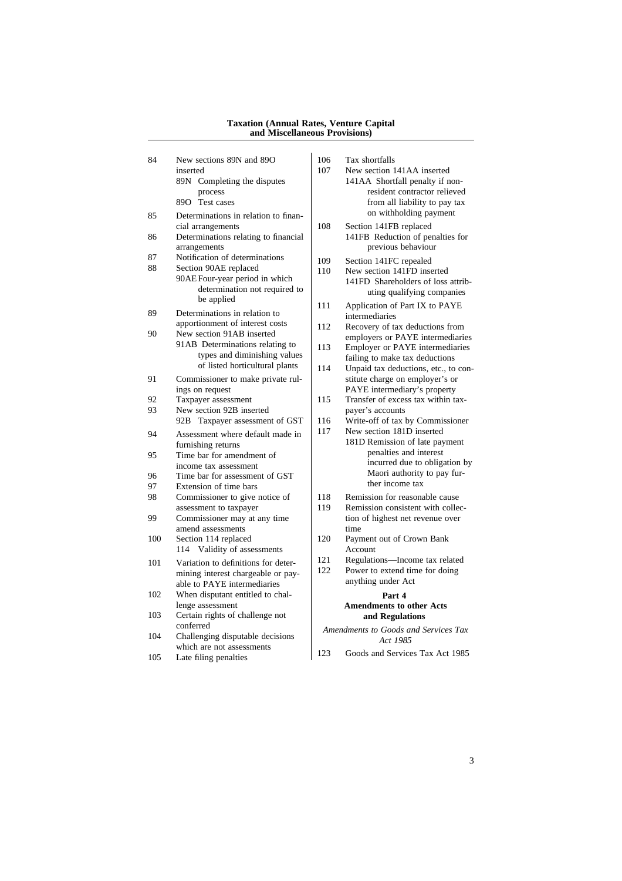#### **Taxation (Annual Rates, Venture Capital and Miscellaneous Provisions)**

84 New sections 89N and 89O inserted inserted 107 New section 141AA inserted 89N Completing the disputes process 89O Test cases 85 Determinations in relation to financial arrangements 86 Determinations relating to financial arrangements 87 Notification of determinations<br>88 Section 90AE replaced Section 90AE replaced 90AE Four-year period in which determination not required to be applied 89 Determinations in relation to apportionment of interest costs 90 New section 91AB inserted 91AB Determinations relating to types and diminishing values of listed horticultural plants 91 Commissioner to make private rulings on request 92 Taxpayer assessment 93 New section 92B inserted 92B Taxpayer assessment of GST 94 Assessment where default made in furnishing returns 95 Time bar for amendment of income tax assessment 96 Time bar for assessment of GST<br>97 Extension of time bars 97 Extension of time bars<br>98 Commissioner to give Commissioner to give notice of assessment to taxpayer 99 Commissioner may at any time amend assessments 100 Section 114 replaced 114 Validity of assessments 101 Variation to definitions for determining interest chargeable or payable to PAYE intermediaries 102 When disputant entitled to challenge assessment 103 Certain rights of challenge not conferred conferred *Amendments to Goods and Services Tax* 104 Challenging disputable decisions *Act 1985* which are not assessments 105 Late filing penalties 105 Late filing penalties 105 Late filing penalties

| ections 89N and 89O                                                                                                                                                     | 106                                                          | Tax shortfalls                                                                                                                                                                                               |  |
|-------------------------------------------------------------------------------------------------------------------------------------------------------------------------|--------------------------------------------------------------|--------------------------------------------------------------------------------------------------------------------------------------------------------------------------------------------------------------|--|
| ь<br>Completing the disputes<br>process<br>Test cases                                                                                                                   | 107                                                          | New section 141AA inserted<br>141AA Shortfall penalty if non-<br>resident contractor relieved<br>from all liability to pay tax                                                                               |  |
| minations in relation to finan-<br>rangements<br>ninations relating to financial<br>ements                                                                              | 108                                                          | on withholding payment<br>Section 141FB replaced<br>141FB Reduction of penalties for<br>previous behaviour                                                                                                   |  |
| cation of determinations<br>n 90AE replaced<br>Four-year period in which<br>determination not required to<br>be applied                                                 | 109<br>110                                                   | Section 141FC repealed<br>New section 141FD inserted<br>141FD Shareholders of loss attrib-<br>uting qualifying companies                                                                                     |  |
| ninations in relation to<br>ionment of interest costs                                                                                                                   | 111                                                          | Application of Part IX to PAYE<br>intermediaries                                                                                                                                                             |  |
| ection 91AB inserted<br>Determinations relating to                                                                                                                      | 112<br>113                                                   | Recovery of tax deductions from<br>employers or PAYE intermediaries<br>Employer or PAYE intermediaries                                                                                                       |  |
| types and diminishing values<br>of listed horticultural plants                                                                                                          | 114                                                          | failing to make tax deductions<br>Unpaid tax deductions, etc., to con-                                                                                                                                       |  |
| nissioner to make private rul-<br>n request                                                                                                                             |                                                              | stitute charge on employer's or<br>PAYE intermediary's property                                                                                                                                              |  |
| yer assessment<br>ection 92B inserted                                                                                                                                   | 115                                                          | Transfer of excess tax within tax-<br>payer's accounts                                                                                                                                                       |  |
| Taxpayer assessment of GST<br>sment where default made in<br>hing returns<br>bar for amendment of<br>e tax assessment<br>bar for assessment of GST<br>sion of time bars | 116<br>117                                                   | Write-off of tax by Commissioner<br>New section 181D inserted<br>181D Remission of late payment<br>penalties and interest<br>incurred due to obligation by<br>Maori authority to pay fur-<br>ther income tax |  |
| nissioner to give notice of<br>ment to taxpayer<br>nissioner may at any time<br>l assessments                                                                           | 118<br>119                                                   | Remission for reasonable cause<br>Remission consistent with collec-<br>tion of highest net revenue over<br>time                                                                                              |  |
| n 114 replaced<br>Validity of assessments                                                                                                                               | 120                                                          | Payment out of Crown Bank<br>Account                                                                                                                                                                         |  |
| ion to definitions for deter-<br>g interest chargeable or pay-<br><b>PAYE</b> intermediaries                                                                            | 121<br>122                                                   | Regulations-Income tax related<br>Power to extend time for doing<br>anything under Act                                                                                                                       |  |
| disputant entitled to chal-<br>assessment<br>n rights of challenge not                                                                                                  | Part 4<br><b>Amendments to other Acts</b><br>and Regulations |                                                                                                                                                                                                              |  |
| red<br>nging disputable decisions:                                                                                                                                      |                                                              | Amendments to Goods and Services Tax                                                                                                                                                                         |  |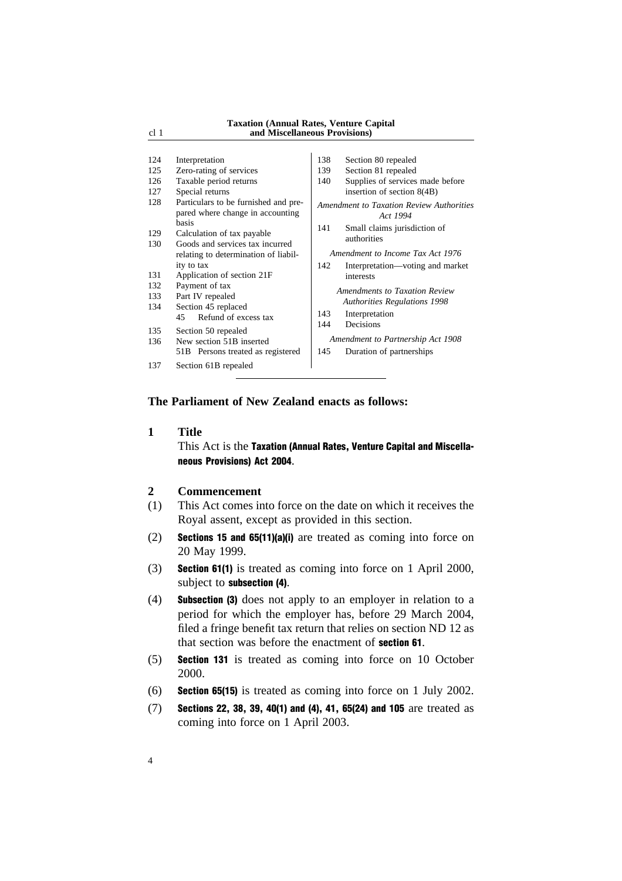#### **Taxation (Annual Rates, Venture Capital** cl 1 **and Miscellaneous Provisions)**

| 124<br>125<br>126<br>127<br>128<br>129<br>130 | Interpretation<br>Zero-rating of services<br>Taxable period returns<br>Special returns<br>Particulars to be furnished and pre-<br>pared where change in accounting<br><b>basis</b><br>Calculation of tax payable<br>Goods and services tax incurred<br>relating to determination of liabil-<br>ity to tax | 138<br>139<br>140<br>141<br>142 | Section 80 repealed<br>Section 81 repealed<br>Supplies of services made before<br>insertion of section 8(4B)<br>Amendment to Taxation Review Authorities<br>Act 1994<br>Small claims jurisdiction of<br>authorities<br>Amendment to Income Tax Act 1976<br>Interpretation—voting and market |
|-----------------------------------------------|-----------------------------------------------------------------------------------------------------------------------------------------------------------------------------------------------------------------------------------------------------------------------------------------------------------|---------------------------------|---------------------------------------------------------------------------------------------------------------------------------------------------------------------------------------------------------------------------------------------------------------------------------------------|
| 131<br>132<br>133<br>134<br>135<br>136<br>137 | Application of section 21F<br>Payment of tax<br>Part IV repealed<br>Section 45 replaced<br>Refund of excess tax<br>45<br>Section 50 repealed<br>New section 51B inserted<br>51B Persons treated as registered<br>Section 61B repealed                                                                     | 143<br>144<br>145               | interests<br>Amendments to Taxation Review<br><b>Authorities Regulations 1998</b><br>Interpretation<br>Decisions<br>Amendment to Partnership Act 1908<br>Duration of partnerships                                                                                                           |

# **The Parliament of New Zealand enacts as follows:**

#### **1 Title**

This Act is the Taxation (Annual Rates, Venture Capital and Miscellaneous Provisions) Act 2004.

# **2 Commencement**

- (1) This Act comes into force on the date on which it receives the Royal assent, except as provided in this section.
- (2) Sections 15 and 65(11)(a)(i) are treated as coming into force on 20 May 1999.
- (3) Section 61(1) is treated as coming into force on 1 April 2000, subject to subsection (4).
- (4) Subsection (3) does not apply to an employer in relation to a period for which the employer has, before 29 March 2004, filed a fringe benefit tax return that relies on section ND 12 as that section was before the enactment of section 61.
- (5) Section 131 is treated as coming into force on 10 October 2000.
- (6) Section 65(15) is treated as coming into force on 1 July 2002.
- (7) Sections 22, 38, 39, 40(1) and (4), 41, 65(24) and 105 are treated as coming into force on 1 April 2003.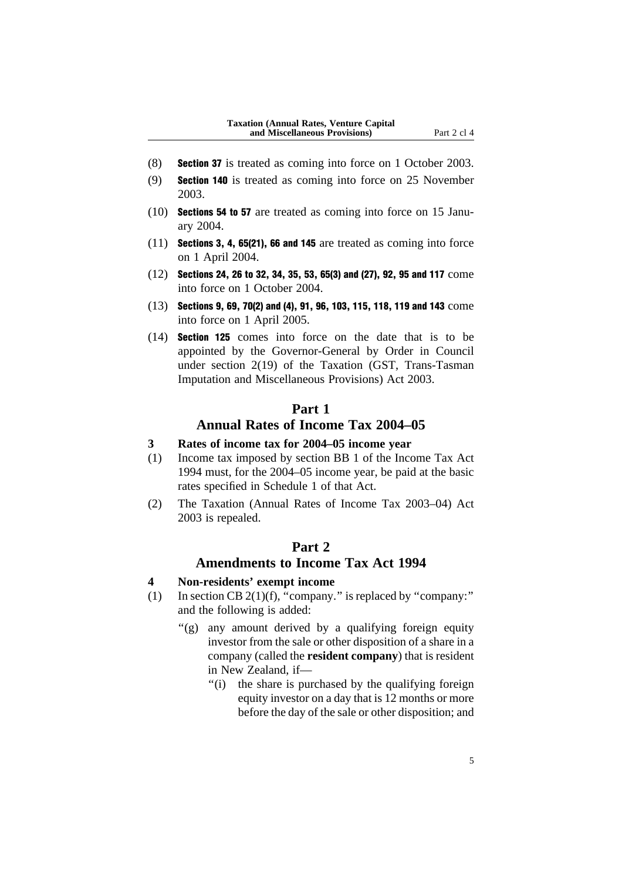- (8) Section 37 is treated as coming into force on 1 October 2003.
- (9) Section 140 is treated as coming into force on 25 November 2003.
- (10) Sections 54 to 57 are treated as coming into force on 15 January 2004.
- (11) Sections 3, 4, 65(21), 66 and 145 are treated as coming into force on 1 April 2004.
- (12) Sections 24, 26 to 32, 34, 35, 53, 65(3) and (27), 92, 95 and 117 come into force on 1 October 2004.
- (13) Sections 9, 69, 70(2) and (4), 91, 96, 103, 115, 118, 119 and 143 come into force on 1 April 2005.
- (14) Section 125 comes into force on the date that is to be appointed by the Governor-General by Order in Council under section 2(19) of the Taxation (GST, Trans-Tasman Imputation and Miscellaneous Provisions) Act 2003.

# **Part 1**

# **Annual Rates of Income Tax 2004–05**

# **3 Rates of income tax for 2004–05 income year**

- (1) Income tax imposed by section BB 1 of the Income Tax Act 1994 must, for the 2004–05 income year, be paid at the basic rates specified in Schedule 1 of that Act.
- (2) The Taxation (Annual Rates of Income Tax 2003–04) Act 2003 is repealed.

## **Part 2**

# **Amendments to Income Tax Act 1994**

# **4 Non-residents' exempt income**

- (1) In section CB  $2(1)(f)$ , "company." is replaced by "company:" and the following is added:
	- "(g) any amount derived by a qualifying foreign equity investor from the sale or other disposition of a share in a company (called the **resident company**) that is resident in New Zealand, if—
		- ''(i) the share is purchased by the qualifying foreign equity investor on a day that is 12 months or more before the day of the sale or other disposition; and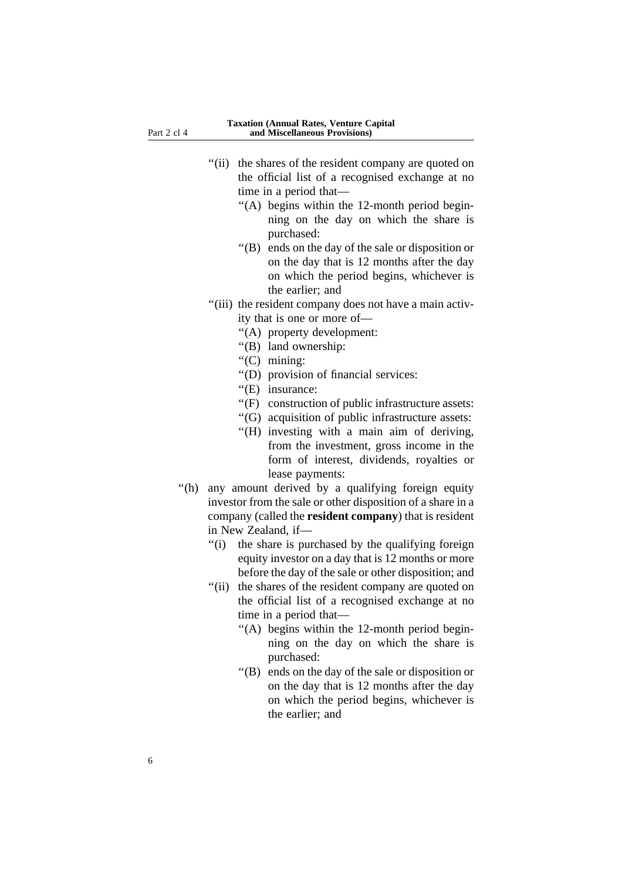- "(ii) the shares of the resident company are quoted on the official list of a recognised exchange at no time in a period that—
	- ''(A) begins within the 12-month period beginning on the day on which the share is purchased:
	- ''(B) ends on the day of the sale or disposition or on the day that is 12 months after the day on which the period begins, whichever is the earlier; and
- "(iii) the resident company does not have a main activity that is one or more of—
	- ''(A) property development:
	- ''(B) land ownership:
	- ''(C) mining:
	- ''(D) provision of financial services:
	- "(E) insurance:
	- ''(F) construction of public infrastructure assets:
	- ''(G) acquisition of public infrastructure assets:
	- ''(H) investing with a main aim of deriving, from the investment, gross income in the form of interest, dividends, royalties or lease payments:
- ''(h) any amount derived by a qualifying foreign equity investor from the sale or other disposition of a share in a company (called the **resident company**) that is resident in New Zealand, if—
	- ''(i) the share is purchased by the qualifying foreign equity investor on a day that is 12 months or more before the day of the sale or other disposition; and
	- "(ii) the shares of the resident company are quoted on the official list of a recognised exchange at no time in a period that—
		- ''(A) begins within the 12-month period beginning on the day on which the share is purchased:
		- ''(B) ends on the day of the sale or disposition or on the day that is 12 months after the day on which the period begins, whichever is the earlier; and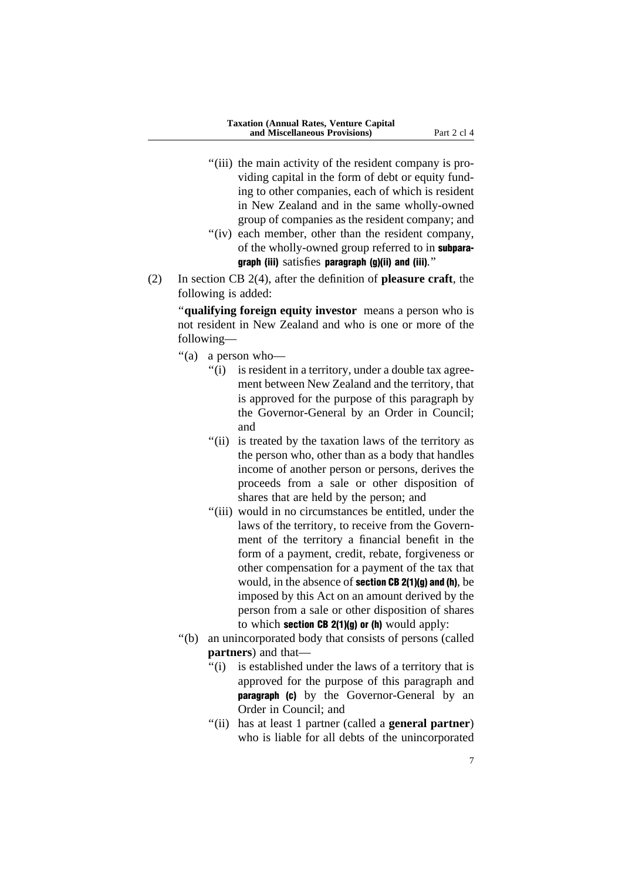- "(iii) the main activity of the resident company is providing capital in the form of debt or equity funding to other companies, each of which is resident in New Zealand and in the same wholly-owned group of companies as the resident company; and
- "(iv) each member, other than the resident company, of the wholly-owned group referred to in subparagraph (iii) satisfies paragraph (g)(ii) and (iii).''
- (2) In section CB 2(4), after the definition of **pleasure craft**, the following is added:

''**qualifying foreign equity investor** means a person who is not resident in New Zealand and who is one or more of the following—

- ''(a) a person who—
	- "(i) is resident in a territory, under a double tax agreement between New Zealand and the territory, that is approved for the purpose of this paragraph by the Governor-General by an Order in Council; and
	- "(ii) is treated by the taxation laws of the territory as the person who, other than as a body that handles income of another person or persons, derives the proceeds from a sale or other disposition of shares that are held by the person; and
	- ''(iii) would in no circumstances be entitled, under the laws of the territory, to receive from the Government of the territory a financial benefit in the form of a payment, credit, rebate, forgiveness or other compensation for a payment of the tax that would, in the absence of section CB 2(1)(g) and (h), be imposed by this Act on an amount derived by the person from a sale or other disposition of shares to which section  $CB$  2(1)(g) or (h) would apply:
- ''(b) an unincorporated body that consists of persons (called **partners**) and that—
	- "(i) is established under the laws of a territory that is approved for the purpose of this paragraph and **paragraph (c)** by the Governor-General by an Order in Council; and
	- ''(ii) has at least 1 partner (called a **general partner**) who is liable for all debts of the unincorporated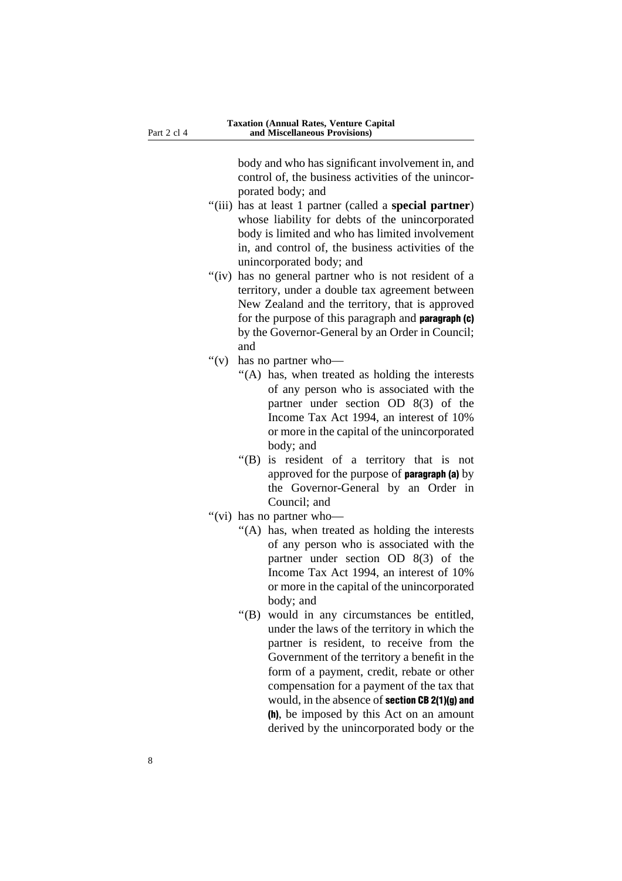body and who has significant involvement in, and control of, the business activities of the unincorporated body; and

- ''(iii) has at least 1 partner (called a **special partner**) whose liability for debts of the unincorporated body is limited and who has limited involvement in, and control of, the business activities of the unincorporated body; and
- "(iv) has no general partner who is not resident of a territory, under a double tax agreement between New Zealand and the territory, that is approved for the purpose of this paragraph and paragraph (c) by the Governor-General by an Order in Council; and
- ''(v) has no partner who—
	- ''(A) has, when treated as holding the interests of any person who is associated with the partner under section OD 8(3) of the Income Tax Act 1994, an interest of 10% or more in the capital of the unincorporated body; and
	- "(B) is resident of a territory that is not approved for the purpose of paragraph (a) by the Governor-General by an Order in Council; and
- "(vi) has no partner who-
	- "(A) has, when treated as holding the interests of any person who is associated with the partner under section OD 8(3) of the Income Tax Act 1994, an interest of 10% or more in the capital of the unincorporated body; and
	- ''(B) would in any circumstances be entitled, under the laws of the territory in which the partner is resident, to receive from the Government of the territory a benefit in the form of a payment, credit, rebate or other compensation for a payment of the tax that would, in the absence of section CB 2(1)(g) and (h), be imposed by this Act on an amount derived by the unincorporated body or the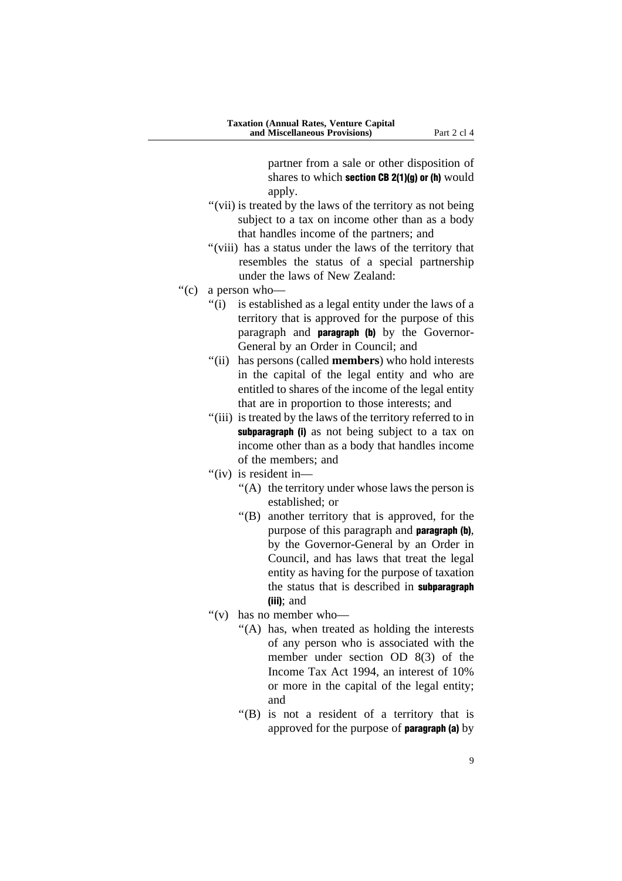partner from a sale or other disposition of shares to which section CB 2(1)(g) or (h) would apply.

- ''(vii) is treated by the laws of the territory as not being subject to a tax on income other than as a body that handles income of the partners; and
- ''(viii) has a status under the laws of the territory that resembles the status of a special partnership under the laws of New Zealand:
- ''(c) a person who—
	- "(i) is established as a legal entity under the laws of a territory that is approved for the purpose of this paragraph and paragraph (b) by the Governor-General by an Order in Council; and
	- ''(ii) has persons (called **members**) who hold interests in the capital of the legal entity and who are entitled to shares of the income of the legal entity that are in proportion to those interests; and
	- "(iii) is treated by the laws of the territory referred to in subparagraph (i) as not being subject to a tax on income other than as a body that handles income of the members; and
	- ''(iv) is resident in—
		- ''(A) the territory under whose laws the person is established; or
		- ''(B) another territory that is approved, for the purpose of this paragraph and paragraph (b), by the Governor-General by an Order in Council, and has laws that treat the legal entity as having for the purpose of taxation the status that is described in subparagraph (iii); and
	- ''(v) has no member who—
		- ''(A) has, when treated as holding the interests of any person who is associated with the member under section OD 8(3) of the Income Tax Act 1994, an interest of 10% or more in the capital of the legal entity; and
		- ''(B) is not a resident of a territory that is approved for the purpose of paragraph (a) by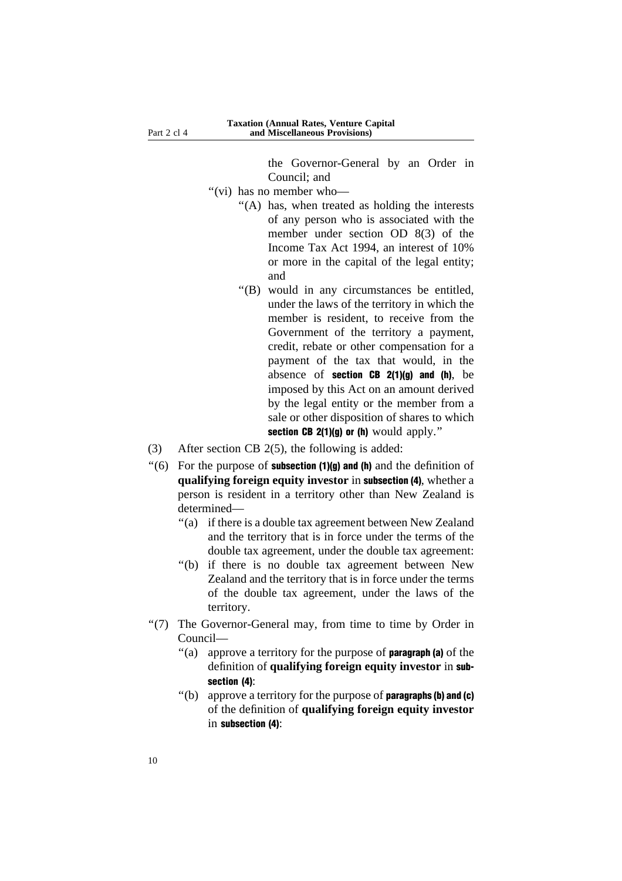the Governor-General by an Order in Council; and

- ''(vi) has no member who—
	- ''(A) has, when treated as holding the interests of any person who is associated with the member under section OD 8(3) of the Income Tax Act 1994, an interest of 10% or more in the capital of the legal entity; and
	- ''(B) would in any circumstances be entitled, under the laws of the territory in which the member is resident, to receive from the Government of the territory a payment, credit, rebate or other compensation for a payment of the tax that would, in the absence of **section CB 2(1)(g) and (h)**, be imposed by this Act on an amount derived by the legal entity or the member from a sale or other disposition of shares to which section CB  $2(1)(q)$  or (h) would apply."
- (3) After section CB 2(5), the following is added:
- $\degree$ (6) For the purpose of **subsection (1)(g) and (h)** and the definition of **qualifying foreign equity investor** in subsection (4), whether a person is resident in a territory other than New Zealand is determined—
	- ''(a) if there is a double tax agreement between New Zealand and the territory that is in force under the terms of the double tax agreement, under the double tax agreement:
	- ''(b) if there is no double tax agreement between New Zealand and the territory that is in force under the terms of the double tax agreement, under the laws of the territory.
- ''(7) The Governor-General may, from time to time by Order in Council—
	- "(a) approve a territory for the purpose of **paragraph** (a) of the definition of **qualifying foreign equity investor** in subsection (4):
	- $"$ (b) approve a territory for the purpose of **paragraphs (b) and (c)** of the definition of **qualifying foreign equity investor** in subsection (4):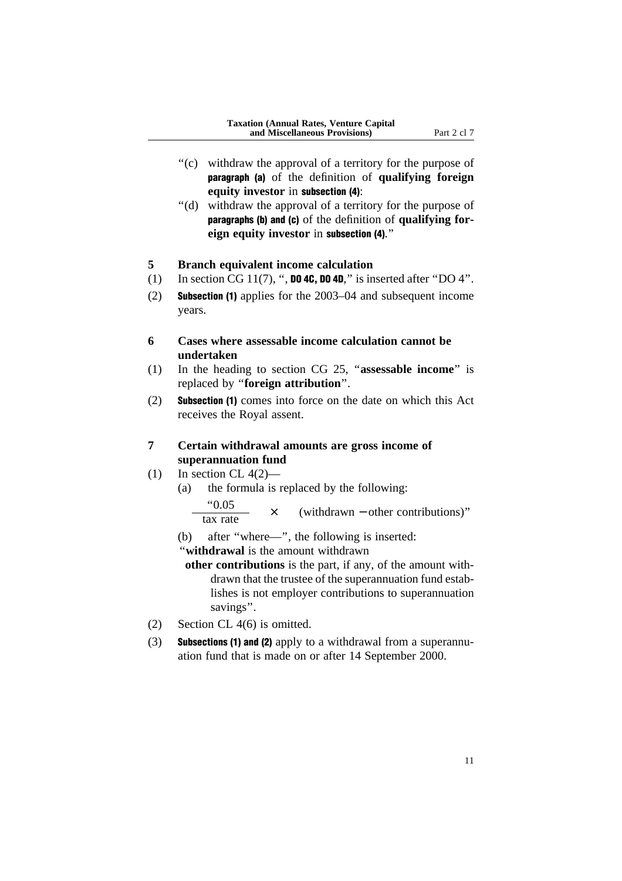- "(c) withdraw the approval of a territory for the purpose of paragraph (a) of the definition of **qualifying foreign equity investor** in subsection (4):
- ''(d) withdraw the approval of a territory for the purpose of paragraphs (b) and (c) of the definition of **qualifying foreign equity investor** in subsection (4).''

### **5 Branch equivalent income calculation**

- (1) In section CG 11(7), ", **DO 4C, DO 4D**," is inserted after "DO 4".
- (2) Subsection (1) applies for the 2003–04 and subsequent income years.
- **6 Cases where assessable income calculation cannot be undertaken**
- (1) In the heading to section CG 25, ''**assessable income**'' is replaced by ''**foreign attribution**''.
- (2) Subsection (1) comes into force on the date on which this Act receives the Royal assent.

# **7 Certain withdrawal amounts are gross income of superannuation fund**

- (1) In section CL  $4(2)$ 
	- (a) the formula is replaced by the following: ''0.05  $\times$  (withdrawn – other contributions)" tax rate
	- (b) after ''where—'', the following is inserted:
	- ''**withdrawal** is the amount withdrawn
	- **other contributions** is the part, if any, of the amount withdrawn that the trustee of the superannuation fund establishes is not employer contributions to superannuation savings''.
- (2) Section CL 4(6) is omitted.
- (3) Subsections (1) and (2) apply to a withdrawal from a superannuation fund that is made on or after 14 September 2000.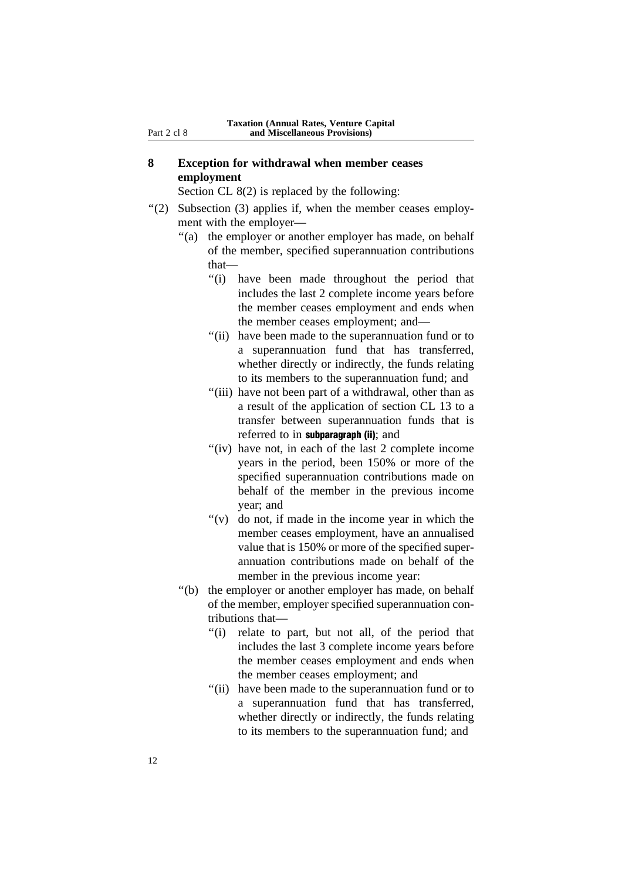### **8 Exception for withdrawal when member ceases employment**

Section CL 8(2) is replaced by the following:

- "(2) Subsection (3) applies if, when the member ceases employment with the employer—
	- ''(a) the employer or another employer has made, on behalf of the member, specified superannuation contributions that—
		- ''(i) have been made throughout the period that includes the last 2 complete income years before the member ceases employment and ends when the member ceases employment; and—
		- "(ii) have been made to the superannuation fund or to a superannuation fund that has transferred, whether directly or indirectly, the funds relating to its members to the superannuation fund; and
		- "(iii) have not been part of a withdrawal, other than as a result of the application of section CL 13 to a transfer between superannuation funds that is referred to in **subparagraph** (ii); and
		- "(iv) have not, in each of the last 2 complete income" years in the period, been 150% or more of the specified superannuation contributions made on behalf of the member in the previous income year; and
		- " $(v)$  do not, if made in the income year in which the member ceases employment, have an annualised value that is 150% or more of the specified superannuation contributions made on behalf of the member in the previous income year:
	- ''(b) the employer or another employer has made, on behalf of the member, employer specified superannuation contributions that—
		- "(i) relate to part, but not all, of the period that includes the last 3 complete income years before the member ceases employment and ends when the member ceases employment; and
		- "(ii) have been made to the superannuation fund or to a superannuation fund that has transferred, whether directly or indirectly, the funds relating to its members to the superannuation fund; and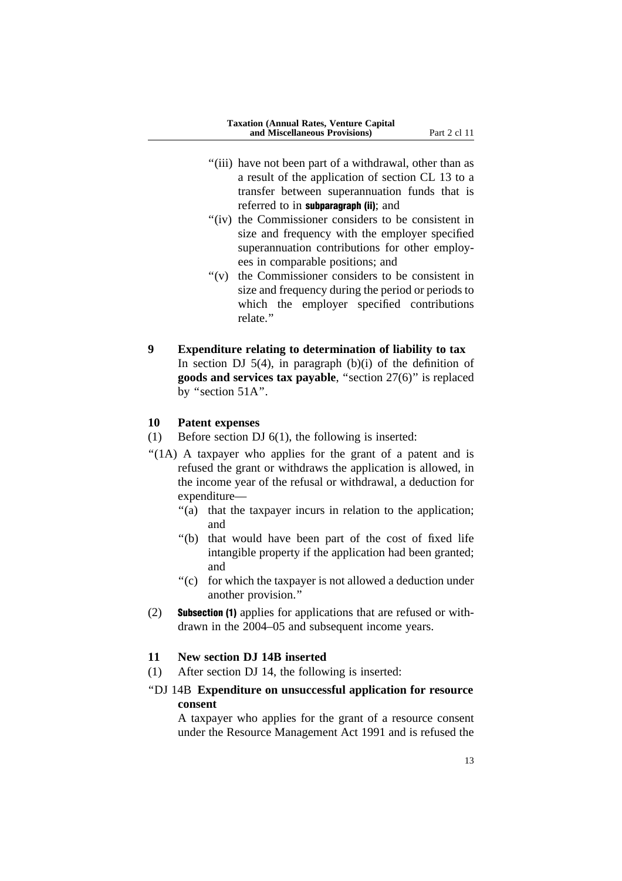- "(iii) have not been part of a withdrawal, other than as a result of the application of section CL 13 to a transfer between superannuation funds that is referred to in **subparagraph (ii)**; and
- "(iv) the Commissioner considers to be consistent in size and frequency with the employer specified superannuation contributions for other employees in comparable positions; and
- ''(v) the Commissioner considers to be consistent in size and frequency during the period or periods to which the employer specified contributions relate.''

# **9 Expenditure relating to determination of liability to tax** In section DJ  $5(4)$ , in paragraph (b)(i) of the definition of **goods and services tax payable**, ''section 27(6)'' is replaced by ''section 51A''.

#### **10 Patent expenses**

(1) Before section DJ 6(1), the following is inserted:

- "(1A) A taxpayer who applies for the grant of a patent and is refused the grant or withdraws the application is allowed, in the income year of the refusal or withdrawal, a deduction for expenditure—
	- "(a) that the taxpayer incurs in relation to the application; and
	- ''(b) that would have been part of the cost of fixed life intangible property if the application had been granted; and
	- "(c) for which the taxpayer is not allowed a deduction under another provision.''
- (2) Subsection (1) applies for applications that are refused or withdrawn in the 2004–05 and subsequent income years.

#### **11 New section DJ 14B inserted**

(1) After section DJ 14, the following is inserted:

### ''DJ 14B **Expenditure on unsuccessful application for resource consent**

A taxpayer who applies for the grant of a resource consent under the Resource Management Act 1991 and is refused the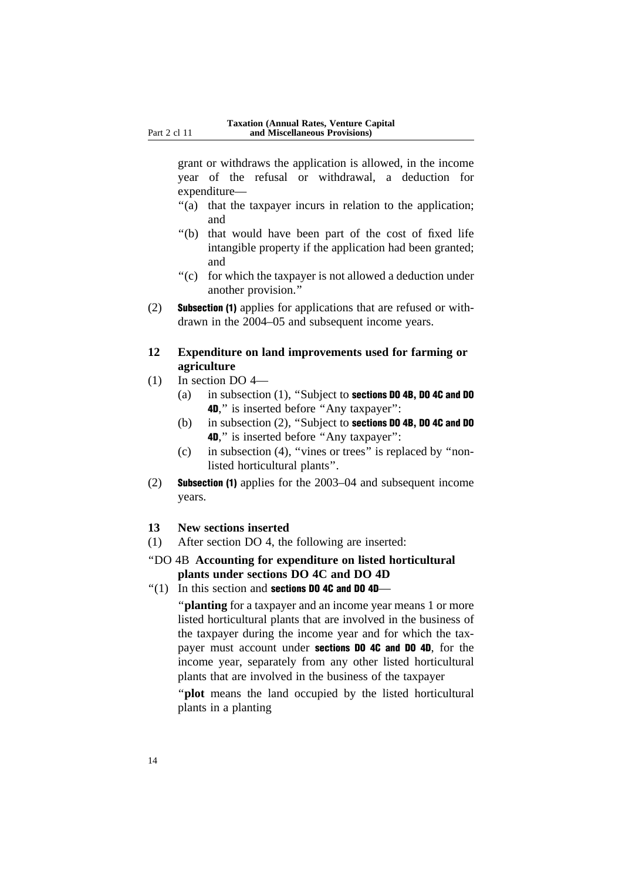grant or withdraws the application is allowed, in the income year of the refusal or withdrawal, a deduction for expenditure—

- "(a) that the taxpayer incurs in relation to the application; and
- ''(b) that would have been part of the cost of fixed life intangible property if the application had been granted; and
- "(c) for which the taxpayer is not allowed a deduction under another provision.''
- (2) Subsection (1) applies for applications that are refused or withdrawn in the 2004–05 and subsequent income years.

### **12 Expenditure on land improvements used for farming or agriculture**

- (1) In section DO 4—
	- (a) in subsection (1), ''Subject to sections DO 4B, DO 4C and DO 4D," is inserted before "Any taxpayer":
	- (b) in subsection (2), ''Subject to sections DO 4B, DO 4C and DO 4D," is inserted before "Any taxpayer":
	- (c) in subsection (4), ''vines or trees'' is replaced by ''nonlisted horticultural plants''.
- (2) Subsection (1) applies for the 2003–04 and subsequent income years.
- **13 New sections inserted**
- (1) After section DO 4, the following are inserted:
- ''DO 4B **Accounting for expenditure on listed horticultural plants under sections DO 4C and DO 4D**
- $''(1)$  In this section and **sections DO 4C and DO 4D**—

''**planting** for a taxpayer and an income year means 1 or more listed horticultural plants that are involved in the business of the taxpayer during the income year and for which the taxpayer must account under sections DO 4C and DO 4D, for the income year, separately from any other listed horticultural plants that are involved in the business of the taxpayer

''**plot** means the land occupied by the listed horticultural plants in a planting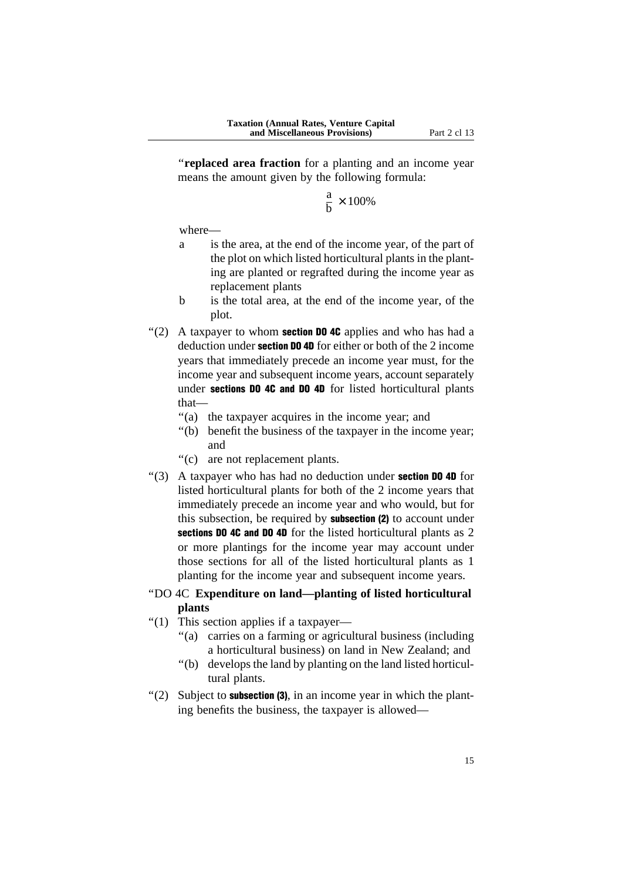''**replaced area fraction** for a planting and an income year means the amount given by the following formula:

$$
\frac{a}{b} \times 100\%
$$

where—

- a is the area, at the end of the income year, of the part of the plot on which listed horticultural plants in the planting are planted or regrafted during the income year as replacement plants
- b is the total area, at the end of the income year, of the plot.
- "(2) A taxpayer to whom **section DO 4C** applies and who has had a deduction under **section DO 4D** for either or both of the 2 income years that immediately precede an income year must, for the income year and subsequent income years, account separately under sections DO 4C and DO 4D for listed horticultural plants that—
	- "(a) the taxpayer acquires in the income year; and
	- ''(b) benefit the business of the taxpayer in the income year; and
	- ''(c) are not replacement plants.
- $\cdot$ (3) A taxpayer who has had no deduction under **section DO 4D** for listed horticultural plants for both of the 2 income years that immediately precede an income year and who would, but for this subsection, be required by **subsection (2)** to account under sections DO 4C and DO 4D for the listed horticultural plants as 2 or more plantings for the income year may account under those sections for all of the listed horticultural plants as 1 planting for the income year and subsequent income years.

### ''DO 4C **Expenditure on land—planting of listed horticultural plants**

- "(1) This section applies if a taxpayer-
	- ''(a) carries on a farming or agricultural business (including a horticultural business) on land in New Zealand; and
	- ''(b) develops the land by planting on the land listed horticultural plants.
- $'(2)$  Subject to **subsection (3)**, in an income year in which the planting benefits the business, the taxpayer is allowed—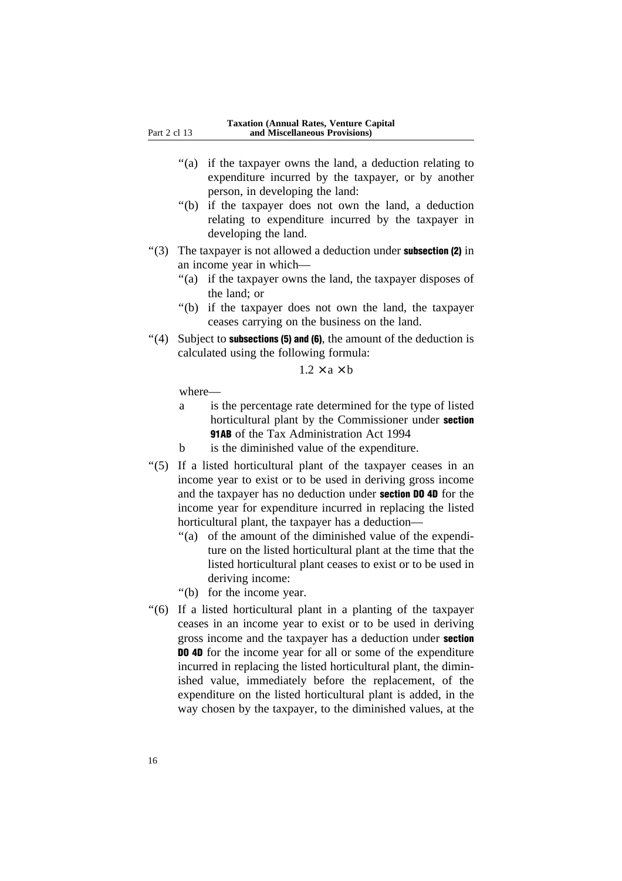- "(a) if the taxpayer owns the land, a deduction relating to expenditure incurred by the taxpayer, or by another person, in developing the land:
- ''(b) if the taxpayer does not own the land, a deduction relating to expenditure incurred by the taxpayer in developing the land.
- $\degree$ (3) The taxpayer is not allowed a deduction under **subsection (2)** in an income year in which—
	- "(a) if the taxpayer owns the land, the taxpayer disposes of the land; or
	- ''(b) if the taxpayer does not own the land, the taxpayer ceases carrying on the business on the land.
- $\degree$ (4) Subject to **subsections (5) and (6)**, the amount of the deduction is calculated using the following formula:

 $1.2 \times a \times b$ 

- a is the percentage rate determined for the type of listed horticultural plant by the Commissioner under section 91AB of the Tax Administration Act 1994
- b is the diminished value of the expenditure.
- ''(5) If a listed horticultural plant of the taxpayer ceases in an income year to exist or to be used in deriving gross income and the taxpayer has no deduction under section DO 4D for the income year for expenditure incurred in replacing the listed horticultural plant, the taxpayer has a deduction—
	- ''(a) of the amount of the diminished value of the expenditure on the listed horticultural plant at the time that the listed horticultural plant ceases to exist or to be used in deriving income:
	- ''(b) for the income year.
- ''(6) If a listed horticultural plant in a planting of the taxpayer ceases in an income year to exist or to be used in deriving gross income and the taxpayer has a deduction under section DO 4D for the income year for all or some of the expenditure incurred in replacing the listed horticultural plant, the diminished value, immediately before the replacement, of the expenditure on the listed horticultural plant is added, in the way chosen by the taxpayer, to the diminished values, at the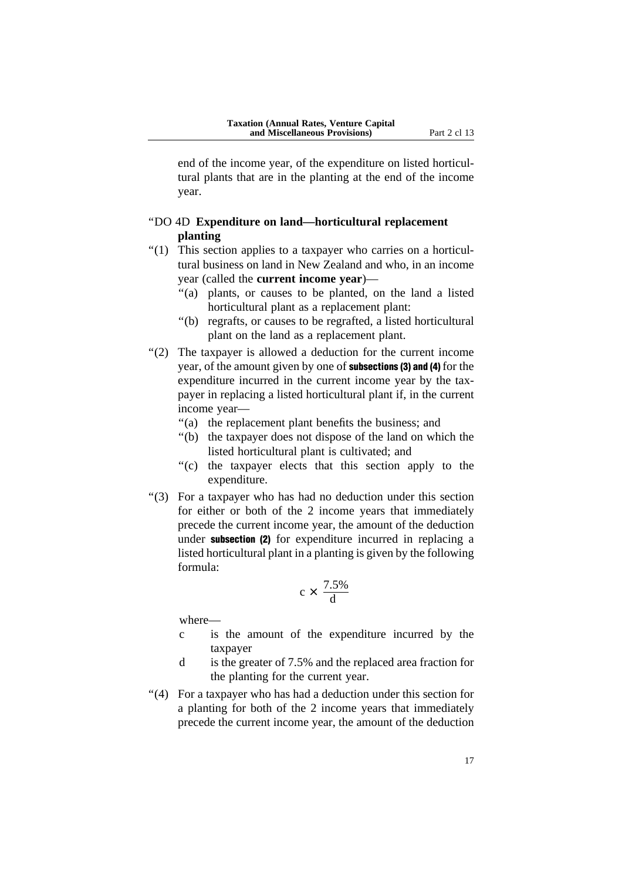end of the income year, of the expenditure on listed horticultural plants that are in the planting at the end of the income year.

### ''DO 4D **Expenditure on land—horticultural replacement planting**

- ''(1) This section applies to a taxpayer who carries on a horticultural business on land in New Zealand and who, in an income year (called the **current income year**)—
	- ''(a) plants, or causes to be planted, on the land a listed horticultural plant as a replacement plant:
	- ''(b) regrafts, or causes to be regrafted, a listed horticultural plant on the land as a replacement plant.
- ''(2) The taxpayer is allowed a deduction for the current income year, of the amount given by one of subsections (3) and (4) for the expenditure incurred in the current income year by the taxpayer in replacing a listed horticultural plant if, in the current income year—
	- ''(a) the replacement plant benefits the business; and
	- ''(b) the taxpayer does not dispose of the land on which the listed horticultural plant is cultivated; and
	- ''(c) the taxpayer elects that this section apply to the expenditure.
- ''(3) For a taxpayer who has had no deduction under this section for either or both of the 2 income years that immediately precede the current income year, the amount of the deduction under subsection (2) for expenditure incurred in replacing a listed horticultural plant in a planting is given by the following formula:

$$
c \times \frac{7.5\%}{d}
$$

- c is the amount of the expenditure incurred by the taxpayer
- d is the greater of 7.5% and the replaced area fraction for the planting for the current year.
- ''(4) For a taxpayer who has had a deduction under this section for a planting for both of the 2 income years that immediately precede the current income year, the amount of the deduction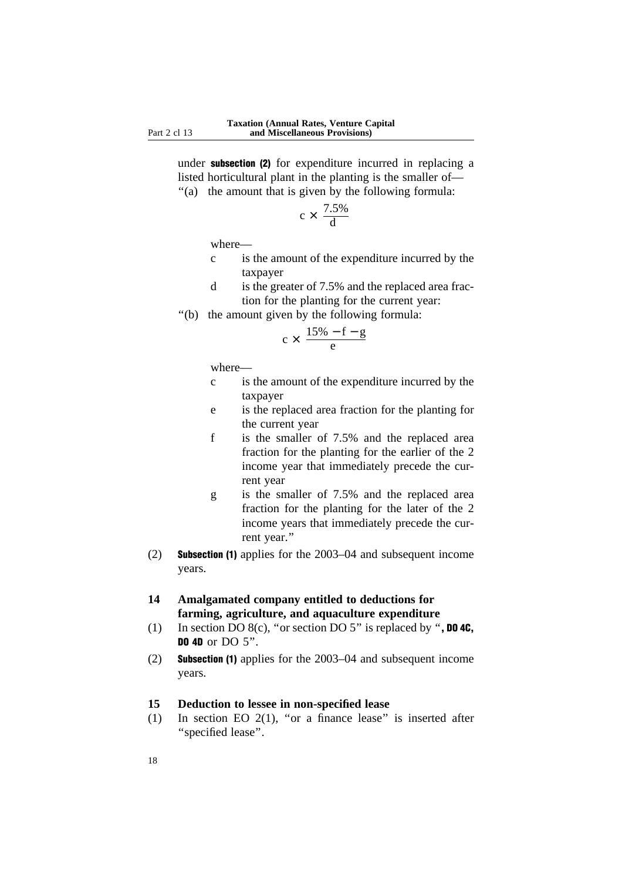under subsection (2) for expenditure incurred in replacing a listed horticultural plant in the planting is the smaller of—

''(a) the amount that is given by the following formula:

$$
c \times \frac{7.5\%}{d}
$$

where—

- c is the amount of the expenditure incurred by the taxpayer
- d is the greater of 7.5% and the replaced area fraction for the planting for the current year:
- ''(b) the amount given by the following formula:

$$
c \times \frac{15\% - f - g}{e}
$$

where—

- c is the amount of the expenditure incurred by the taxpayer
- e is the replaced area fraction for the planting for the current year
- f is the smaller of 7.5% and the replaced area fraction for the planting for the earlier of the 2 income year that immediately precede the current year
- g is the smaller of 7.5% and the replaced area fraction for the planting for the later of the 2 income years that immediately precede the current year.''
- (2) Subsection (1) applies for the 2003–04 and subsequent income years.
- **14 Amalgamated company entitled to deductions for farming, agriculture, and aquaculture expenditure**
- (1) In section DO  $8(c)$ , "or section DO  $5$ " is replaced by ", **DO 4C**, **DO 4D** or DO 5".
- (2) Subsection (1) applies for the 2003–04 and subsequent income years.

# **15 Deduction to lessee in non-specified lease**

(1) In section EO  $2(1)$ , "or a finance lease" is inserted after ''specified lease''.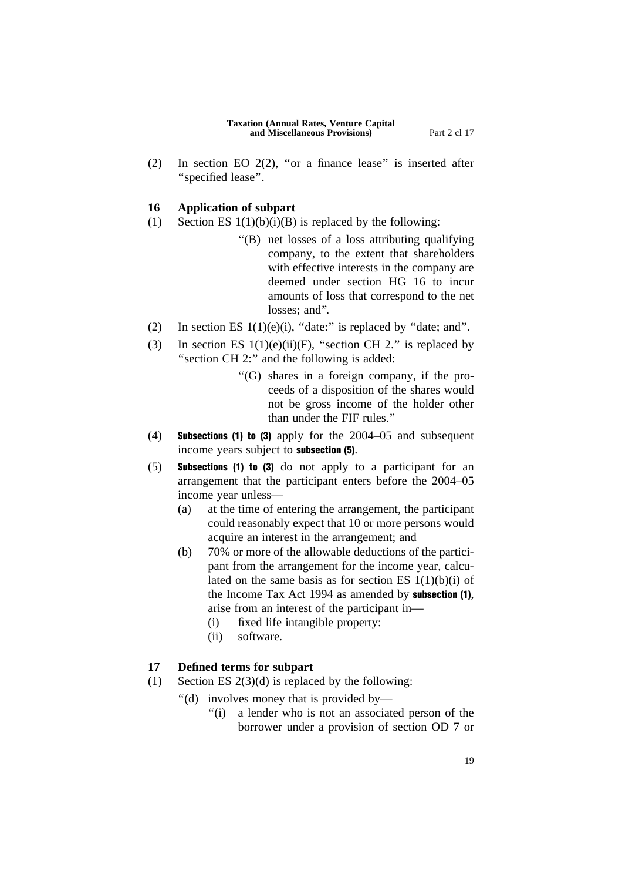(2) In section EO 2(2), ''or a finance lease'' is inserted after ''specified lease''.

#### **16 Application of subpart**

- (1) Section ES  $1(1)(b)(i)(B)$  is replaced by the following:
	- ''(B) net losses of a loss attributing qualifying company, to the extent that shareholders with effective interests in the company are deemed under section HG 16 to incur amounts of loss that correspond to the net losses; and".
- (2) In section ES  $1(1)(e)(i)$ , "date:" is replaced by "date; and".
- (3) In section ES  $1(1)(e)(ii)(F)$ , "section CH 2." is replaced by "section CH 2:" and the following is added:
	- ''(G) shares in a foreign company, if the proceeds of a disposition of the shares would not be gross income of the holder other than under the FIF rules.''
- (4) Subsections (1) to (3) apply for the 2004–05 and subsequent income years subject to subsection (5).
- (5) Subsections (1) to (3) do not apply to a participant for an arrangement that the participant enters before the 2004–05 income year unless—
	- (a) at the time of entering the arrangement, the participant could reasonably expect that 10 or more persons would acquire an interest in the arrangement; and
	- (b) 70% or more of the allowable deductions of the participant from the arrangement for the income year, calculated on the same basis as for section ES 1(1)(b)(i) of the Income Tax Act 1994 as amended by subsection (1), arise from an interest of the participant in—
		- (i) fixed life intangible property:
		- (ii) software.

### **17 Defined terms for subpart**

- (1) Section ES  $2(3)(d)$  is replaced by the following:
	- ''(d) involves money that is provided by—
		- "(i) a lender who is not an associated person of the borrower under a provision of section OD 7 or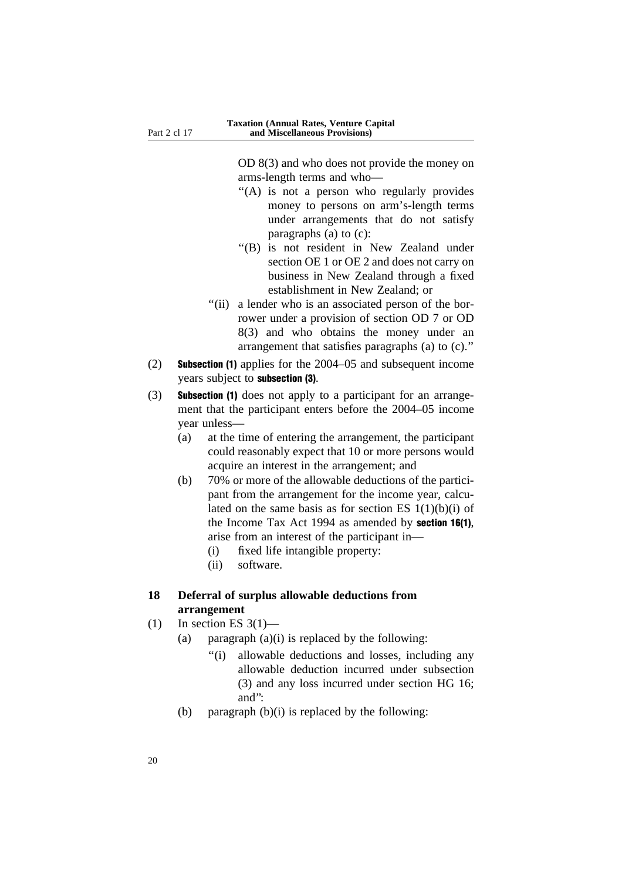OD 8(3) and who does not provide the money on arms-length terms and who—

- "(A) is not a person who regularly provides money to persons on arm's-length terms under arrangements that do not satisfy paragraphs (a) to (c):
- ''(B) is not resident in New Zealand under section OE 1 or OE 2 and does not carry on business in New Zealand through a fixed establishment in New Zealand; or
- "(ii) a lender who is an associated person of the borrower under a provision of section OD 7 or OD 8(3) and who obtains the money under an arrangement that satisfies paragraphs (a) to (c).''
- (2) Subsection (1) applies for the 2004–05 and subsequent income years subject to subsection (3).
- (3) Subsection (1) does not apply to a participant for an arrangement that the participant enters before the 2004–05 income year unless—
	- (a) at the time of entering the arrangement, the participant could reasonably expect that 10 or more persons would acquire an interest in the arrangement; and
	- (b) 70% or more of the allowable deductions of the participant from the arrangement for the income year, calculated on the same basis as for section ES  $1(1)(b)(i)$  of the Income Tax Act 1994 as amended by section 16(1), arise from an interest of the participant in—
		- (i) fixed life intangible property:
		- (ii) software.

# **18 Deferral of surplus allowable deductions from arrangement**

- $(1)$  In section ES 3(1)—
	- (a) paragraph  $(a)(i)$  is replaced by the following:
		- ''(i) allowable deductions and losses, including any allowable deduction incurred under subsection (3) and any loss incurred under section HG 16; and'':
	- (b) paragraph  $(b)(i)$  is replaced by the following: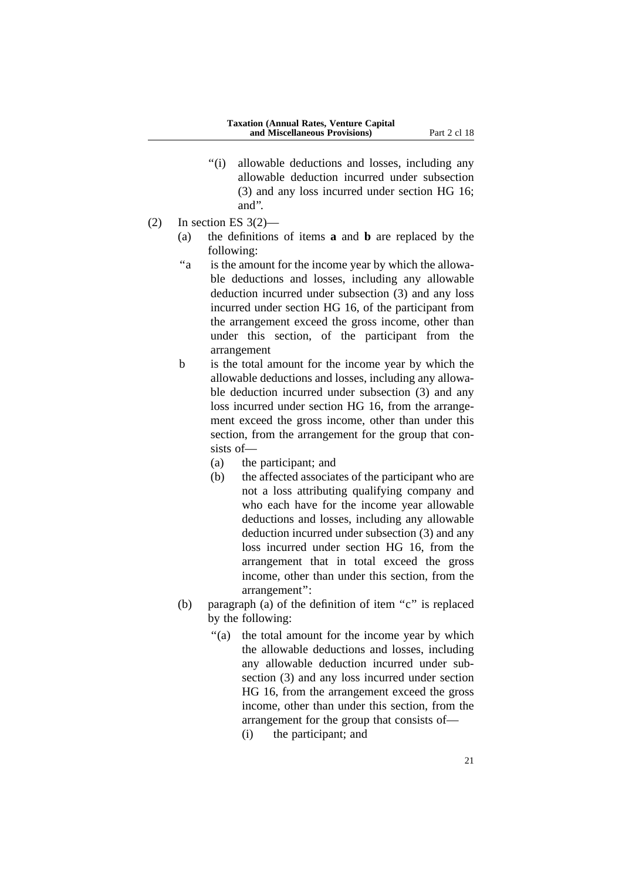- ''(i) allowable deductions and losses, including any allowable deduction incurred under subsection (3) and any loss incurred under section HG 16; and''.
- $(2)$  In section ES 3 $(2)$ 
	- (a) the definitions of items **a** and **b** are replaced by the following:
	- "a is the amount for the income year by which the allowable deductions and losses, including any allowable deduction incurred under subsection (3) and any loss incurred under section HG 16, of the participant from the arrangement exceed the gross income, other than under this section, of the participant from the arrangement
	- b is the total amount for the income year by which the allowable deductions and losses, including any allowable deduction incurred under subsection (3) and any loss incurred under section HG 16, from the arrangement exceed the gross income, other than under this section, from the arrangement for the group that consists of—
		- (a) the participant; and
		- (b) the affected associates of the participant who are not a loss attributing qualifying company and who each have for the income year allowable deductions and losses, including any allowable deduction incurred under subsection (3) and any loss incurred under section HG 16, from the arrangement that in total exceed the gross income, other than under this section, from the arrangement'':
	- (b) paragraph (a) of the definition of item "c" is replaced by the following:
		- ''(a) the total amount for the income year by which the allowable deductions and losses, including any allowable deduction incurred under subsection (3) and any loss incurred under section HG 16, from the arrangement exceed the gross income, other than under this section, from the arrangement for the group that consists of—
			- (i) the participant; and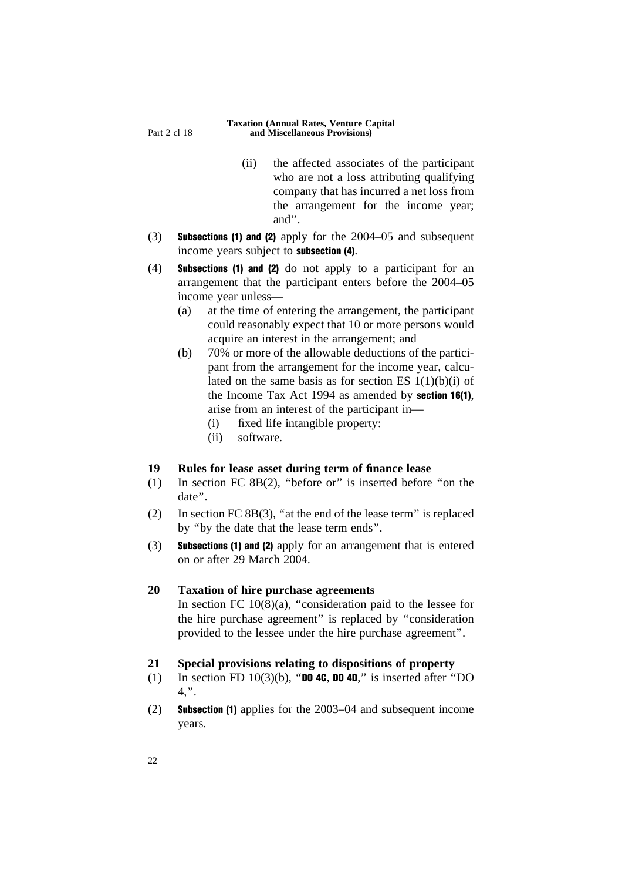- (ii) the affected associates of the participant who are not a loss attributing qualifying company that has incurred a net loss from the arrangement for the income year; and''.
- (3) Subsections (1) and (2) apply for the 2004–05 and subsequent income years subject to subsection (4).
- (4) Subsections (1) and (2) do not apply to a participant for an arrangement that the participant enters before the 2004–05 income year unless—
	- (a) at the time of entering the arrangement, the participant could reasonably expect that 10 or more persons would acquire an interest in the arrangement; and
	- (b) 70% or more of the allowable deductions of the participant from the arrangement for the income year, calculated on the same basis as for section ES  $1(1)(b)(i)$  of the Income Tax Act 1994 as amended by section 16(1), arise from an interest of the participant in—
		- (i) fixed life intangible property:
		- (ii) software.

#### **19 Rules for lease asset during term of finance lease**

- (1) In section FC 8B(2), ''before or'' is inserted before ''on the date''.
- (2) In section FC 8B(3), ''at the end of the lease term'' is replaced by ''by the date that the lease term ends''.
- (3) Subsections (1) and (2) apply for an arrangement that is entered on or after 29 March 2004.

#### **20 Taxation of hire purchase agreements**

In section FC  $10(8)(a)$ , "consideration paid to the lessee for the hire purchase agreement'' is replaced by ''consideration provided to the lessee under the hire purchase agreement''.

#### **21 Special provisions relating to dispositions of property**

- (1) In section FD 10(3)(b), "DO 4C, DO 4D," is inserted after "DO 4,''.
- (2) Subsection (1) applies for the 2003–04 and subsequent income years.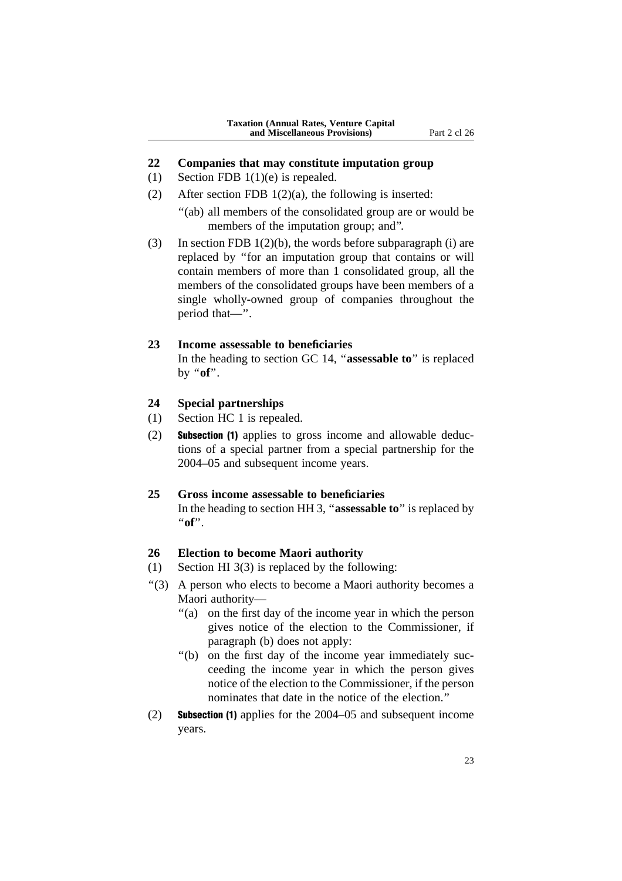#### **22 Companies that may constitute imputation group**

- (1) Section FDB 1(1)(e) is repealed.
- (2) After section FDB  $1(2)(a)$ , the following is inserted:
	- ''(ab) all members of the consolidated group are or would be members of the imputation group; and''.
- (3) In section FDB  $1(2)(b)$ , the words before subparagraph (i) are replaced by ''for an imputation group that contains or will contain members of more than 1 consolidated group, all the members of the consolidated groups have been members of a single wholly-owned group of companies throughout the period that—''.

#### **23 Income assessable to beneficiaries**

In the heading to section GC 14, ''**assessable to**'' is replaced by ''**of**''.

### **24 Special partnerships**

- (1) Section HC 1 is repealed.
- (2) Subsection (1) applies to gross income and allowable deductions of a special partner from a special partnership for the 2004–05 and subsequent income years.

#### **25 Gross income assessable to beneficiaries**

In the heading to section HH 3, ''**assessable to**'' is replaced by ''**of**''.

#### **26 Election to become Maori authority**

- (1) Section HI 3(3) is replaced by the following:
- ''(3) A person who elects to become a Maori authority becomes a Maori authority—
	- ''(a) on the first day of the income year in which the person gives notice of the election to the Commissioner, if paragraph (b) does not apply:
	- ''(b) on the first day of the income year immediately succeeding the income year in which the person gives notice of the election to the Commissioner, if the person nominates that date in the notice of the election.''
- (2) Subsection (1) applies for the 2004–05 and subsequent income years.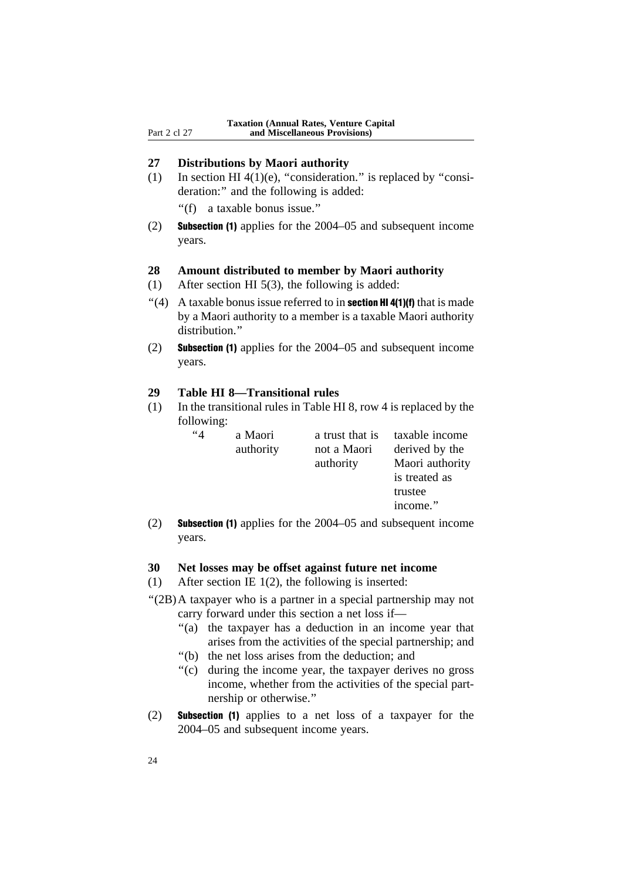### **27 Distributions by Maori authority**

(1) In section HI 4(1)(e), "consideration." is replaced by "consideration:" and the following is added:

''(f) a taxable bonus issue.''

(2) Subsection (1) applies for the 2004–05 and subsequent income years.

### **28 Amount distributed to member by Maori authority**

- (1) After section HI 5(3), the following is added:
- "(4) A taxable bonus issue referred to in **section HI 4(1)(f)** that is made by a Maori authority to a member is a taxable Maori authority distribution.''
- (2) Subsection (1) applies for the 2004–05 and subsequent income years.

#### **29 Table HI 8—Transitional rules**

(1) In the transitional rules in Table HI 8, row 4 is replaced by the following:

| 44 | a Maori   | a trust that is | taxable income  |
|----|-----------|-----------------|-----------------|
|    | authority | not a Maori     | derived by the  |
|    |           | authority       | Maori authority |
|    |           |                 | is treated as   |
|    |           |                 | trustee         |
|    |           |                 | income."        |

(2) Subsection (1) applies for the 2004–05 and subsequent income years.

#### **30 Net losses may be offset against future net income**

- (1) After section IE 1(2), the following is inserted:
- ''(2B)A taxpayer who is a partner in a special partnership may not carry forward under this section a net loss if—
	- ''(a) the taxpayer has a deduction in an income year that arises from the activities of the special partnership; and
	- ''(b) the net loss arises from the deduction; and
	- ''(c) during the income year, the taxpayer derives no gross income, whether from the activities of the special partnership or otherwise.''
- (2) Subsection (1) applies to a net loss of a taxpayer for the 2004–05 and subsequent income years.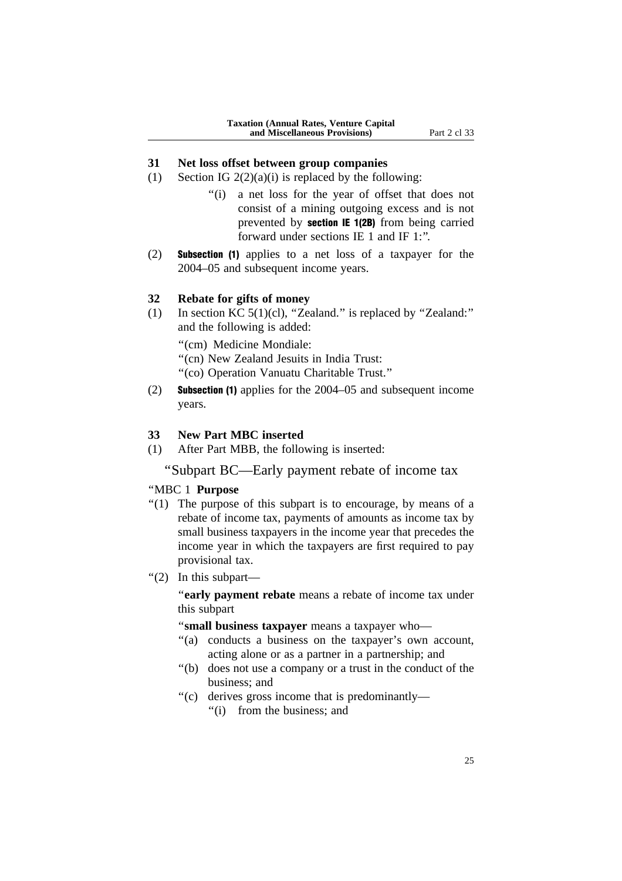#### **31 Net loss offset between group companies**

- (1) Section IG  $2(2)(a)(i)$  is replaced by the following:
	- ''(i) a net loss for the year of offset that does not consist of a mining outgoing excess and is not prevented by section IE 1(2B) from being carried forward under sections IE 1 and IF 1:''.
- (2) Subsection (1) applies to a net loss of a taxpayer for the 2004–05 and subsequent income years.

#### **32 Rebate for gifts of money**

(1) In section KC  $5(1)(c)$ , "Zealand." is replaced by "Zealand:" and the following is added:

''(cm) Medicine Mondiale:

''(cn) New Zealand Jesuits in India Trust:

''(co) Operation Vanuatu Charitable Trust.''

(2) Subsection (1) applies for the 2004–05 and subsequent income years.

#### **33 New Part MBC inserted**

(1) After Part MBB, the following is inserted:

''Subpart BC—Early payment rebate of income tax

#### ''MBC 1 **Purpose**

- $''(1)$  The purpose of this subpart is to encourage, by means of a rebate of income tax, payments of amounts as income tax by small business taxpayers in the income year that precedes the income year in which the taxpayers are first required to pay provisional tax.
- ''(2) In this subpart—

''**early payment rebate** means a rebate of income tax under this subpart

''**small business taxpayer** means a taxpayer who—

- "(a) conducts a business on the taxpayer's own account, acting alone or as a partner in a partnership; and
- ''(b) does not use a company or a trust in the conduct of the business; and
- ''(c) derives gross income that is predominantly— ''(i) from the business; and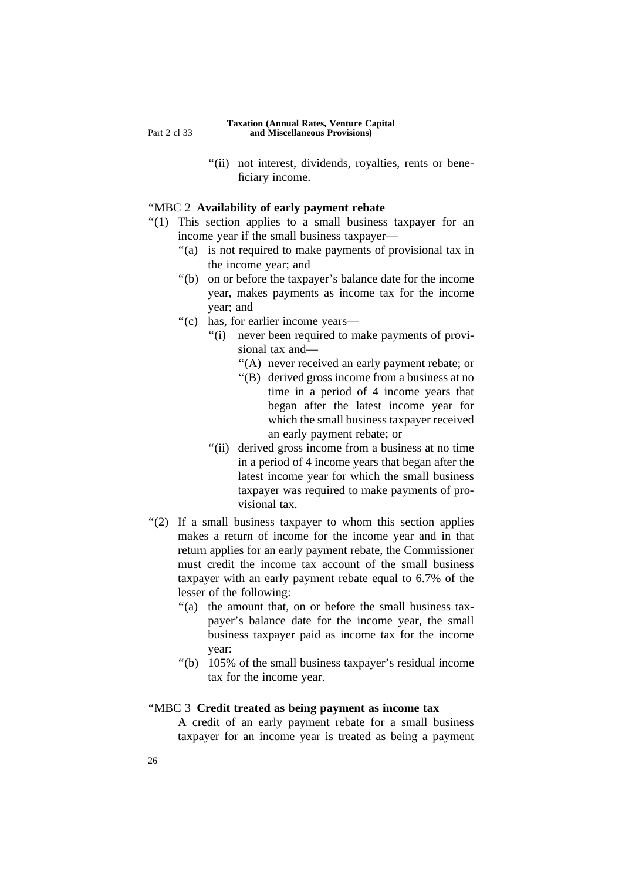"(ii) not interest, dividends, royalties, rents or beneficiary income.

#### ''MBC 2 **Availability of early payment rebate**

- "(1) This section applies to a small business taxpayer for an income year if the small business taxpayer—
	- "(a) is not required to make payments of provisional tax in the income year; and
	- ''(b) on or before the taxpayer's balance date for the income year, makes payments as income tax for the income year; and
	- ''(c) has, for earlier income years—
		- "(i) never been required to make payments of provisional tax and—
			- ''(A) never received an early payment rebate; or
			- ''(B) derived gross income from a business at no time in a period of 4 income years that began after the latest income year for which the small business taxpayer received an early payment rebate; or
		- "(ii) derived gross income from a business at no time in a period of 4 income years that began after the latest income year for which the small business taxpayer was required to make payments of provisional tax.
- ''(2) If a small business taxpayer to whom this section applies makes a return of income for the income year and in that return applies for an early payment rebate, the Commissioner must credit the income tax account of the small business taxpayer with an early payment rebate equal to 6.7% of the lesser of the following:
	- "(a) the amount that, on or before the small business taxpayer's balance date for the income year, the small business taxpayer paid as income tax for the income year:
	- ''(b) 105% of the small business taxpayer's residual income tax for the income year.

### ''MBC 3 **Credit treated as being payment as income tax**

A credit of an early payment rebate for a small business taxpayer for an income year is treated as being a payment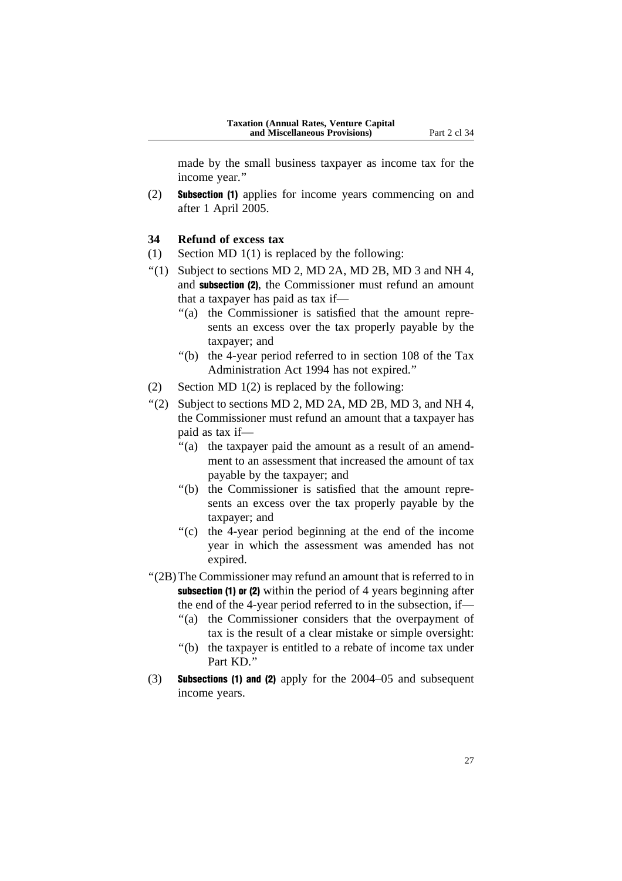made by the small business taxpayer as income tax for the income year.''

(2) Subsection (1) applies for income years commencing on and after 1 April 2005.

# **34 Refund of excess tax**

- (1) Section MD 1(1) is replaced by the following:
- $\lq$ (1) Subject to sections MD 2, MD 2A, MD 2B, MD 3 and NH 4, and subsection (2), the Commissioner must refund an amount that a taxpayer has paid as tax if—
	- "(a) the Commissioner is satisfied that the amount represents an excess over the tax properly payable by the taxpayer; and
	- ''(b) the 4-year period referred to in section 108 of the Tax Administration Act 1994 has not expired.''
- (2) Section MD  $1(2)$  is replaced by the following:
- "(2) Subject to sections MD 2, MD 2A, MD 2B, MD 3, and NH 4, the Commissioner must refund an amount that a taxpayer has paid as tax if—
	- "(a) the taxpayer paid the amount as a result of an amendment to an assessment that increased the amount of tax payable by the taxpayer; and
	- ''(b) the Commissioner is satisfied that the amount represents an excess over the tax properly payable by the taxpayer; and
	- ''(c) the 4-year period beginning at the end of the income year in which the assessment was amended has not expired.
- ''(2B)The Commissioner may refund an amount that is referred to in subsection (1) or (2) within the period of 4 years beginning after the end of the 4-year period referred to in the subsection, if—
	- ''(a) the Commissioner considers that the overpayment of tax is the result of a clear mistake or simple oversight:
	- ''(b) the taxpayer is entitled to a rebate of income tax under Part KD<sup>"</sup>
- (3) Subsections (1) and (2) apply for the 2004–05 and subsequent income years.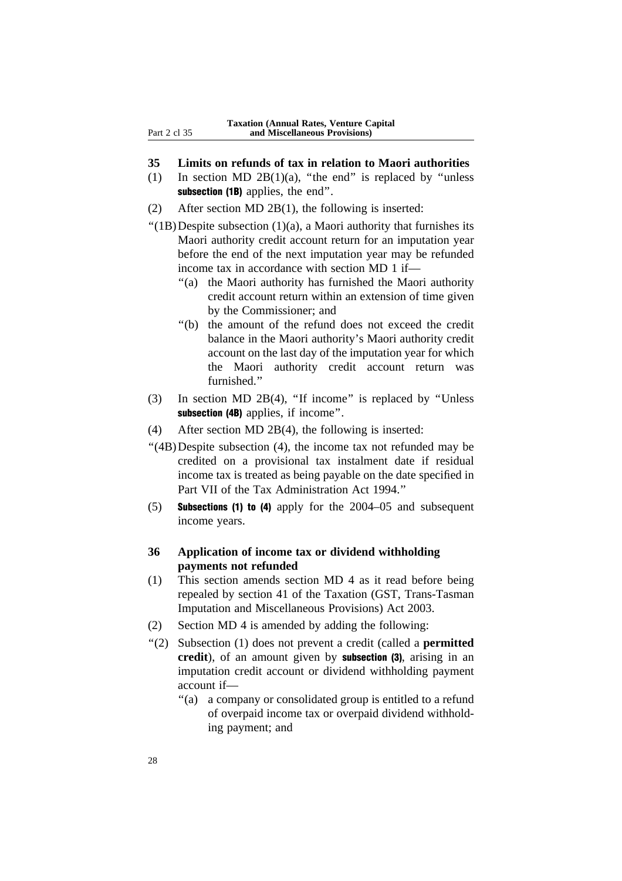- **35 Limits on refunds of tax in relation to Maori authorities**
- (1) In section MD  $2B(1)(a)$ , "the end" is replaced by "unless subsection (1B) applies, the end".
- (2) After section MD 2B(1), the following is inserted:
- "(1B) Despite subsection  $(1)(a)$ , a Maori authority that furnishes its Maori authority credit account return for an imputation year before the end of the next imputation year may be refunded income tax in accordance with section MD 1 if—
	- ''(a) the Maori authority has furnished the Maori authority credit account return within an extension of time given by the Commissioner; and
	- ''(b) the amount of the refund does not exceed the credit balance in the Maori authority's Maori authority credit account on the last day of the imputation year for which the Maori authority credit account return was furnished.''
- (3) In section MD 2B(4), ''If income'' is replaced by ''Unless subsection (4B) applies, if income".
- (4) After section MD 2B(4), the following is inserted:
- ''(4B)Despite subsection (4), the income tax not refunded may be credited on a provisional tax instalment date if residual income tax is treated as being payable on the date specified in Part VII of the Tax Administration Act 1994.''
- (5) Subsections (1) to (4) apply for the 2004–05 and subsequent income years.

#### **36 Application of income tax or dividend withholding payments not refunded**

- (1) This section amends section MD 4 as it read before being repealed by section 41 of the Taxation (GST, Trans-Tasman Imputation and Miscellaneous Provisions) Act 2003.
- (2) Section MD 4 is amended by adding the following:
- ''(2) Subsection (1) does not prevent a credit (called a **permitted** credit), of an amount given by **subsection** (3), arising in an imputation credit account or dividend withholding payment account if—
	- ''(a) a company or consolidated group is entitled to a refund of overpaid income tax or overpaid dividend withholding payment; and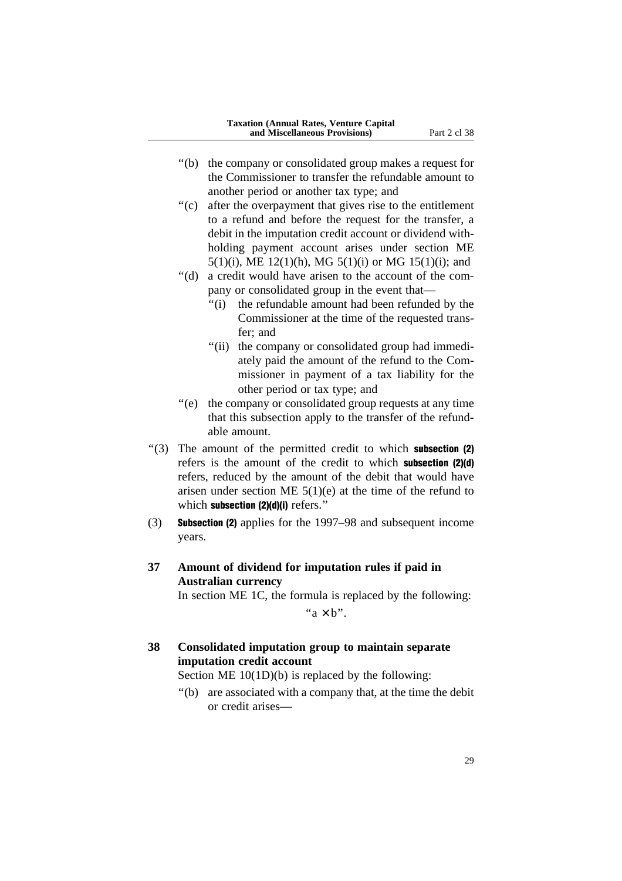- ''(b) the company or consolidated group makes a request for the Commissioner to transfer the refundable amount to another period or another tax type; and
- ''(c) after the overpayment that gives rise to the entitlement to a refund and before the request for the transfer, a debit in the imputation credit account or dividend withholding payment account arises under section ME 5(1)(i), ME 12(1)(h), MG 5(1)(i) or MG 15(1)(i); and
- ''(d) a credit would have arisen to the account of the company or consolidated group in the event that—
	- ''(i) the refundable amount had been refunded by the Commissioner at the time of the requested transfer; and
	- "(ii) the company or consolidated group had immediately paid the amount of the refund to the Commissioner in payment of a tax liability for the other period or tax type; and
- ''(e) the company or consolidated group requests at any time that this subsection apply to the transfer of the refundable amount.
- $\cdot$ (3) The amount of the permitted credit to which **subsection (2)** refers is the amount of the credit to which subsection (2)(d) refers, reduced by the amount of the debit that would have arisen under section ME  $5(1)(e)$  at the time of the refund to which subsection (2)(d)(i) refers."
- (3) Subsection (2) applies for the 1997–98 and subsequent income years.

# **37 Amount of dividend for imputation rules if paid in Australian currency**

In section ME 1C, the formula is replaced by the following:

" $a \times b$ ".

# **38 Consolidated imputation group to maintain separate imputation credit account**

Section ME 10(1D)(b) is replaced by the following:

''(b) are associated with a company that, at the time the debit or credit arises—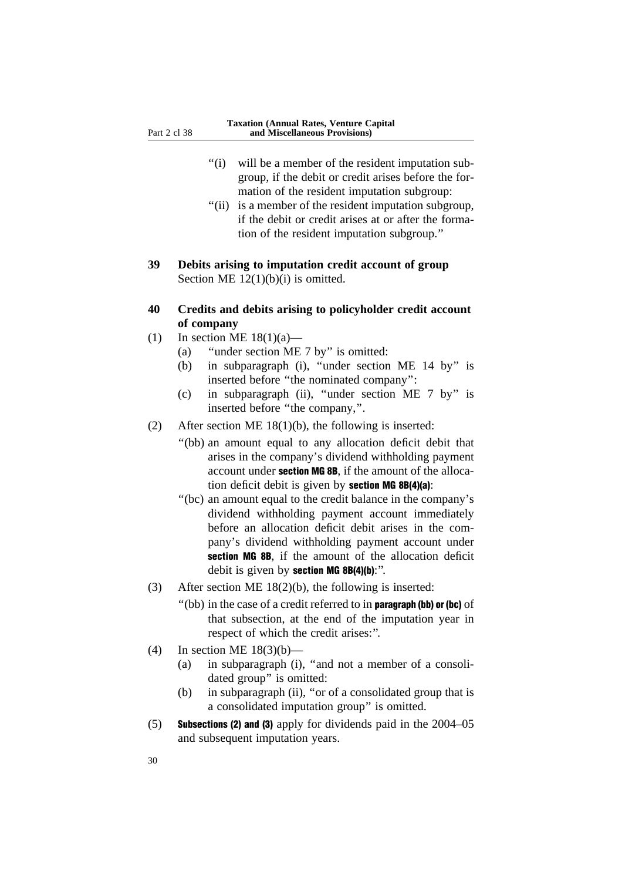- "(i) will be a member of the resident imputation subgroup, if the debit or credit arises before the formation of the resident imputation subgroup:
- "(ii) is a member of the resident imputation subgroup, if the debit or credit arises at or after the formation of the resident imputation subgroup.''
- **39 Debits arising to imputation credit account of group** Section ME  $12(1)(b)(i)$  is omitted.
- **40 Credits and debits arising to policyholder credit account of company**
- (1) In section ME  $18(1)(a)$ 
	- (a) ''under section ME 7 by'' is omitted:
	- (b) in subparagraph (i), ''under section ME 14 by'' is inserted before ''the nominated company'':
	- (c) in subparagraph (ii), ''under section ME 7 by'' is inserted before ''the company,''.
- (2) After section ME 18(1)(b), the following is inserted:
	- ''(bb) an amount equal to any allocation deficit debit that arises in the company's dividend withholding payment account under section MG 8B, if the amount of the allocation deficit debit is given by section MG 8B(4)(a):
	- ''(bc) an amount equal to the credit balance in the company's dividend withholding payment account immediately before an allocation deficit debit arises in the company's dividend withholding payment account under section MG 8B, if the amount of the allocation deficit debit is given by section MG 8B(4)(b):".
- (3) After section ME 18(2)(b), the following is inserted:
	- ''(bb) in the case of a credit referred to in paragraph (bb) or (bc) of that subsection, at the end of the imputation year in respect of which the credit arises:''.
- (4) In section ME 18(3)(b)—
	- (a) in subparagraph (i), ''and not a member of a consolidated group'' is omitted:
	- (b) in subparagraph (ii), ''or of a consolidated group that is a consolidated imputation group'' is omitted.
- (5) Subsections (2) and (3) apply for dividends paid in the 2004–05 and subsequent imputation years.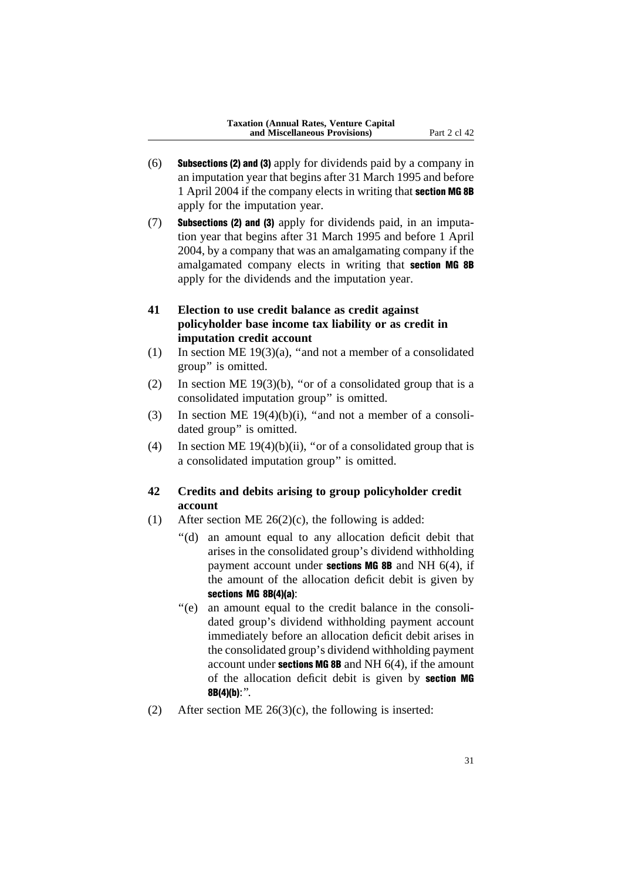- (6) Subsections (2) and (3) apply for dividends paid by a company in an imputation year that begins after 31 March 1995 and before 1 April 2004 if the company elects in writing that section MG 8B apply for the imputation year.
- (7) Subsections (2) and (3) apply for dividends paid, in an imputation year that begins after 31 March 1995 and before 1 April 2004, by a company that was an amalgamating company if the amalgamated company elects in writing that **section MG 8B** apply for the dividends and the imputation year.
- **41 Election to use credit balance as credit against policyholder base income tax liability or as credit in imputation credit account**
- (1) In section ME  $19(3)(a)$ , "and not a member of a consolidated group'' is omitted.
- (2) In section ME 19(3)(b), "or of a consolidated group that is a consolidated imputation group'' is omitted.
- (3) In section ME  $19(4)(b)(i)$ , "and not a member of a consolidated group'' is omitted.
- (4) In section ME  $19(4)(b)(ii)$ , "or of a consolidated group that is a consolidated imputation group'' is omitted.

# **42 Credits and debits arising to group policyholder credit account**

- (1) After section ME  $26(2)(c)$ , the following is added:
	- ''(d) an amount equal to any allocation deficit debit that arises in the consolidated group's dividend withholding payment account under **sections MG 8B** and NH  $6(4)$ , if the amount of the allocation deficit debit is given by sections MG 8B(4)(a):
	- ''(e) an amount equal to the credit balance in the consolidated group's dividend withholding payment account immediately before an allocation deficit debit arises in the consolidated group's dividend withholding payment account under **sections MG 8B** and NH  $6(4)$ , if the amount of the allocation deficit debit is given by section MG  $8B(4)(b)$ :".
- (2) After section ME  $26(3)(c)$ , the following is inserted: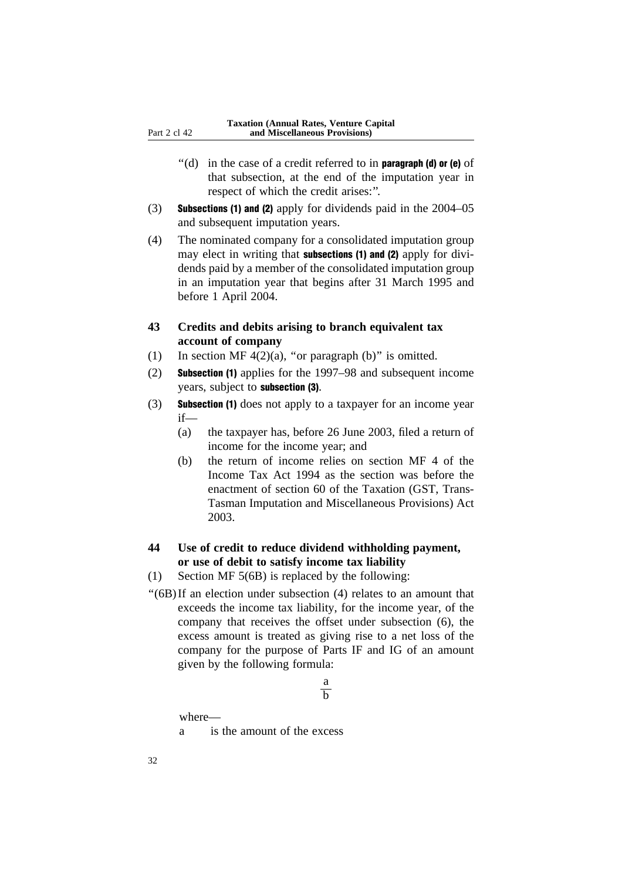- $''$ (d) in the case of a credit referred to in **paragraph (d) or (e)** of that subsection, at the end of the imputation year in respect of which the credit arises:''.
- (3) Subsections (1) and (2) apply for dividends paid in the 2004–05 and subsequent imputation years.
- (4) The nominated company for a consolidated imputation group may elect in writing that **subsections (1) and (2)** apply for dividends paid by a member of the consolidated imputation group in an imputation year that begins after 31 March 1995 and before 1 April 2004.

# **43 Credits and debits arising to branch equivalent tax account of company**

- (1) In section MF  $4(2)(a)$ , "or paragraph (b)" is omitted.
- (2) Subsection (1) applies for the 1997–98 and subsequent income years, subject to subsection (3).
- (3) Subsection (1) does not apply to a taxpayer for an income year if—
	- (a) the taxpayer has, before 26 June 2003, filed a return of income for the income year; and
	- (b) the return of income relies on section MF 4 of the Income Tax Act 1994 as the section was before the enactment of section 60 of the Taxation (GST, Trans-Tasman Imputation and Miscellaneous Provisions) Act 2003.

# **44 Use of credit to reduce dividend withholding payment, or use of debit to satisfy income tax liability**

- (1) Section MF 5(6B) is replaced by the following:
- ''(6B)If an election under subsection (4) relates to an amount that exceeds the income tax liability, for the income year, of the company that receives the offset under subsection (6), the excess amount is treated as giving rise to a net loss of the company for the purpose of Parts IF and IG of an amount given by the following formula:

#### a  $\overline{h}$

where—

a is the amount of the excess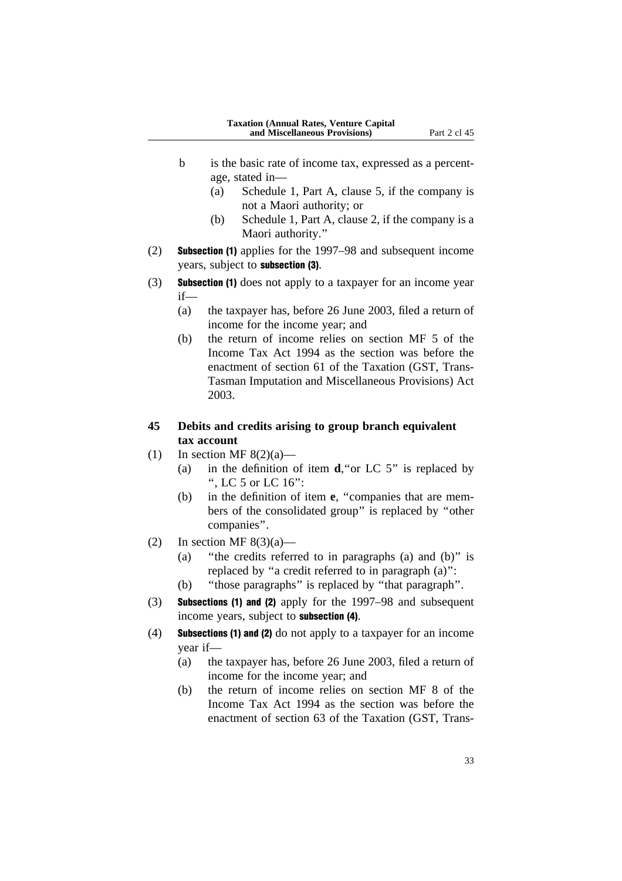- b is the basic rate of income tax, expressed as a percentage, stated in—
	- (a) Schedule 1, Part A, clause 5, if the company is not a Maori authority; or
	- (b) Schedule 1, Part A, clause 2, if the company is a Maori authority.''
- (2) Subsection (1) applies for the 1997–98 and subsequent income years, subject to subsection (3).
- (3) Subsection (1) does not apply to a taxpayer for an income year if—
	- (a) the taxpayer has, before 26 June 2003, filed a return of income for the income year; and
	- (b) the return of income relies on section MF 5 of the Income Tax Act 1994 as the section was before the enactment of section 61 of the Taxation (GST, Trans-Tasman Imputation and Miscellaneous Provisions) Act 2003.

# **45 Debits and credits arising to group branch equivalent tax account**

- (1) In section MF  $8(2)(a)$ 
	- (a) in the definition of item **d**,''or LC 5'' is replaced by '', LC 5 or LC 16'':
	- (b) in the definition of item **e**, ''companies that are members of the consolidated group'' is replaced by ''other companies''.
- (2) In section MF  $8(3)(a)$ 
	- (a) ''the credits referred to in paragraphs (a) and (b)'' is replaced by ''a credit referred to in paragraph (a)'':
	- (b) ''those paragraphs'' is replaced by ''that paragraph''.
- (3) Subsections (1) and (2) apply for the 1997–98 and subsequent income years, subject to subsection (4).
- (4) Subsections (1) and (2) do not apply to a taxpayer for an income year if—
	- (a) the taxpayer has, before 26 June 2003, filed a return of income for the income year; and
	- (b) the return of income relies on section MF 8 of the Income Tax Act 1994 as the section was before the enactment of section 63 of the Taxation (GST, Trans-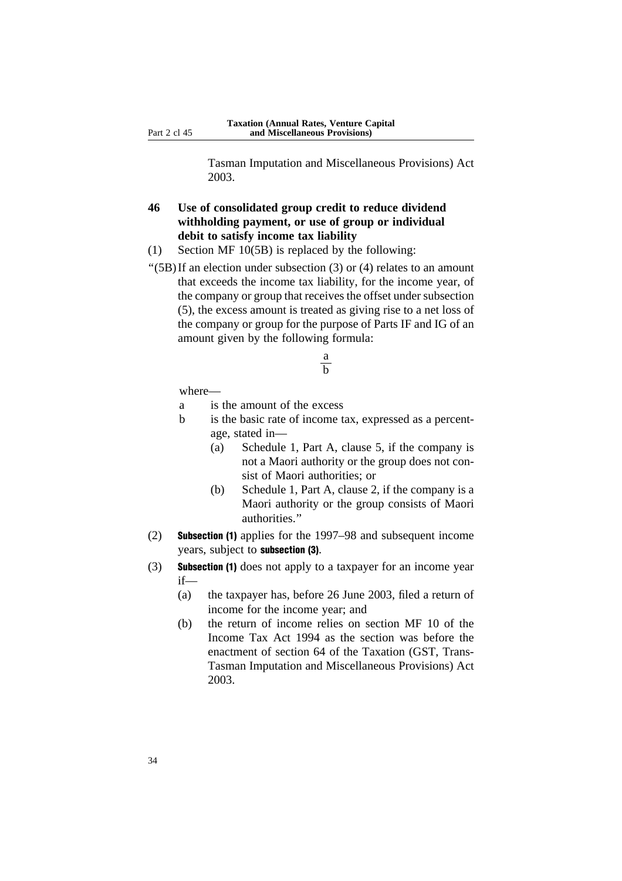Tasman Imputation and Miscellaneous Provisions) Act 2003.

# **46 Use of consolidated group credit to reduce dividend withholding payment, or use of group or individual debit to satisfy income tax liability**

- (1) Section MF 10(5B) is replaced by the following:
- ''(5B)If an election under subsection (3) or (4) relates to an amount that exceeds the income tax liability, for the income year, of the company or group that receives the offset under subsection (5), the excess amount is treated as giving rise to a net loss of the company or group for the purpose of Parts IF and IG of an amount given by the following formula:

$$
\frac{a}{b}
$$

- a is the amount of the excess
- b is the basic rate of income tax, expressed as a percentage, stated in—
	- (a) Schedule 1, Part A, clause 5, if the company is not a Maori authority or the group does not consist of Maori authorities; or
	- (b) Schedule 1, Part A, clause 2, if the company is a Maori authority or the group consists of Maori authorities.''
- (2) Subsection (1) applies for the 1997–98 and subsequent income years, subject to subsection (3).
- (3) Subsection (1) does not apply to a taxpayer for an income year if—
	- (a) the taxpayer has, before 26 June 2003, filed a return of income for the income year; and
	- (b) the return of income relies on section MF 10 of the Income Tax Act 1994 as the section was before the enactment of section 64 of the Taxation (GST, Trans-Tasman Imputation and Miscellaneous Provisions) Act 2003.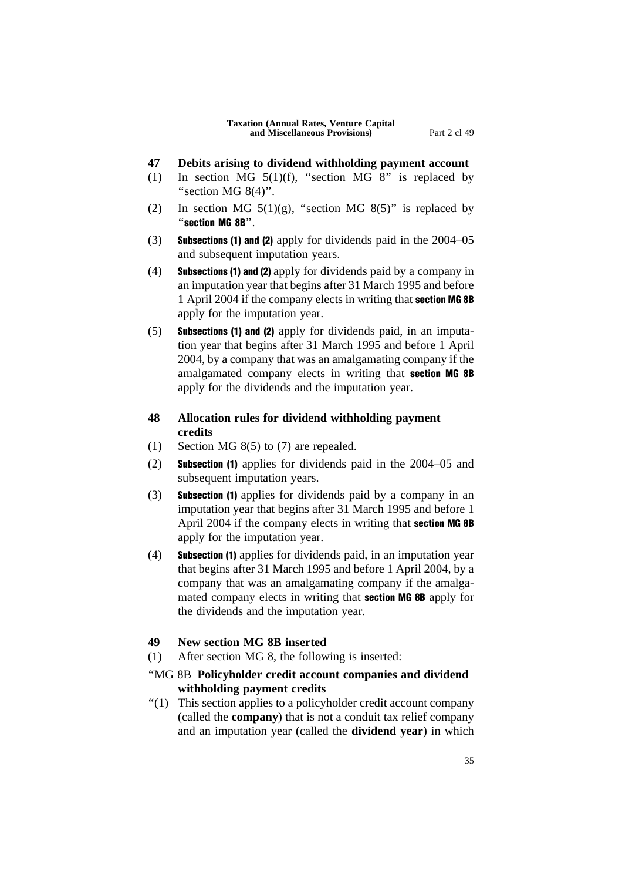- **47 Debits arising to dividend withholding payment account**
- (1) In section MG  $5(1)(f)$ , "section MG 8" is replaced by "section MG 8(4)".
- (2) In section MG  $5(1)(g)$ , "section MG  $8(5)$ " is replaced by ''section MG 8B''.
- (3) Subsections (1) and (2) apply for dividends paid in the 2004–05 and subsequent imputation years.
- (4) Subsections (1) and (2) apply for dividends paid by a company in an imputation year that begins after 31 March 1995 and before 1 April 2004 if the company elects in writing that section MG 8B apply for the imputation year.
- (5) Subsections (1) and (2) apply for dividends paid, in an imputation year that begins after 31 March 1995 and before 1 April 2004, by a company that was an amalgamating company if the amalgamated company elects in writing that section MG 8B apply for the dividends and the imputation year.

# **48 Allocation rules for dividend withholding payment credits**

- (1) Section MG 8(5) to (7) are repealed.
- (2) Subsection (1) applies for dividends paid in the 2004–05 and subsequent imputation years.
- (3) Subsection (1) applies for dividends paid by a company in an imputation year that begins after 31 March 1995 and before 1 April 2004 if the company elects in writing that section MG 8B apply for the imputation year.
- (4) Subsection (1) applies for dividends paid, in an imputation year that begins after 31 March 1995 and before 1 April 2004, by a company that was an amalgamating company if the amalgamated company elects in writing that **section MG 8B** apply for the dividends and the imputation year.

### **49 New section MG 8B inserted**

- (1) After section MG 8, the following is inserted:
- ''MG 8B **Policyholder credit account companies and dividend withholding payment credits**
- ''(1) This section applies to a policyholder credit account company (called the **company**) that is not a conduit tax relief company and an imputation year (called the **dividend year**) in which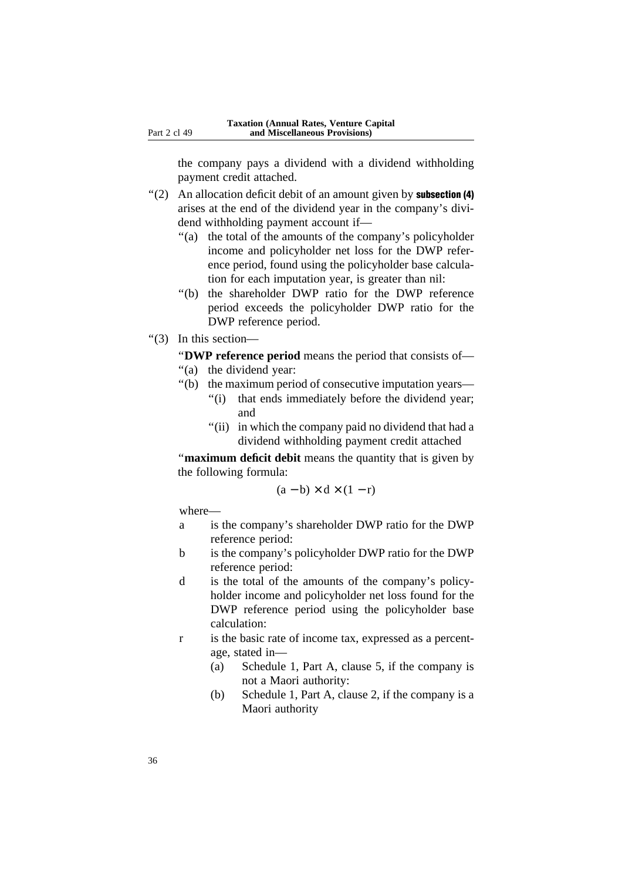the company pays a dividend with a dividend withholding payment credit attached.

- $''(2)$  An allocation deficit debit of an amount given by **subsection** (4) arises at the end of the dividend year in the company's dividend withholding payment account if—
	- ''(a) the total of the amounts of the company's policyholder income and policyholder net loss for the DWP reference period, found using the policyholder base calculation for each imputation year, is greater than nil:
	- ''(b) the shareholder DWP ratio for the DWP reference period exceeds the policyholder DWP ratio for the DWP reference period.
- ''(3) In this section—

''**DWP reference period** means the period that consists of—

- "(a) the dividend year:
- ''(b) the maximum period of consecutive imputation years—
	- "(i) that ends immediately before the dividend year; and
	- "(ii) in which the company paid no dividend that had a dividend withholding payment credit attached

''**maximum deficit debit** means the quantity that is given by the following formula:

$$
(a - b) \times d \times (1 - r)
$$

- a is the company's shareholder DWP ratio for the DWP reference period:
- b is the company's policyholder DWP ratio for the DWP reference period:
- d is the total of the amounts of the company's policyholder income and policyholder net loss found for the DWP reference period using the policyholder base calculation:
- r is the basic rate of income tax, expressed as a percentage, stated in—
	- (a) Schedule 1, Part A, clause 5, if the company is not a Maori authority:
	- (b) Schedule 1, Part A, clause 2, if the company is a Maori authority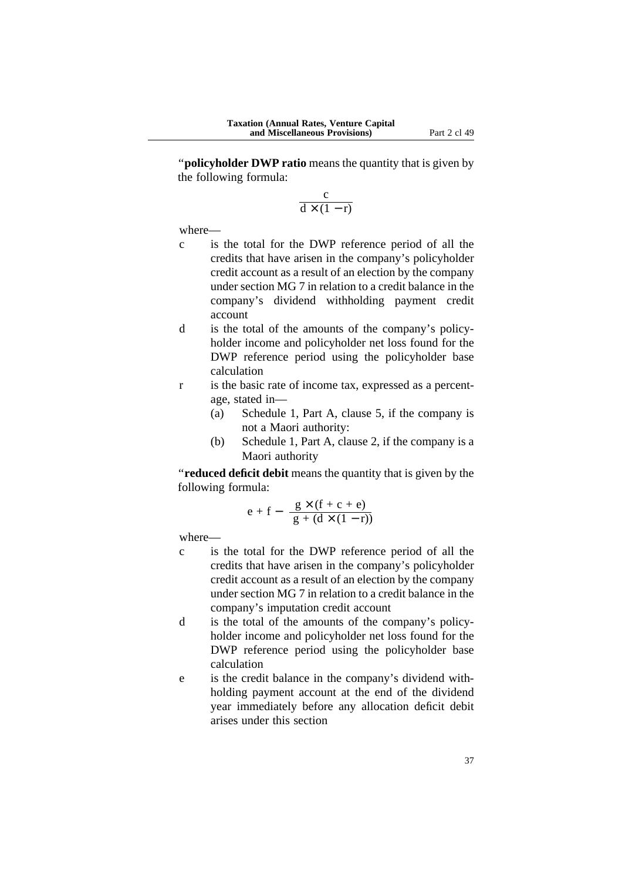''**policyholder DWP ratio** means the quantity that is given by the following formula:

$$
\frac{c}{d\times(1-r)}
$$

where—

- c is the total for the DWP reference period of all the credits that have arisen in the company's policyholder credit account as a result of an election by the company under section MG 7 in relation to a credit balance in the company's dividend withholding payment credit account
- d is the total of the amounts of the company's policyholder income and policyholder net loss found for the DWP reference period using the policyholder base calculation
- r is the basic rate of income tax, expressed as a percentage, stated in—
	- (a) Schedule 1, Part A, clause 5, if the company is not a Maori authority:
	- (b) Schedule 1, Part A, clause 2, if the company is a Maori authority

''**reduced deficit debit** means the quantity that is given by the following formula:

$$
e + f - \frac{g \times (f + c + e)}{g + (d \times (1 - r))}
$$

- c is the total for the DWP reference period of all the credits that have arisen in the company's policyholder credit account as a result of an election by the company under section MG 7 in relation to a credit balance in the company's imputation credit account
- d is the total of the amounts of the company's policyholder income and policyholder net loss found for the DWP reference period using the policyholder base calculation
- e is the credit balance in the company's dividend withholding payment account at the end of the dividend year immediately before any allocation deficit debit arises under this section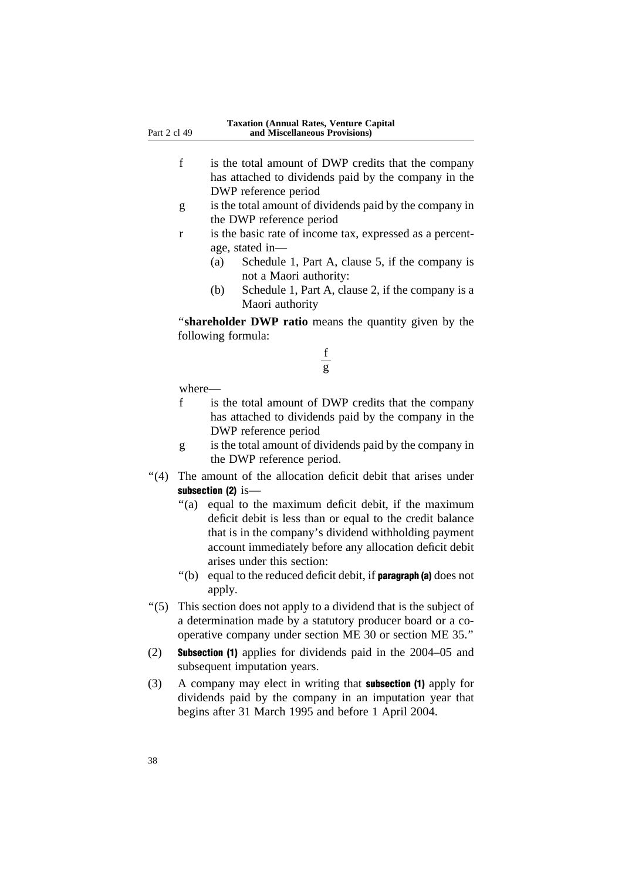- f is the total amount of DWP credits that the company has attached to dividends paid by the company in the DWP reference period
- g is the total amount of dividends paid by the company in the DWP reference period
- r is the basic rate of income tax, expressed as a percentage, stated in—
	- (a) Schedule 1, Part A, clause 5, if the company is not a Maori authority:
	- (b) Schedule 1, Part A, clause 2, if the company is a Maori authority

''**shareholder DWP ratio** means the quantity given by the following formula:



- f is the total amount of DWP credits that the company has attached to dividends paid by the company in the DWP reference period
- g is the total amount of dividends paid by the company in the DWP reference period.
- ''(4) The amount of the allocation deficit debit that arises under subsection (2) is-
	- ''(a) equal to the maximum deficit debit, if the maximum deficit debit is less than or equal to the credit balance that is in the company's dividend withholding payment account immediately before any allocation deficit debit arises under this section:
	- $'(b)$  equal to the reduced deficit debit, if **paragraph (a)** does not apply.
- ''(5) This section does not apply to a dividend that is the subject of a determination made by a statutory producer board or a cooperative company under section ME 30 or section ME 35.''
- (2) Subsection (1) applies for dividends paid in the 2004–05 and subsequent imputation years.
- (3) A company may elect in writing that subsection (1) apply for dividends paid by the company in an imputation year that begins after 31 March 1995 and before 1 April 2004.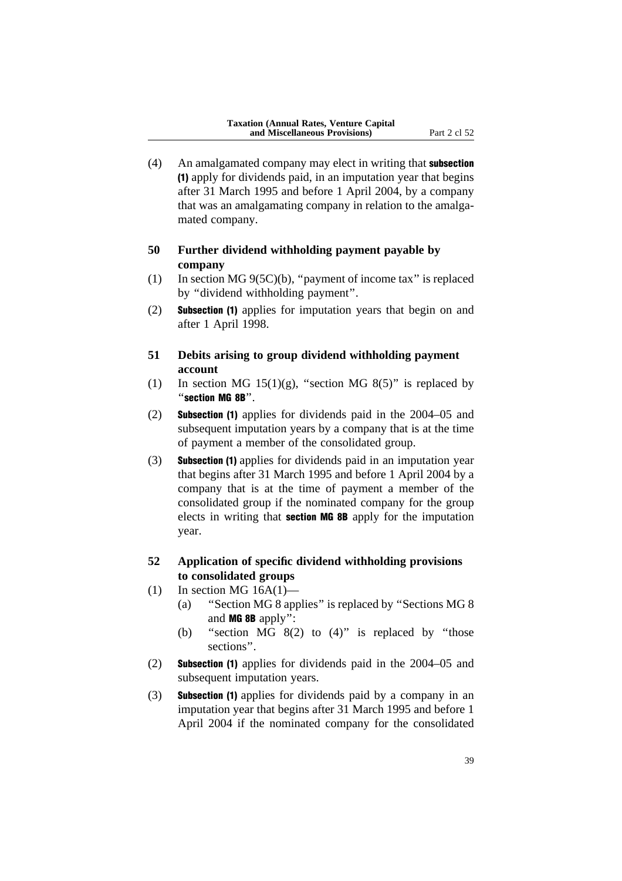(4) An amalgamated company may elect in writing that subsection (1) apply for dividends paid, in an imputation year that begins after 31 March 1995 and before 1 April 2004, by a company that was an amalgamating company in relation to the amalgamated company.

# **50 Further dividend withholding payment payable by company**

- (1) In section MG 9(5C)(b), ''payment of income tax'' is replaced by ''dividend withholding payment''.
- (2) Subsection (1) applies for imputation years that begin on and after 1 April 1998.
- **51 Debits arising to group dividend withholding payment account**
- (1) In section MG  $15(1)(g)$ , "section MG  $8(5)$ " is replaced by ''section MG 8B''.
- (2) Subsection (1) applies for dividends paid in the 2004–05 and subsequent imputation years by a company that is at the time of payment a member of the consolidated group.
- (3) Subsection (1) applies for dividends paid in an imputation year that begins after 31 March 1995 and before 1 April 2004 by a company that is at the time of payment a member of the consolidated group if the nominated company for the group elects in writing that section MG 8B apply for the imputation year.
- **52 Application of specific dividend withholding provisions to consolidated groups**
- $(1)$  In section MG 16A $(1)$ 
	- (a) ''Section MG 8 applies'' is replaced by ''Sections MG 8 and MG 8B apply'':
	- (b) "section MG  $8(2)$  to  $(4)$ " is replaced by "those sections''.
- (2) Subsection (1) applies for dividends paid in the 2004–05 and subsequent imputation years.
- (3) Subsection (1) applies for dividends paid by a company in an imputation year that begins after 31 March 1995 and before 1 April 2004 if the nominated company for the consolidated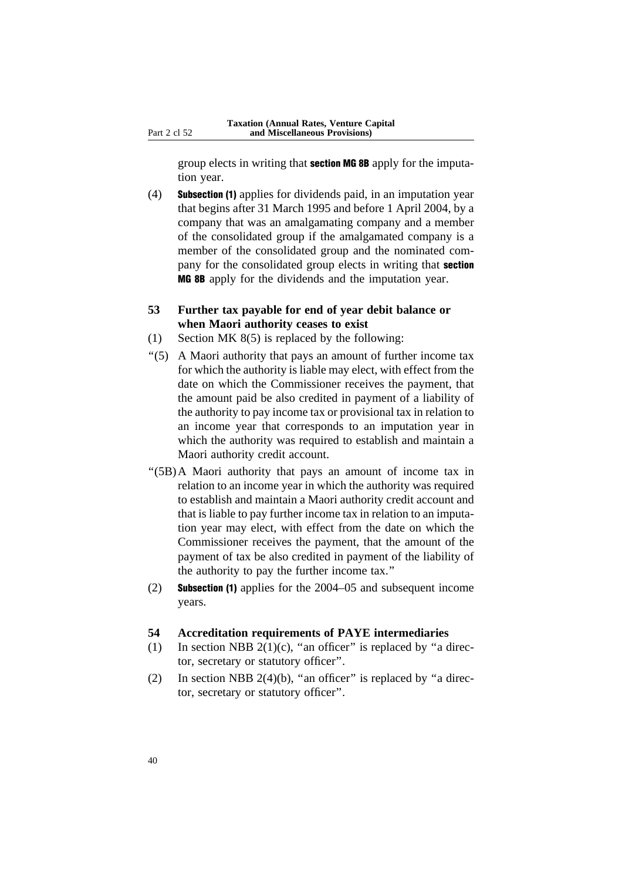group elects in writing that section MG 8B apply for the imputation year.

(4) Subsection (1) applies for dividends paid, in an imputation year that begins after 31 March 1995 and before 1 April 2004, by a company that was an amalgamating company and a member of the consolidated group if the amalgamated company is a member of the consolidated group and the nominated company for the consolidated group elects in writing that **section** MG 8B apply for the dividends and the imputation year.

### **53 Further tax payable for end of year debit balance or when Maori authority ceases to exist**

- (1) Section MK 8(5) is replaced by the following:
- ''(5) A Maori authority that pays an amount of further income tax for which the authority is liable may elect, with effect from the date on which the Commissioner receives the payment, that the amount paid be also credited in payment of a liability of the authority to pay income tax or provisional tax in relation to an income year that corresponds to an imputation year in which the authority was required to establish and maintain a Maori authority credit account.
- ''(5B)A Maori authority that pays an amount of income tax in relation to an income year in which the authority was required to establish and maintain a Maori authority credit account and that is liable to pay further income tax in relation to an imputation year may elect, with effect from the date on which the Commissioner receives the payment, that the amount of the payment of tax be also credited in payment of the liability of the authority to pay the further income tax.''
- (2) Subsection (1) applies for the 2004–05 and subsequent income years.

#### **54 Accreditation requirements of PAYE intermediaries**

- (1) In section NBB  $2(1)(c)$ , "an officer" is replaced by "a director, secretary or statutory officer''.
- (2) In section NBB 2(4)(b), "an officer" is replaced by "a director, secretary or statutory officer''.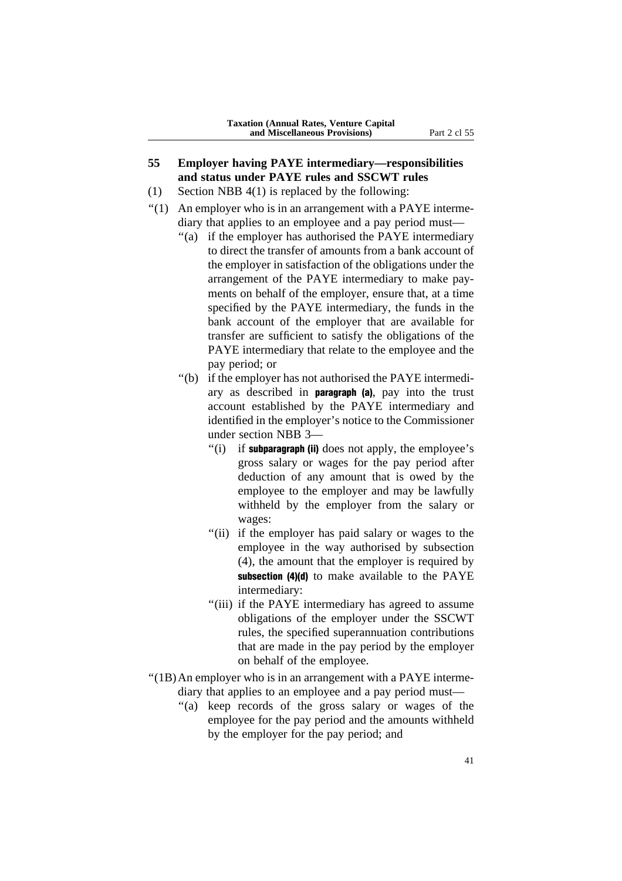- **55 Employer having PAYE intermediary—responsibilities and status under PAYE rules and SSCWT rules**
- (1) Section NBB 4(1) is replaced by the following:
- $''(1)$  An employer who is in an arrangement with a PAYE intermediary that applies to an employee and a pay period must—
	- ''(a) if the employer has authorised the PAYE intermediary to direct the transfer of amounts from a bank account of the employer in satisfaction of the obligations under the arrangement of the PAYE intermediary to make payments on behalf of the employer, ensure that, at a time specified by the PAYE intermediary, the funds in the bank account of the employer that are available for transfer are sufficient to satisfy the obligations of the PAYE intermediary that relate to the employee and the pay period; or
	- ''(b) if the employer has not authorised the PAYE intermediary as described in paragraph (a), pay into the trust account established by the PAYE intermediary and identified in the employer's notice to the Commissioner under section NBB 3—
		- $''(i)$  if subparagraph (ii) does not apply, the employee's gross salary or wages for the pay period after deduction of any amount that is owed by the employee to the employer and may be lawfully withheld by the employer from the salary or wages:
		- "(ii) if the employer has paid salary or wages to the employee in the way authorised by subsection (4), the amount that the employer is required by subsection (4)(d) to make available to the PAYE intermediary:
		- ''(iii) if the PAYE intermediary has agreed to assume obligations of the employer under the SSCWT rules, the specified superannuation contributions that are made in the pay period by the employer on behalf of the employee.
- ''(1B)An employer who is in an arrangement with a PAYE intermediary that applies to an employee and a pay period must—
	- ''(a) keep records of the gross salary or wages of the employee for the pay period and the amounts withheld by the employer for the pay period; and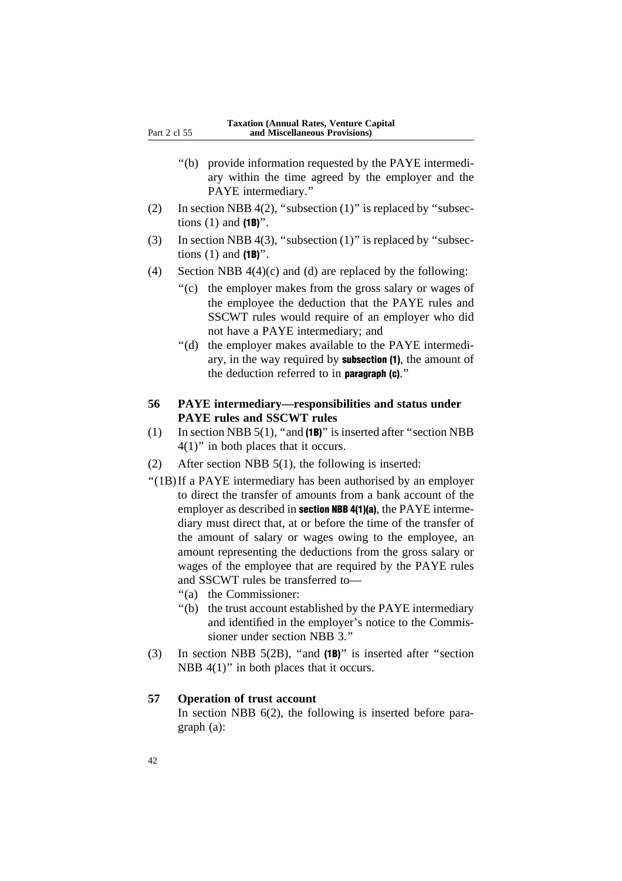- ''(b) provide information requested by the PAYE intermediary within the time agreed by the employer and the PAYE intermediary.''
- (2) In section NBB 4(2), "subsection  $(1)$ " is replaced by "subsections  $(1)$  and  $(1B)$ ".
- (3) In section NBB 4(3), "subsection  $(1)$ " is replaced by "subsections  $(1)$  and  $(1B)$ ".
- (4) Section NBB  $4(4)(c)$  and (d) are replaced by the following:
	- ''(c) the employer makes from the gross salary or wages of the employee the deduction that the PAYE rules and SSCWT rules would require of an employer who did not have a PAYE intermediary; and
	- ''(d) the employer makes available to the PAYE intermediary, in the way required by subsection (1), the amount of the deduction referred to in paragraph (c).''
- **56 PAYE intermediary—responsibilities and status under PAYE rules and SSCWT rules**
- (1) In section NBB  $5(1)$ , "and  $(1B)$ " is inserted after "section NBB  $4(1)$ " in both places that it occurs.
- (2) After section NBB 5(1), the following is inserted:
- ''(1B)If a PAYE intermediary has been authorised by an employer to direct the transfer of amounts from a bank account of the employer as described in **section NBB 4(1)(a)**, the PAYE intermediary must direct that, at or before the time of the transfer of the amount of salary or wages owing to the employee, an amount representing the deductions from the gross salary or wages of the employee that are required by the PAYE rules and SSCWT rules be transferred to—
	- ''(a) the Commissioner:
	- ''(b) the trust account established by the PAYE intermediary and identified in the employer's notice to the Commissioner under section NBB 3"
- (3) In section NBB 5(2B), ''and (1B)'' is inserted after ''section NBB  $4(1)$ " in both places that it occurs.

### **57 Operation of trust account**

In section NBB 6(2), the following is inserted before paragraph (a):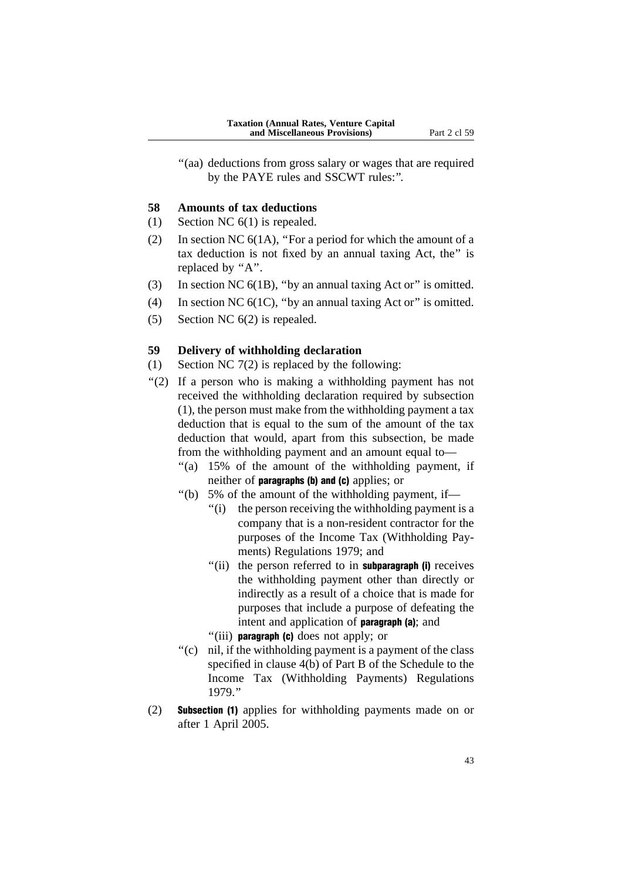"(aa) deductions from gross salary or wages that are required by the PAYE rules and SSCWT rules:''.

#### **58 Amounts of tax deductions**

- (1) Section NC 6(1) is repealed.
- (2) In section NC 6(1A), ''For a period for which the amount of a tax deduction is not fixed by an annual taxing Act, the'' is replaced by "A".
- (3) In section NC 6(1B), ''by an annual taxing Act or'' is omitted.
- (4) In section NC  $6(1C)$ , "by an annual taxing Act or" is omitted.
- (5) Section NC 6(2) is repealed.

### **59 Delivery of withholding declaration**

- (1) Section NC  $7(2)$  is replaced by the following:
- "(2) If a person who is making a withholding payment has not received the withholding declaration required by subsection (1), the person must make from the withholding payment a tax deduction that is equal to the sum of the amount of the tax deduction that would, apart from this subsection, be made from the withholding payment and an amount equal to—
	- ''(a) 15% of the amount of the withholding payment, if neither of paragraphs (b) and (c) applies; or
	- ''(b) 5% of the amount of the withholding payment, if—
		- "(i) the person receiving the withholding payment is a company that is a non-resident contractor for the purposes of the Income Tax (Withholding Payments) Regulations 1979; and
		- "(ii) the person referred to in **subparagraph (i)** receives the withholding payment other than directly or indirectly as a result of a choice that is made for purposes that include a purpose of defeating the intent and application of **paragraph** (a); and
		- ''(iii) paragraph (c) does not apply; or
	- ''(c) nil, if the withholding payment is a payment of the class specified in clause 4(b) of Part B of the Schedule to the Income Tax (Withholding Payments) Regulations 1979.''
- (2) Subsection (1) applies for withholding payments made on or after 1 April 2005.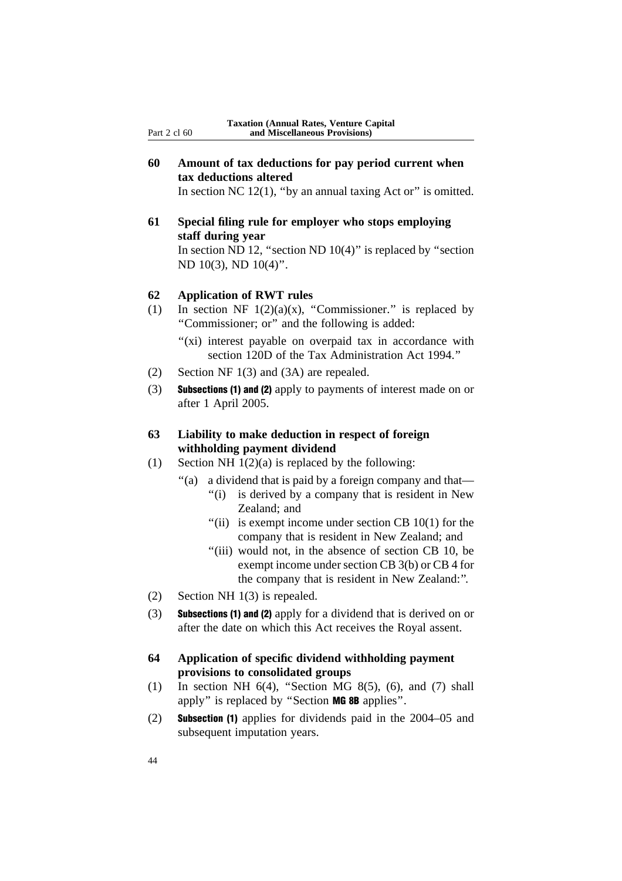**60 Amount of tax deductions for pay period current when tax deductions altered**

In section NC  $12(1)$ , "by an annual taxing Act or" is omitted.

**61 Special filing rule for employer who stops employing staff during year** In section ND 12, "section ND  $10(4)$ " is replaced by "section ND 10(3), ND 10(4)''.

### **62 Application of RWT rules**

- (1) In section NF  $1(2)(a)(x)$ , "Commissioner." is replaced by ''Commissioner; or'' and the following is added:
	- "(xi) interest payable on overpaid tax in accordance with section 120D of the Tax Administration Act 1994.''
- (2) Section NF 1(3) and (3A) are repealed.
- (3) Subsections (1) and (2) apply to payments of interest made on or after 1 April 2005.

### **63 Liability to make deduction in respect of foreign withholding payment dividend**

- (1) Section NH  $1(2)(a)$  is replaced by the following:
	- ''(a) a dividend that is paid by a foreign company and that—
		- "(i) is derived by a company that is resident in New Zealand; and
		- "(ii) is exempt income under section CB  $10(1)$  for the company that is resident in New Zealand; and
		- "(iii) would not, in the absence of section CB 10, be exempt income under section CB 3(b) or CB 4 for the company that is resident in New Zealand:''.
- (2) Section NH 1(3) is repealed.
- (3) Subsections (1) and (2) apply for a dividend that is derived on or after the date on which this Act receives the Royal assent.
- **64 Application of specific dividend withholding payment provisions to consolidated groups**
- (1) In section NH  $6(4)$ , "Section MG  $8(5)$ ,  $(6)$ , and  $(7)$  shall apply'' is replaced by ''Section MG 8B applies''.
- (2) Subsection (1) applies for dividends paid in the 2004–05 and subsequent imputation years.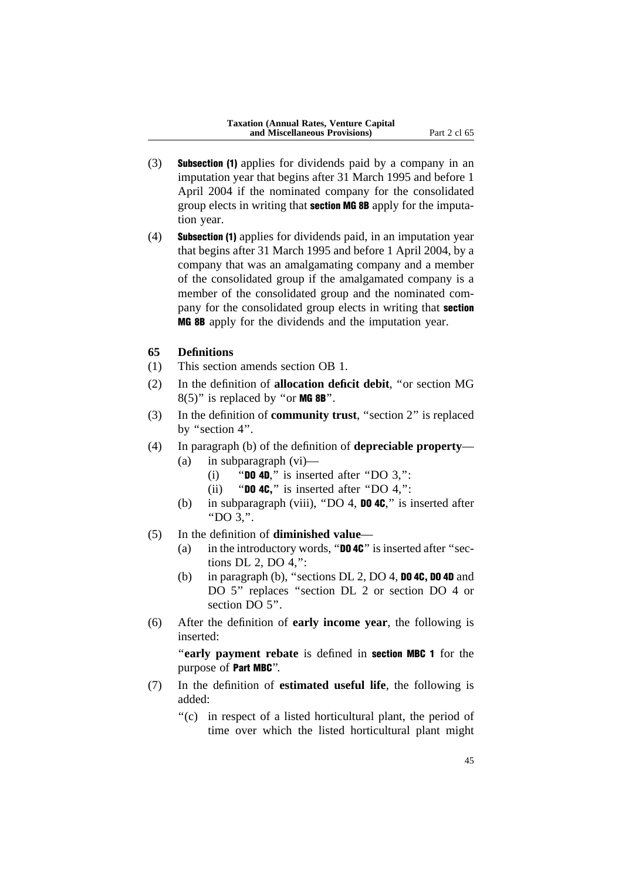- (3) Subsection (1) applies for dividends paid by a company in an imputation year that begins after 31 March 1995 and before 1 April 2004 if the nominated company for the consolidated group elects in writing that section MG 8B apply for the imputation year.
- (4) Subsection (1) applies for dividends paid, in an imputation year that begins after 31 March 1995 and before 1 April 2004, by a company that was an amalgamating company and a member of the consolidated group if the amalgamated company is a member of the consolidated group and the nominated company for the consolidated group elects in writing that **section** MG 8B apply for the dividends and the imputation year.

#### **65 Definitions**

- (1) This section amends section OB 1.
- (2) In the definition of **allocation deficit debit**, ''or section MG  $8(5)$ " is replaced by "or **MG 8B**".
- (3) In the definition of **community trust**, ''section 2'' is replaced by "section 4".
- (4) In paragraph (b) of the definition of **depreciable property** (a) in subparagraph (vi)—
	- (i) "DO 4D," is inserted after "DO  $3$ ,":
	- (ii) "**DO 4C,**" is inserted after "DO 4,":
	- (b) in subparagraph (viii), "DO 4, **DO 4C**," is inserted after ''DO 3,''.
- (5) In the definition of **diminished value**
	- (a) in the introductory words, " $DQ 4C$ " is inserted after "sections DL 2, DO 4,'':
	- (b) in paragraph (b), "sections DL 2, DO 4, **DO 4C, DO 4D** and DO 5" replaces "section DL 2 or section DO 4 or section DO 5".
- (6) After the definition of **early income year**, the following is inserted:

''**early payment rebate** is defined in section MBC 1 for the purpose of Part MBC''.

- (7) In the definition of **estimated useful life**, the following is added:
	- ''(c) in respect of a listed horticultural plant, the period of time over which the listed horticultural plant might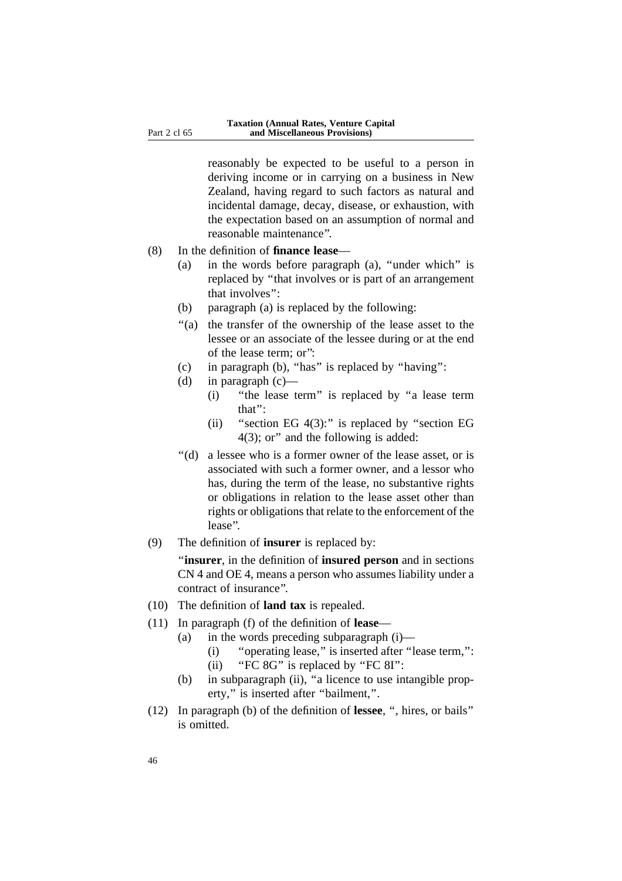reasonably be expected to be useful to a person in deriving income or in carrying on a business in New Zealand, having regard to such factors as natural and incidental damage, decay, disease, or exhaustion, with the expectation based on an assumption of normal and reasonable maintenance''.

- (8) In the definition of **finance lease**
	- (a) in the words before paragraph (a), ''under which'' is replaced by ''that involves or is part of an arrangement that involves'':
	- (b) paragraph (a) is replaced by the following:
	- ''(a) the transfer of the ownership of the lease asset to the lessee or an associate of the lessee during or at the end of the lease term; or'':
	- (c) in paragraph (b), ''has'' is replaced by ''having'':
	- (d) in paragraph  $(c)$ 
		- (i) ''the lease term'' is replaced by ''a lease term that'':
		- (ii) "section EG  $4(3)$ :" is replaced by "section EG 4(3); or'' and the following is added:
	- ''(d) a lessee who is a former owner of the lease asset, or is associated with such a former owner, and a lessor who has, during the term of the lease, no substantive rights or obligations in relation to the lease asset other than rights or obligations that relate to the enforcement of the lease''.
- (9) The definition of **insurer** is replaced by:

''**insurer**, in the definition of **insured person** and in sections CN 4 and OE 4, means a person who assumes liability under a contract of insurance''.

- (10) The definition of **land tax** is repealed.
- (11) In paragraph (f) of the definition of **lease**
	- (a) in the words preceding subparagraph (i)—
		- (i) ''operating lease,'' is inserted after ''lease term,'': (ii) "FC 8G" is replaced by "FC 8I":
	- (b) in subparagraph (ii), "a licence to use intangible property," is inserted after "bailment,".
- (12) In paragraph (b) of the definition of **lessee**, '', hires, or bails'' is omitted.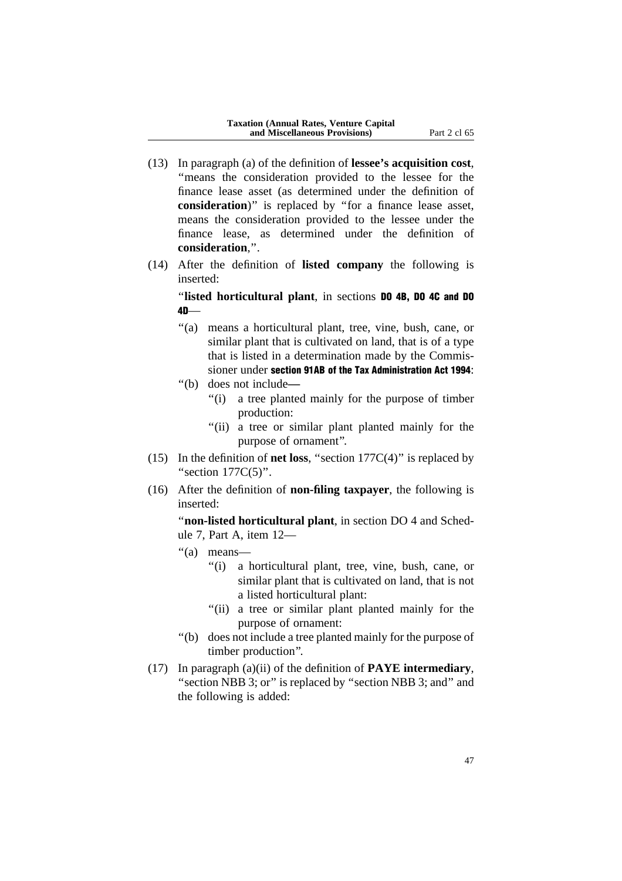- (13) In paragraph (a) of the definition of **lessee's acquisition cost**, ''means the consideration provided to the lessee for the finance lease asset (as determined under the definition of **consideration**)'' is replaced by ''for a finance lease asset, means the consideration provided to the lessee under the finance lease, as determined under the definition of **consideration**,''.
- (14) After the definition of **listed company** the following is inserted:

''**listed horticultural plant**, in sections DO 4B, DO 4C and DO  $4D$ —

- "(a) means a horticultural plant, tree, vine, bush, cane, or similar plant that is cultivated on land, that is of a type that is listed in a determination made by the Commissioner under section 91AB of the Tax Administration Act 1994:
- ''(b) does not include**—**
	- ''(i) a tree planted mainly for the purpose of timber production:
	- "(ii) a tree or similar plant planted mainly for the purpose of ornament''.
- (15) In the definition of **net loss**, "section  $177C(4)$ " is replaced by "section  $177C(5)$ ".
- (16) After the definition of **non-filing taxpayer**, the following is inserted:

''**non-listed horticultural plant**, in section DO 4 and Schedule 7, Part A, item 12—

- ''(a) means—
	- ''(i) a horticultural plant, tree, vine, bush, cane, or similar plant that is cultivated on land, that is not a listed horticultural plant:
	- "(ii) a tree or similar plant planted mainly for the purpose of ornament:
- ''(b) does not include a tree planted mainly for the purpose of timber production''.
- (17) In paragraph (a)(ii) of the definition of **PAYE intermediary**, "section NBB 3; or" is replaced by "section NBB 3; and" and the following is added: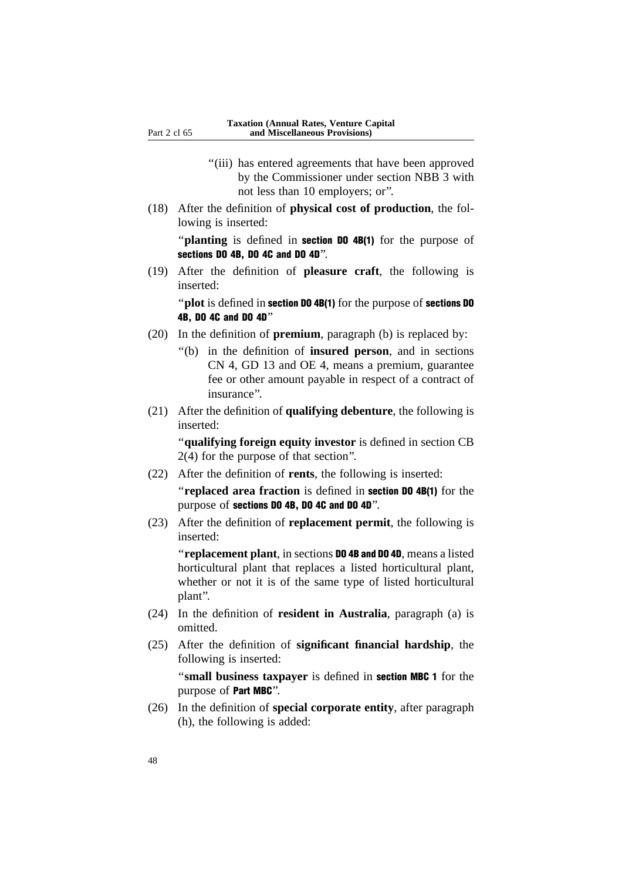- "(iii) has entered agreements that have been approved by the Commissioner under section NBB 3 with not less than 10 employers; or''.
- (18) After the definition of **physical cost of production**, the following is inserted:

"**planting** is defined in **section DO 4B(1)** for the purpose of sections DO 4B, DO 4C and DO 4D''.

(19) After the definition of **pleasure craft**, the following is inserted:

''**plot** is defined in section DO 4B(1) for the purpose of sections DO 4B, DO 4C and DO 4D''

- (20) In the definition of **premium**, paragraph (b) is replaced by:
	- ''(b) in the definition of **insured person**, and in sections CN 4, GD 13 and OE 4, means a premium, guarantee fee or other amount payable in respect of a contract of insurance''.
- (21) After the definition of **qualifying debenture**, the following is inserted:

''**qualifying foreign equity investor** is defined in section CB 2(4) for the purpose of that section''.

(22) After the definition of **rents**, the following is inserted:

''**replaced area fraction** is defined in section DO 4B(1) for the purpose of sections DO 4B, DO 4C and DO 4D''.

(23) After the definition of **replacement permit**, the following is inserted:

''**replacement plant**, in sections DO 4B and DO 4D, means a listed horticultural plant that replaces a listed horticultural plant, whether or not it is of the same type of listed horticultural plant''.

- (24) In the definition of **resident in Australia**, paragraph (a) is omitted.
- (25) After the definition of **significant financial hardship**, the following is inserted:

''**small business taxpayer** is defined in section MBC 1 for the purpose of Part MBC''.

(26) In the definition of **special corporate entity**, after paragraph (h), the following is added: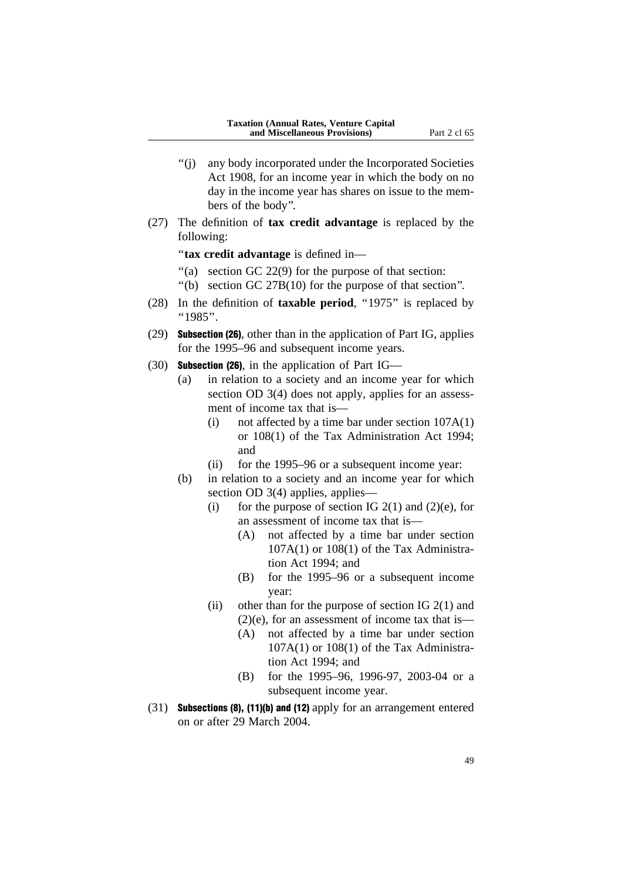- ''(j) any body incorporated under the Incorporated Societies Act 1908, for an income year in which the body on no day in the income year has shares on issue to the members of the body''.
- (27) The definition of **tax credit advantage** is replaced by the following:

''**tax credit advantage** is defined in—

- ''(a) section GC 22(9) for the purpose of that section:
- ''(b) section GC 27B(10) for the purpose of that section''.
- (28) In the definition of **taxable period**, ''1975'' is replaced by  $"1985"$ .
- (29) Subsection (26), other than in the application of Part IG, applies for the 1995–96 and subsequent income years.
- (30) Subsection (26), in the application of Part IG—
	- (a) in relation to a society and an income year for which section OD 3(4) does not apply, applies for an assessment of income tax that is—
		- (i) not affected by a time bar under section 107A(1) or 108(1) of the Tax Administration Act 1994; and
		- (ii) for the 1995–96 or a subsequent income year:
	- (b) in relation to a society and an income year for which section OD 3(4) applies, applies-
		- (i) for the purpose of section IG  $2(1)$  and  $(2)(e)$ , for an assessment of income tax that is—
			- (A) not affected by a time bar under section  $107A(1)$  or  $108(1)$  of the Tax Administration Act 1994; and
			- (B) for the 1995–96 or a subsequent income year:
		- (ii) other than for the purpose of section IG  $2(1)$  and  $(2)(e)$ , for an assessment of income tax that is—
			- (A) not affected by a time bar under section  $107A(1)$  or  $108(1)$  of the Tax Administration Act 1994; and
			- (B) for the 1995–96, 1996-97, 2003-04 or a subsequent income year.
- (31) Subsections (8), (11)(b) and (12) apply for an arrangement entered on or after 29 March 2004.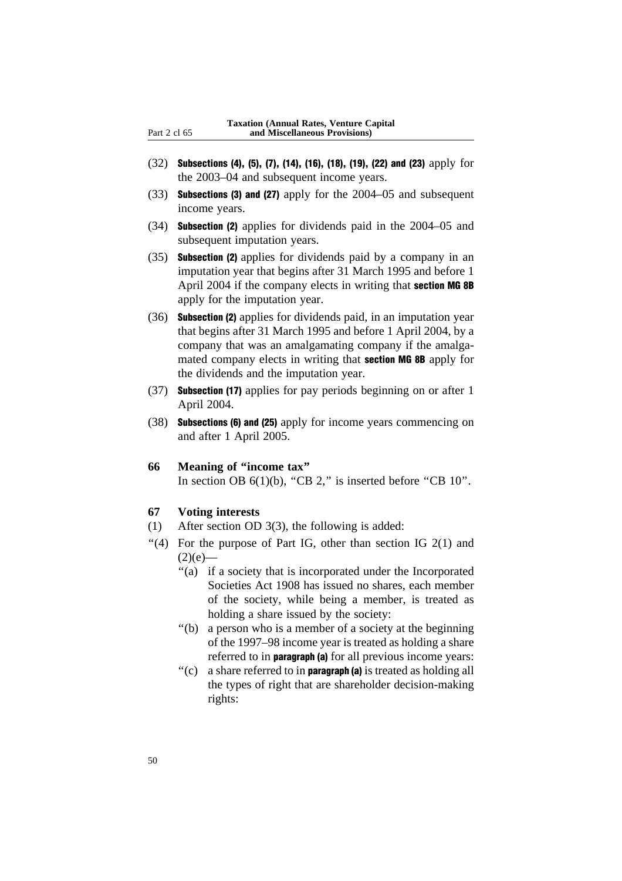- (32) Subsections (4), (5), (7), (14), (16), (18), (19), (22) and (23) apply for the 2003–04 and subsequent income years.
- (33) Subsections (3) and (27) apply for the 2004–05 and subsequent income years.
- (34) Subsection (2) applies for dividends paid in the 2004–05 and subsequent imputation years.
- (35) Subsection (2) applies for dividends paid by a company in an imputation year that begins after 31 March 1995 and before 1 April 2004 if the company elects in writing that **section MG 8B** apply for the imputation year.
- (36) Subsection (2) applies for dividends paid, in an imputation year that begins after 31 March 1995 and before 1 April 2004, by a company that was an amalgamating company if the amalgamated company elects in writing that section MG 8B apply for the dividends and the imputation year.
- (37) Subsection (17) applies for pay periods beginning on or after 1 April 2004.
- (38) Subsections (6) and (25) apply for income years commencing on and after 1 April 2005.

#### **66 Meaning of ''income tax''**

In section OB  $6(1)(b)$ , "CB 2," is inserted before "CB  $10$ ".

### **67 Voting interests**

- (1) After section OD 3(3), the following is added:
- "(4) For the purpose of Part IG, other than section IG  $2(1)$  and  $(2)(e)$ —
	- ''(a) if a society that is incorporated under the Incorporated Societies Act 1908 has issued no shares, each member of the society, while being a member, is treated as holding a share issued by the society:
	- ''(b) a person who is a member of a society at the beginning of the 1997–98 income year is treated as holding a share referred to in **paragraph** (a) for all previous income years:
	- $'(c)$  a share referred to in **paragraph** (a) is treated as holding all the types of right that are shareholder decision-making rights: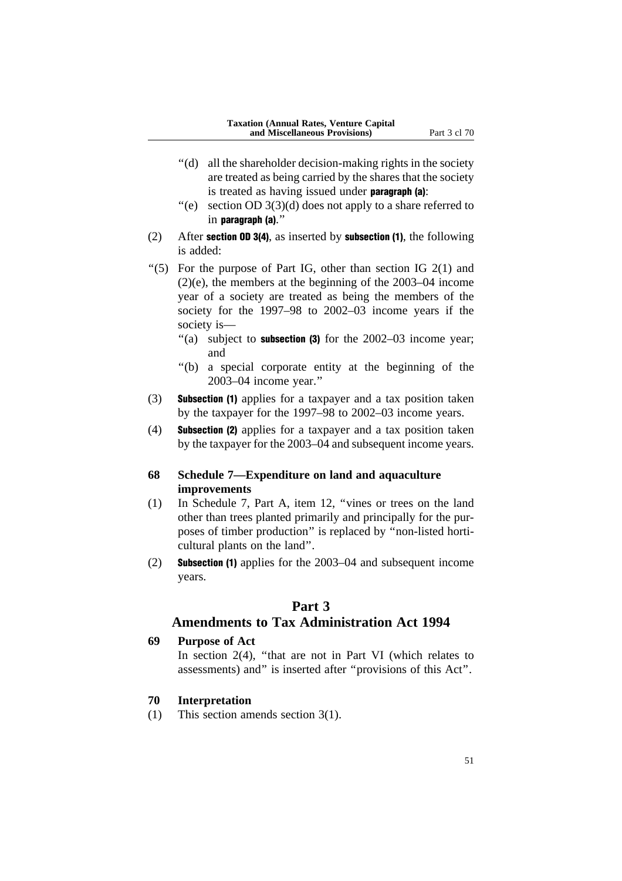- ''(d) all the shareholder decision-making rights in the society are treated as being carried by the shares that the society is treated as having issued under paragraph (a):
- $'(e)$  section OD 3(3)(d) does not apply to a share referred to in paragraph (a).''
- (2) After section OD 3(4), as inserted by subsection (1), the following is added:
- "(5) For the purpose of Part IG, other than section IG  $2(1)$  and (2)(e), the members at the beginning of the 2003–04 income year of a society are treated as being the members of the society for the 1997–98 to 2002–03 income years if the society is—
	- "(a) subject to **subsection (3)** for the  $2002-03$  income year; and
	- ''(b) a special corporate entity at the beginning of the 2003–04 income year.''
- (3) Subsection (1) applies for a taxpayer and a tax position taken by the taxpayer for the 1997–98 to 2002–03 income years.
- (4) Subsection (2) applies for a taxpayer and a tax position taken by the taxpayer for the 2003–04 and subsequent income years.

## **68 Schedule 7—Expenditure on land and aquaculture improvements**

- (1) In Schedule 7, Part A, item 12, ''vines or trees on the land other than trees planted primarily and principally for the purposes of timber production'' is replaced by ''non-listed horticultural plants on the land''.
- (2) Subsection (1) applies for the 2003–04 and subsequent income years.

## **Part 3**

## **Amendments to Tax Administration Act 1994**

## **69 Purpose of Act**

In section  $2(4)$ , "that are not in Part VI (which relates to assessments) and'' is inserted after ''provisions of this Act''.

## **70 Interpretation**

(1) This section amends section 3(1).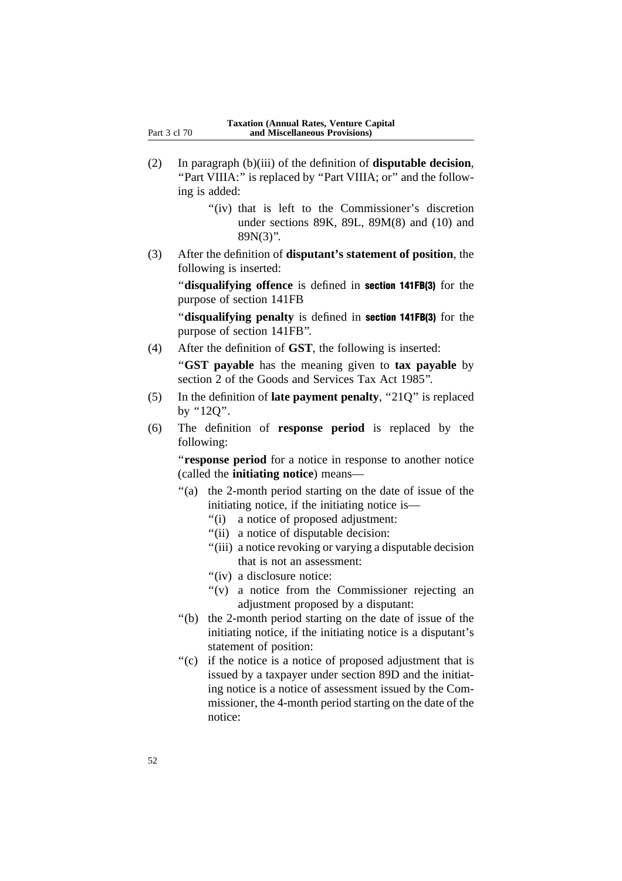- (2) In paragraph (b)(iii) of the definition of **disputable decision**, "Part VIIIA:" is replaced by "Part VIIIA; or" and the following is added:
	- "(iv) that is left to the Commissioner's discretion under sections 89K, 89L, 89M(8) and (10) and 89N(3)''.
- (3) After the definition of **disputant's statement of position**, the following is inserted:

''**disqualifying offence** is defined in section 141FB(3) for the purpose of section 141FB

''**disqualifying penalty** is defined in section 141FB(3) for the purpose of section 141FB''.

(4) After the definition of **GST**, the following is inserted:

''**GST payable** has the meaning given to **tax payable** by section 2 of the Goods and Services Tax Act 1985''.

- (5) In the definition of **late payment penalty**, ''21Q'' is replaced by ''12Q''.
- (6) The definition of **response period** is replaced by the following:

''**response period** for a notice in response to another notice (called the **initiating notice**) means—

- ''(a) the 2-month period starting on the date of issue of the initiating notice, if the initiating notice is—
	- ''(i) a notice of proposed adjustment:
	- ''(ii) a notice of disputable decision:
	- "(iii) a notice revoking or varying a disputable decision that is not an assessment:
	- "(iv) a disclosure notice:
	- ''(v) a notice from the Commissioner rejecting an adjustment proposed by a disputant:
- ''(b) the 2-month period starting on the date of issue of the initiating notice, if the initiating notice is a disputant's statement of position:
- ''(c) if the notice is a notice of proposed adjustment that is issued by a taxpayer under section 89D and the initiating notice is a notice of assessment issued by the Commissioner, the 4-month period starting on the date of the notice: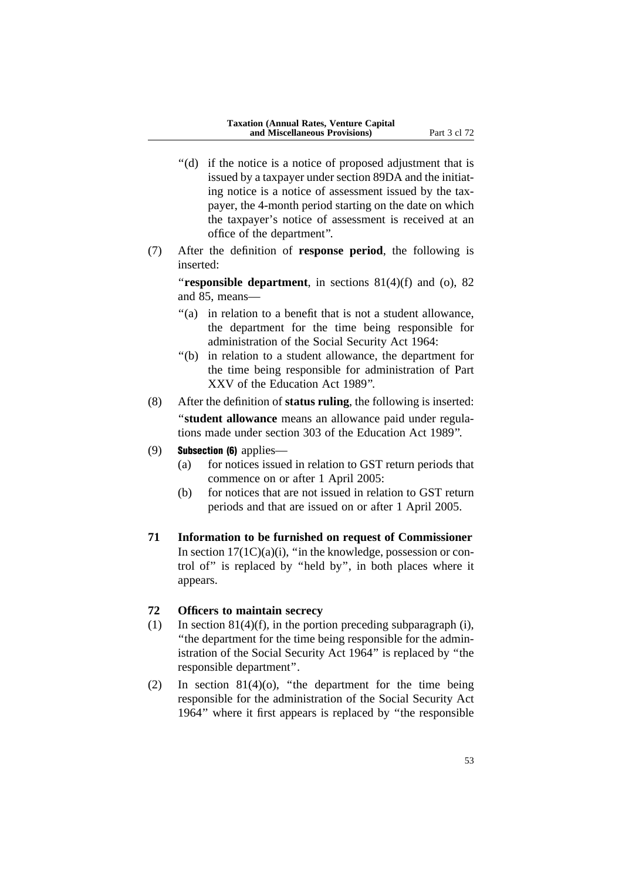- "(d) if the notice is a notice of proposed adjustment that is issued by a taxpayer under section 89DA and the initiating notice is a notice of assessment issued by the taxpayer, the 4-month period starting on the date on which the taxpayer's notice of assessment is received at an office of the department''.
- (7) After the definition of **response period**, the following is inserted:

**"responsible department**, in sections 81(4)(f) and (o), 82 and 85, means—

- "(a) in relation to a benefit that is not a student allowance, the department for the time being responsible for administration of the Social Security Act 1964:
- ''(b) in relation to a student allowance, the department for the time being responsible for administration of Part XXV of the Education Act 1989''.
- (8) After the definition of **status ruling**, the following is inserted: ''**student allowance** means an allowance paid under regulations made under section 303 of the Education Act 1989''.
- (9) **Subsection (6)** applies—
	- (a) for notices issued in relation to GST return periods that commence on or after 1 April 2005:
	- (b) for notices that are not issued in relation to GST return periods and that are issued on or after 1 April 2005.
- **71 Information to be furnished on request of Commissioner** In section  $17(1C)(a)(i)$ , "in the knowledge, possession or control of'' is replaced by ''held by'', in both places where it appears.

## **72 Officers to maintain secrecy**

- (1) In section  $81(4)(f)$ , in the portion preceding subparagraph (i), ''the department for the time being responsible for the administration of the Social Security Act 1964'' is replaced by ''the responsible department''.
- (2) In section  $81(4)(o)$ , "the department for the time being responsible for the administration of the Social Security Act 1964'' where it first appears is replaced by ''the responsible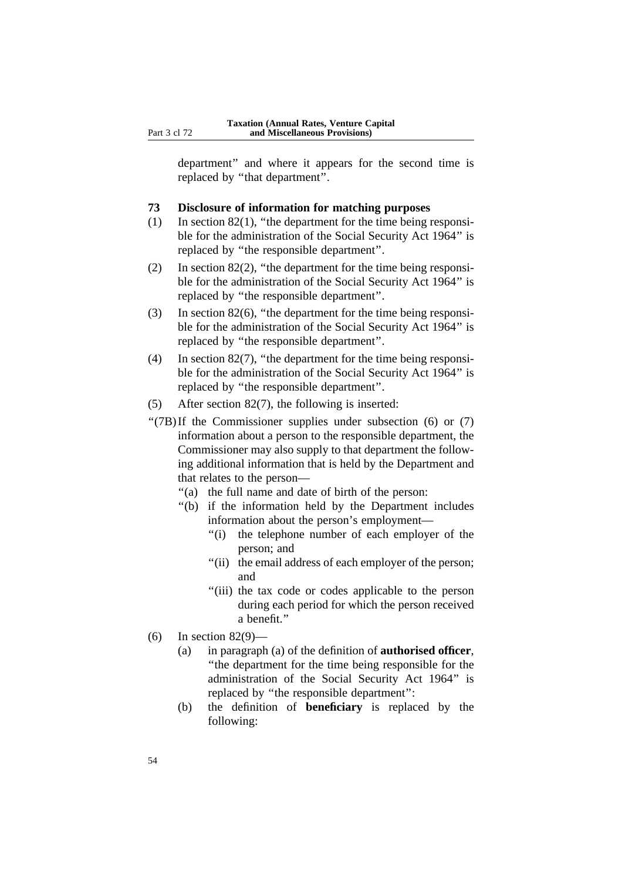department'' and where it appears for the second time is replaced by ''that department''.

### **73 Disclosure of information for matching purposes**

- (1) In section  $82(1)$ , "the department for the time being responsible for the administration of the Social Security Act 1964'' is replaced by ''the responsible department''.
- (2) In section 82(2), ''the department for the time being responsible for the administration of the Social Security Act 1964'' is replaced by ''the responsible department''.
- (3) In section 82(6), ''the department for the time being responsible for the administration of the Social Security Act 1964'' is replaced by ''the responsible department''.
- (4) In section 82(7), ''the department for the time being responsible for the administration of the Social Security Act 1964'' is replaced by ''the responsible department''.
- (5) After section 82(7), the following is inserted:
- " $(7B)$ If the Commissioner supplies under subsection (6) or (7) information about a person to the responsible department, the Commissioner may also supply to that department the following additional information that is held by the Department and that relates to the person—
	- "(a) the full name and date of birth of the person:
	- ''(b) if the information held by the Department includes information about the person's employment—
		- ''(i) the telephone number of each employer of the person; and
		- "(ii) the email address of each employer of the person; and
		- ''(iii) the tax code or codes applicable to the person during each period for which the person received a benefit.''
- (6) In section 82(9)—
	- (a) in paragraph (a) of the definition of **authorised officer**, ''the department for the time being responsible for the administration of the Social Security Act 1964'' is replaced by ''the responsible department'':
	- (b) the definition of **beneficiary** is replaced by the following: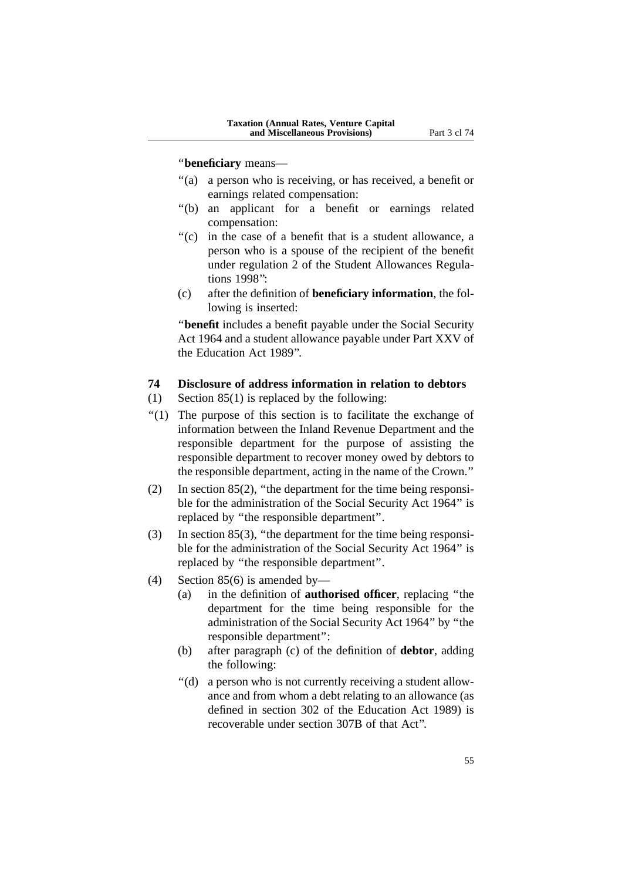#### ''**beneficiary** means—

- "(a) a person who is receiving, or has received, a benefit or earnings related compensation:
- ''(b) an applicant for a benefit or earnings related compensation:
- ''(c) in the case of a benefit that is a student allowance, a person who is a spouse of the recipient of the benefit under regulation 2 of the Student Allowances Regulations 1998'':
- (c) after the definition of **beneficiary information**, the following is inserted:

''**benefit** includes a benefit payable under the Social Security Act 1964 and a student allowance payable under Part XXV of the Education Act 1989''.

## **74 Disclosure of address information in relation to debtors**

- (1) Section 85(1) is replaced by the following:
- ''(1) The purpose of this section is to facilitate the exchange of information between the Inland Revenue Department and the responsible department for the purpose of assisting the responsible department to recover money owed by debtors to the responsible department, acting in the name of the Crown.''
- (2) In section 85(2), ''the department for the time being responsible for the administration of the Social Security Act 1964'' is replaced by ''the responsible department''.
- (3) In section 85(3), ''the department for the time being responsible for the administration of the Social Security Act 1964'' is replaced by ''the responsible department''.
- (4) Section 85(6) is amended by—
	- (a) in the definition of **authorised officer**, replacing ''the department for the time being responsible for the administration of the Social Security Act 1964'' by ''the responsible department'':
	- (b) after paragraph (c) of the definition of **debtor**, adding the following:
	- ''(d) a person who is not currently receiving a student allowance and from whom a debt relating to an allowance (as defined in section 302 of the Education Act 1989) is recoverable under section 307B of that Act''.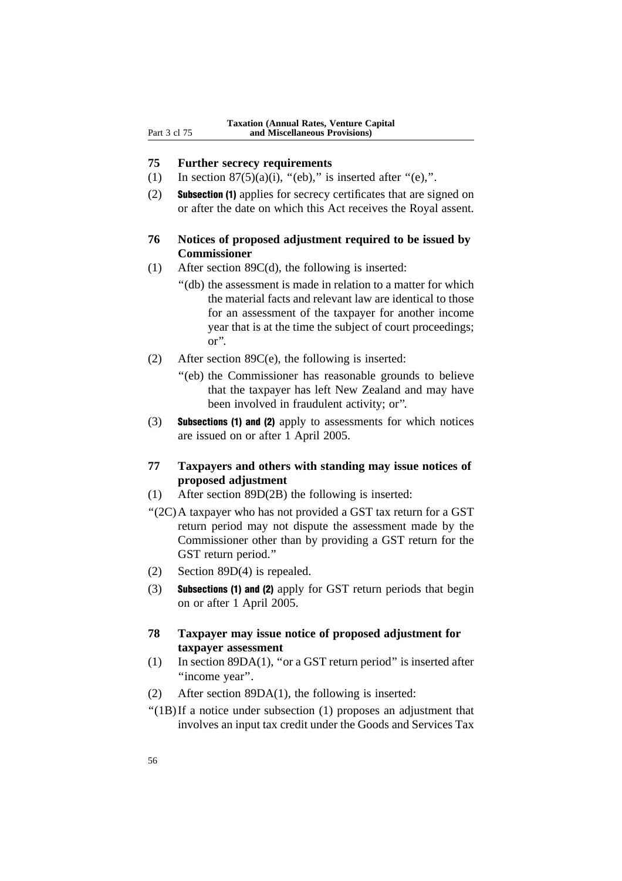## **75 Further secrecy requirements**

- (1) In section  $87(5)(a)(i)$ , "(eb)," is inserted after "(e),".
- (2) Subsection (1) applies for secrecy certificates that are signed on or after the date on which this Act receives the Royal assent.

## **76 Notices of proposed adjustment required to be issued by Commissioner**

- (1) After section 89C(d), the following is inserted:
	- ''(db) the assessment is made in relation to a matter for which the material facts and relevant law are identical to those for an assessment of the taxpayer for another income year that is at the time the subject of court proceedings; or''.
- (2) After section 89C(e), the following is inserted:
	- ''(eb) the Commissioner has reasonable grounds to believe that the taxpayer has left New Zealand and may have been involved in fraudulent activity; or''.
- (3) Subsections (1) and (2) apply to assessments for which notices are issued on or after 1 April 2005.
- **77 Taxpayers and others with standing may issue notices of proposed adjustment**
- (1) After section 89D(2B) the following is inserted:
- ''(2C)A taxpayer who has not provided a GST tax return for a GST return period may not dispute the assessment made by the Commissioner other than by providing a GST return for the GST return period.''
- (2) Section 89D(4) is repealed.
- (3) Subsections (1) and (2) apply for GST return periods that begin on or after 1 April 2005.
- **78 Taxpayer may issue notice of proposed adjustment for taxpayer assessment**
- (1) In section 89DA(1), ''or a GST return period'' is inserted after "income year".
- (2) After section 89DA(1), the following is inserted:
- ''(1B)If a notice under subsection (1) proposes an adjustment that involves an input tax credit under the Goods and Services Tax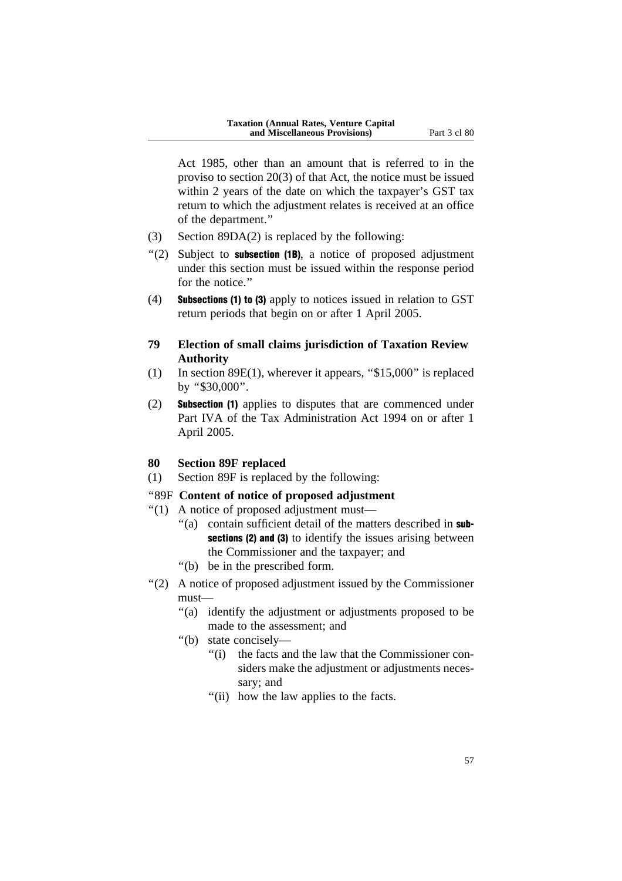Act 1985, other than an amount that is referred to in the proviso to section 20(3) of that Act, the notice must be issued within 2 years of the date on which the taxpayer's GST tax return to which the adjustment relates is received at an office of the department.''

- (3) Section 89DA(2) is replaced by the following:
- $''(2)$  Subject to **subsection (1B)**, a notice of proposed adjustment under this section must be issued within the response period for the notice."
- (4) Subsections (1) to (3) apply to notices issued in relation to GST return periods that begin on or after 1 April 2005.
- **79 Election of small claims jurisdiction of Taxation Review Authority**
- (1) In section 89E(1), wherever it appears, ''\$15,000'' is replaced by ''\$30,000''.
- (2) Subsection (1) applies to disputes that are commenced under Part IVA of the Tax Administration Act 1994 on or after 1 April 2005.

## **80 Section 89F replaced**

(1) Section 89F is replaced by the following:

#### ''89F **Content of notice of proposed adjustment**

- ''(1) A notice of proposed adjustment must—
	- "(a) contain sufficient detail of the matters described in subsections (2) and (3) to identify the issues arising between the Commissioner and the taxpayer; and
	- ''(b) be in the prescribed form.
- ''(2) A notice of proposed adjustment issued by the Commissioner must—
	- ''(a) identify the adjustment or adjustments proposed to be made to the assessment; and
	- ''(b) state concisely—
		- ''(i) the facts and the law that the Commissioner considers make the adjustment or adjustments necessary; and
		- "(ii) how the law applies to the facts.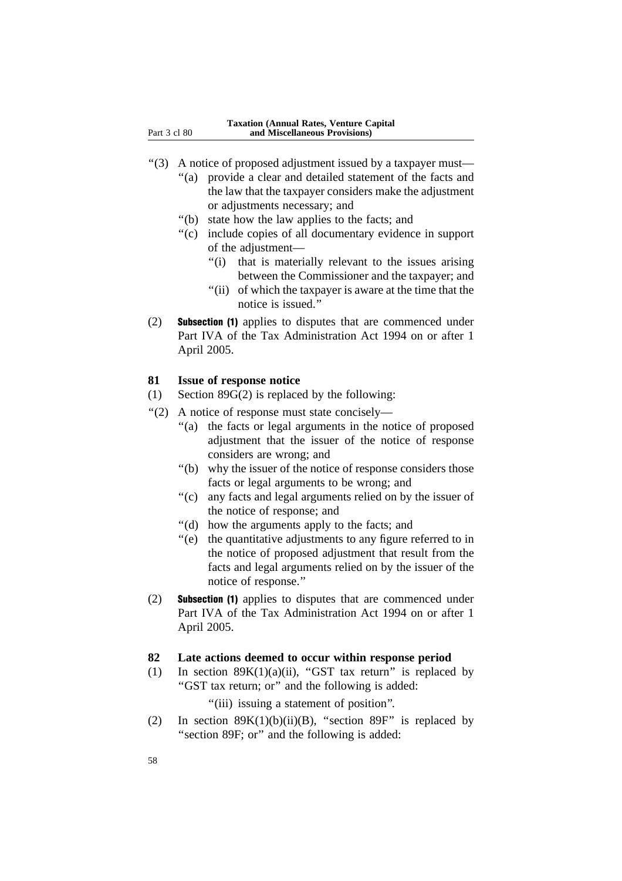- ''(3) A notice of proposed adjustment issued by a taxpayer must—
	- "(a) provide a clear and detailed statement of the facts and the law that the taxpayer considers make the adjustment or adjustments necessary; and
	- ''(b) state how the law applies to the facts; and
	- ''(c) include copies of all documentary evidence in support of the adjustment—
		- "(i) that is materially relevant to the issues arising between the Commissioner and the taxpayer; and
		- ''(ii) of which the taxpayer is aware at the time that the notice is issued.''
- (2) Subsection (1) applies to disputes that are commenced under Part IVA of the Tax Administration Act 1994 on or after 1 April 2005.

#### **81 Issue of response notice**

- (1) Section 89G(2) is replaced by the following:
- ''(2) A notice of response must state concisely—
	- ''(a) the facts or legal arguments in the notice of proposed adjustment that the issuer of the notice of response considers are wrong; and
	- ''(b) why the issuer of the notice of response considers those facts or legal arguments to be wrong; and
	- ''(c) any facts and legal arguments relied on by the issuer of the notice of response; and
	- ''(d) how the arguments apply to the facts; and
	- ''(e) the quantitative adjustments to any figure referred to in the notice of proposed adjustment that result from the facts and legal arguments relied on by the issuer of the notice of response.''
- (2) Subsection (1) applies to disputes that are commenced under Part IVA of the Tax Administration Act 1994 on or after 1 April 2005.

#### **82 Late actions deemed to occur within response period**

(1) In section  $89K(1)(a)(ii)$ , "GST tax return" is replaced by ''GST tax return; or'' and the following is added:

"(iii) issuing a statement of position".

(2) In section  $89K(1)(b)(ii)(B)$ , "section  $89F$ " is replaced by "section 89F; or" and the following is added: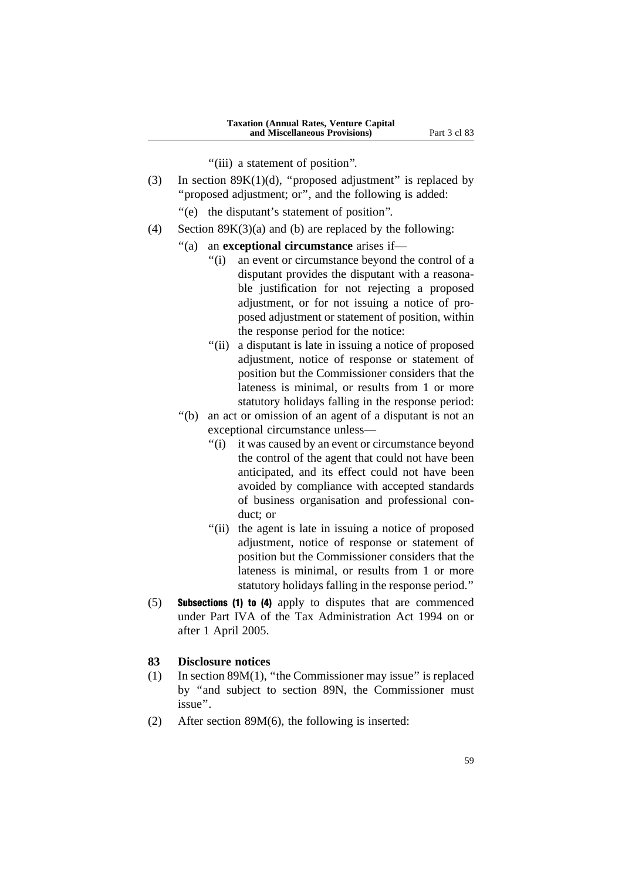"(iii) a statement of position".

- (3) In section  $89K(1)(d)$ , "proposed adjustment" is replaced by ''proposed adjustment; or'', and the following is added:
	- "(e) the disputant's statement of position".
- (4) Section  $89K(3)(a)$  and (b) are replaced by the following:
	- ''(a) an **exceptional circumstance** arises if—
		- ''(i) an event or circumstance beyond the control of a disputant provides the disputant with a reasonable justification for not rejecting a proposed adjustment, or for not issuing a notice of proposed adjustment or statement of position, within the response period for the notice:
		- "(ii) a disputant is late in issuing a notice of proposed adjustment, notice of response or statement of position but the Commissioner considers that the lateness is minimal, or results from 1 or more statutory holidays falling in the response period:
	- ''(b) an act or omission of an agent of a disputant is not an exceptional circumstance unless—
		- "(i) it was caused by an event or circumstance beyond the control of the agent that could not have been anticipated, and its effect could not have been avoided by compliance with accepted standards of business organisation and professional conduct; or
		- "(ii) the agent is late in issuing a notice of proposed adjustment, notice of response or statement of position but the Commissioner considers that the lateness is minimal, or results from 1 or more statutory holidays falling in the response period.''
- (5) Subsections (1) to (4) apply to disputes that are commenced under Part IVA of the Tax Administration Act 1994 on or after 1 April 2005.

#### **83 Disclosure notices**

- (1) In section 89M(1), ''the Commissioner may issue'' is replaced by ''and subject to section 89N, the Commissioner must issue''.
- (2) After section 89M(6), the following is inserted: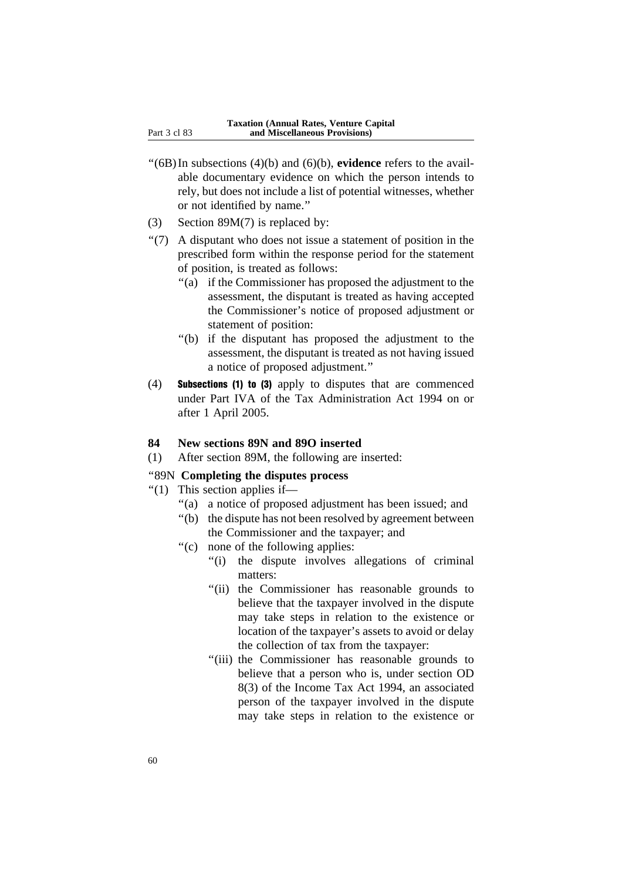- ''(6B)In subsections (4)(b) and (6)(b), **evidence** refers to the available documentary evidence on which the person intends to rely, but does not include a list of potential witnesses, whether or not identified by name.''
- (3) Section 89M(7) is replaced by:
- ''(7) A disputant who does not issue a statement of position in the prescribed form within the response period for the statement of position, is treated as follows:
	- ''(a) if the Commissioner has proposed the adjustment to the assessment, the disputant is treated as having accepted the Commissioner's notice of proposed adjustment or statement of position:
	- ''(b) if the disputant has proposed the adjustment to the assessment, the disputant is treated as not having issued a notice of proposed adjustment.''
- (4) Subsections (1) to (3) apply to disputes that are commenced under Part IVA of the Tax Administration Act 1994 on or after 1 April 2005.

#### **84 New sections 89N and 89O inserted**

(1) After section 89M, the following are inserted:

#### ''89N **Completing the disputes process**

- $''(1)$  This section applies if—
	- ''(a) a notice of proposed adjustment has been issued; and
	- ''(b) the dispute has not been resolved by agreement between the Commissioner and the taxpayer; and
	- ''(c) none of the following applies:
		- "(i) the dispute involves allegations of criminal matters:
		- "(ii) the Commissioner has reasonable grounds to believe that the taxpayer involved in the dispute may take steps in relation to the existence or location of the taxpayer's assets to avoid or delay the collection of tax from the taxpayer:
		- "(iii) the Commissioner has reasonable grounds to believe that a person who is, under section OD 8(3) of the Income Tax Act 1994, an associated person of the taxpayer involved in the dispute may take steps in relation to the existence or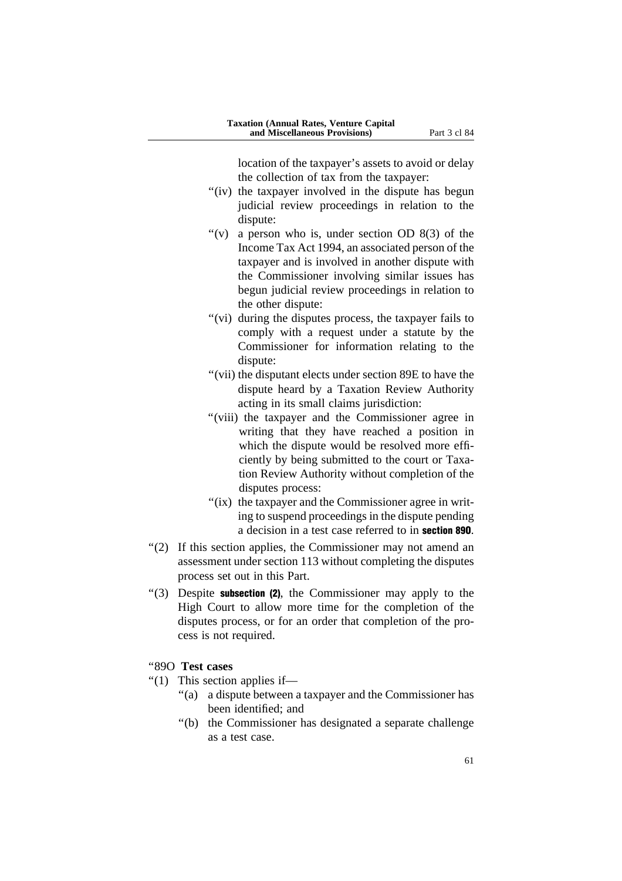location of the taxpayer's assets to avoid or delay the collection of tax from the taxpayer:

- "(iv) the taxpayer involved in the dispute has begun judicial review proceedings in relation to the dispute:
- "(v) a person who is, under section OD  $8(3)$  of the Income Tax Act 1994, an associated person of the taxpayer and is involved in another dispute with the Commissioner involving similar issues has begun judicial review proceedings in relation to the other dispute:
- "(vi) during the disputes process, the taxpayer fails to comply with a request under a statute by the Commissioner for information relating to the dispute:
- ''(vii) the disputant elects under section 89E to have the dispute heard by a Taxation Review Authority acting in its small claims jurisdiction:
- ''(viii) the taxpayer and the Commissioner agree in writing that they have reached a position in which the dispute would be resolved more efficiently by being submitted to the court or Taxation Review Authority without completion of the disputes process:
- "(ix) the taxpayer and the Commissioner agree in writing to suspend proceedings in the dispute pending a decision in a test case referred to in section 89O.
- "(2) If this section applies, the Commissioner may not amend an assessment under section 113 without completing the disputes process set out in this Part.
- $'(3)$  Despite **subsection (2)**, the Commissioner may apply to the High Court to allow more time for the completion of the disputes process, or for an order that completion of the process is not required.

#### ''89O **Test cases**

- " $(1)$  This section applies if—
	- ''(a) a dispute between a taxpayer and the Commissioner has been identified; and
	- ''(b) the Commissioner has designated a separate challenge as a test case.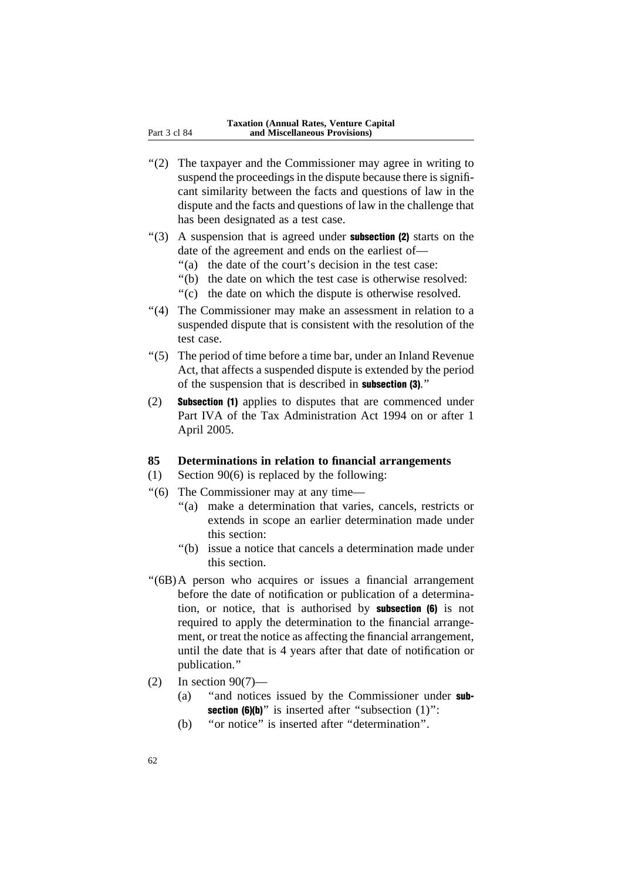- "(2) The taxpayer and the Commissioner may agree in writing to suspend the proceedings in the dispute because there is significant similarity between the facts and questions of law in the dispute and the facts and questions of law in the challenge that has been designated as a test case.
- $(3)$  A suspension that is agreed under **subsection (2)** starts on the date of the agreement and ends on the earliest of—
	- "(a) the date of the court's decision in the test case:
	- ''(b) the date on which the test case is otherwise resolved:
	- ''(c) the date on which the dispute is otherwise resolved.
- "(4) The Commissioner may make an assessment in relation to a suspended dispute that is consistent with the resolution of the test case.
- ''(5) The period of time before a time bar, under an Inland Revenue Act, that affects a suspended dispute is extended by the period of the suspension that is described in subsection (3).''
- (2) Subsection (1) applies to disputes that are commenced under Part IVA of the Tax Administration Act 1994 on or after 1 April 2005.

#### **85 Determinations in relation to financial arrangements**

- (1) Section 90(6) is replaced by the following:
- ''(6) The Commissioner may at any time—
	- "(a) make a determination that varies, cancels, restricts or extends in scope an earlier determination made under this section:
	- ''(b) issue a notice that cancels a determination made under this section.
- ''(6B)A person who acquires or issues a financial arrangement before the date of notification or publication of a determination, or notice, that is authorised by subsection (6) is not required to apply the determination to the financial arrangement, or treat the notice as affecting the financial arrangement, until the date that is 4 years after that date of notification or publication.''
- (2) In section 90(7)—
	- (a) ''and notices issued by the Commissioner under sub**section (6)(b)**" is inserted after "subsection  $(1)$ ":
	- (b) ''or notice'' is inserted after ''determination''.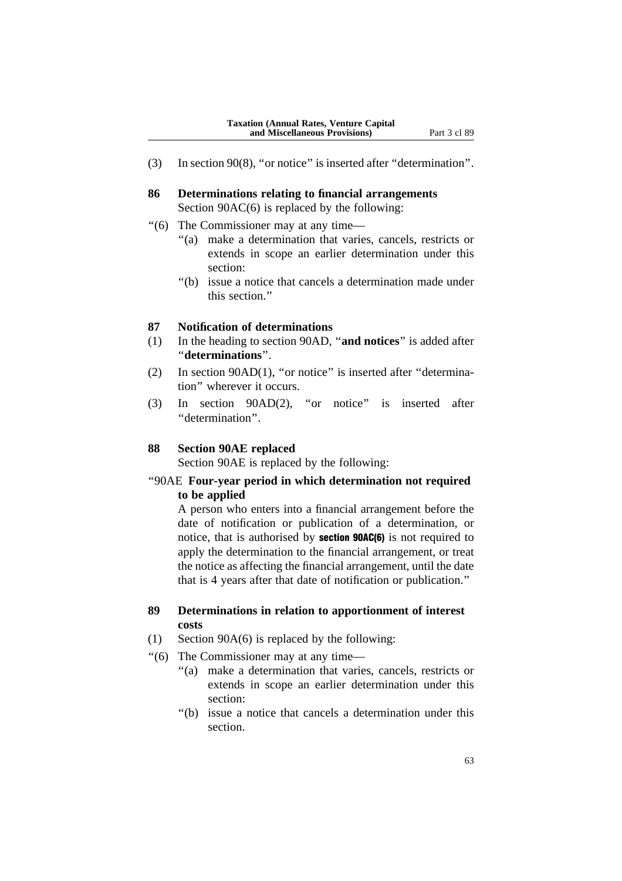- (3) In section 90(8), ''or notice'' is inserted after ''determination''.
- **86 Determinations relating to financial arrangements** Section 90AC(6) is replaced by the following:
- ''(6) The Commissioner may at any time—
	- ''(a) make a determination that varies, cancels, restricts or extends in scope an earlier determination under this section:
	- ''(b) issue a notice that cancels a determination made under this section.''

## **87 Notification of determinations**

- (1) In the heading to section 90AD, ''**and notices**'' is added after ''**determinations**''.
- (2) In section 90AD(1), ''or notice'' is inserted after ''determination'' wherever it occurs.
- (3) In section 90AD(2), ''or notice'' is inserted after ''determination''.

#### **88 Section 90AE replaced**

Section 90AE is replaced by the following:

## ''90AE **Four-year period in which determination not required to be applied**

A person who enters into a financial arrangement before the date of notification or publication of a determination, or notice, that is authorised by section 90AC(6) is not required to apply the determination to the financial arrangement, or treat the notice as affecting the financial arrangement, until the date that is 4 years after that date of notification or publication.''

## **89 Determinations in relation to apportionment of interest costs**

- (1) Section 90A(6) is replaced by the following:
- ''(6) The Commissioner may at any time—
	- "(a) make a determination that varies, cancels, restricts or extends in scope an earlier determination under this section:
	- ''(b) issue a notice that cancels a determination under this section.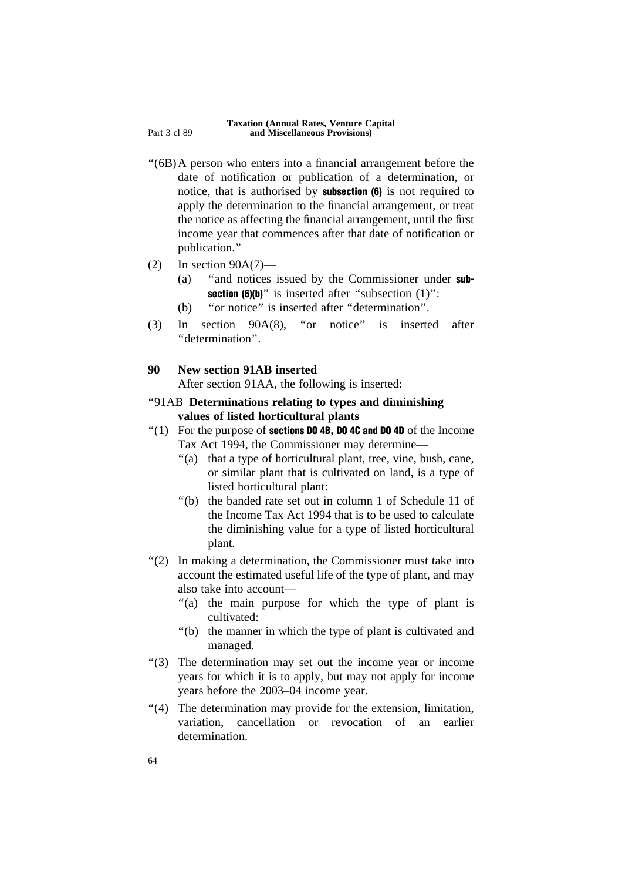- ''(6B)A person who enters into a financial arrangement before the date of notification or publication of a determination, or notice, that is authorised by subsection (6) is not required to apply the determination to the financial arrangement, or treat the notice as affecting the financial arrangement, until the first income year that commences after that date of notification or publication.''
- $(2)$  In section 90A $(7)$ 
	- (a) ''and notices issued by the Commissioner under sub**section (6)(b)**" is inserted after "subsection  $(1)$ ":
	- (b) ''or notice'' is inserted after ''determination''.
- (3) In section 90A(8), ''or notice'' is inserted after ''determination''.
- **90 New section 91AB inserted**

After section 91AA, the following is inserted:

- ''91AB **Determinations relating to types and diminishing values of listed horticultural plants**
- $''(1)$  For the purpose of **sections DO 4B, DO 4C and DO 4D** of the Income Tax Act 1994, the Commissioner may determine—
	- ''(a) that a type of horticultural plant, tree, vine, bush, cane, or similar plant that is cultivated on land, is a type of listed horticultural plant:
	- ''(b) the banded rate set out in column 1 of Schedule 11 of the Income Tax Act 1994 that is to be used to calculate the diminishing value for a type of listed horticultural plant.
- ''(2) In making a determination, the Commissioner must take into account the estimated useful life of the type of plant, and may also take into account—
	- "(a) the main purpose for which the type of plant is cultivated:
	- ''(b) the manner in which the type of plant is cultivated and managed.
- ''(3) The determination may set out the income year or income years for which it is to apply, but may not apply for income years before the 2003–04 income year.
- "(4) The determination may provide for the extension, limitation, variation, cancellation or revocation of an earlier determination.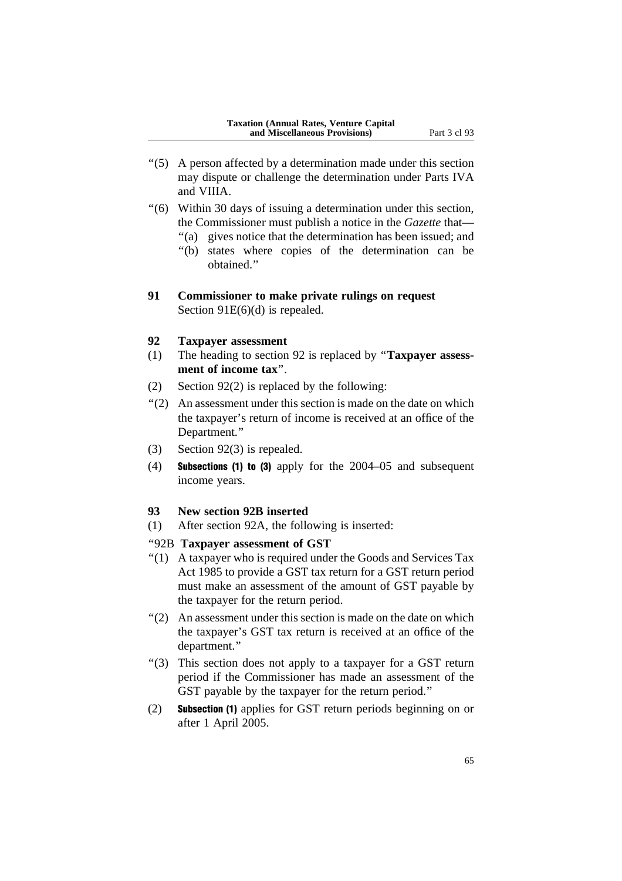- ''(5) A person affected by a determination made under this section may dispute or challenge the determination under Parts IVA and VIIIA.
- ''(6) Within 30 days of issuing a determination under this section, the Commissioner must publish a notice in the *Gazette* that—
	- "(a) gives notice that the determination has been issued; and
	- ''(b) states where copies of the determination can be obtained.''
- **91 Commissioner to make private rulings on request** Section 91E(6)(d) is repealed.

#### **92 Taxpayer assessment**

- (1) The heading to section 92 is replaced by ''**Taxpayer assessment of income tax**''.
- (2) Section 92(2) is replaced by the following:
- ''(2) An assessment under this section is made on the date on which the taxpayer's return of income is received at an office of the Department.''
- (3) Section 92(3) is repealed.
- (4) Subsections (1) to (3) apply for the 2004–05 and subsequent income years.

#### **93 New section 92B inserted**

(1) After section 92A, the following is inserted:

### ''92B **Taxpayer assessment of GST**

- ''(1) A taxpayer who is required under the Goods and Services Tax Act 1985 to provide a GST tax return for a GST return period must make an assessment of the amount of GST payable by the taxpayer for the return period.
- ''(2) An assessment under this section is made on the date on which the taxpayer's GST tax return is received at an office of the department.''
- ''(3) This section does not apply to a taxpayer for a GST return period if the Commissioner has made an assessment of the GST payable by the taxpayer for the return period.''
- (2) Subsection (1) applies for GST return periods beginning on or after 1 April 2005.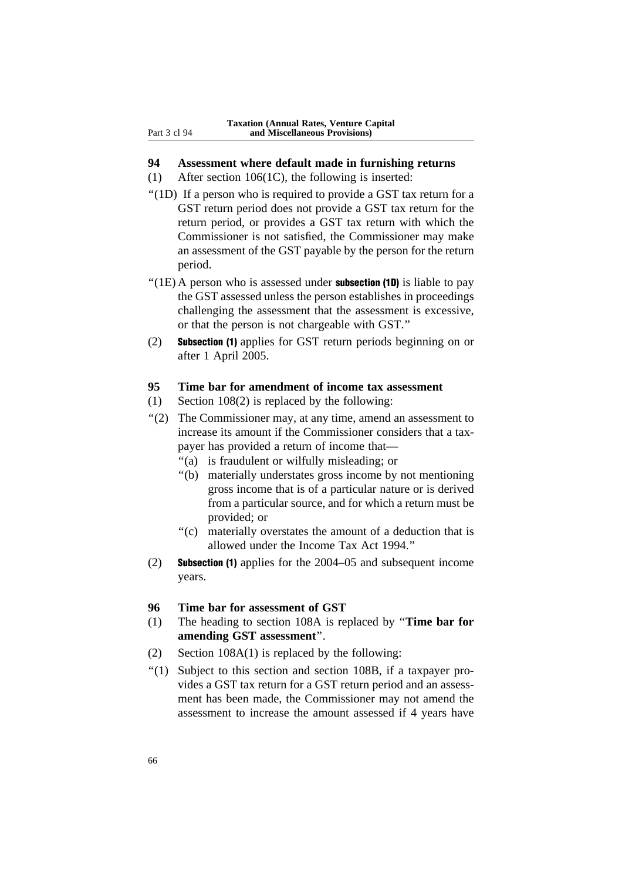#### **94 Assessment where default made in furnishing returns**

- (1) After section 106(1C), the following is inserted:
- "(1D) If a person who is required to provide a GST tax return for a GST return period does not provide a GST tax return for the return period, or provides a GST tax return with which the Commissioner is not satisfied, the Commissioner may make an assessment of the GST payable by the person for the return period.
- "(1E) A person who is assessed under **subsection (1D)** is liable to pay the GST assessed unless the person establishes in proceedings challenging the assessment that the assessment is excessive, or that the person is not chargeable with GST.''
- (2) Subsection (1) applies for GST return periods beginning on or after 1 April 2005.

## **95 Time bar for amendment of income tax assessment**

- (1) Section 108(2) is replaced by the following:
- ''(2) The Commissioner may, at any time, amend an assessment to increase its amount if the Commissioner considers that a taxpayer has provided a return of income that—
	- ''(a) is fraudulent or wilfully misleading; or
	- ''(b) materially understates gross income by not mentioning gross income that is of a particular nature or is derived from a particular source, and for which a return must be provided; or
	- ''(c) materially overstates the amount of a deduction that is allowed under the Income Tax Act 1994.''
- (2) Subsection (1) applies for the 2004–05 and subsequent income years.
- **96 Time bar for assessment of GST**
- (1) The heading to section 108A is replaced by ''**Time bar for amending GST assessment**''.
- (2) Section 108A(1) is replaced by the following:
- ''(1) Subject to this section and section 108B, if a taxpayer provides a GST tax return for a GST return period and an assessment has been made, the Commissioner may not amend the assessment to increase the amount assessed if 4 years have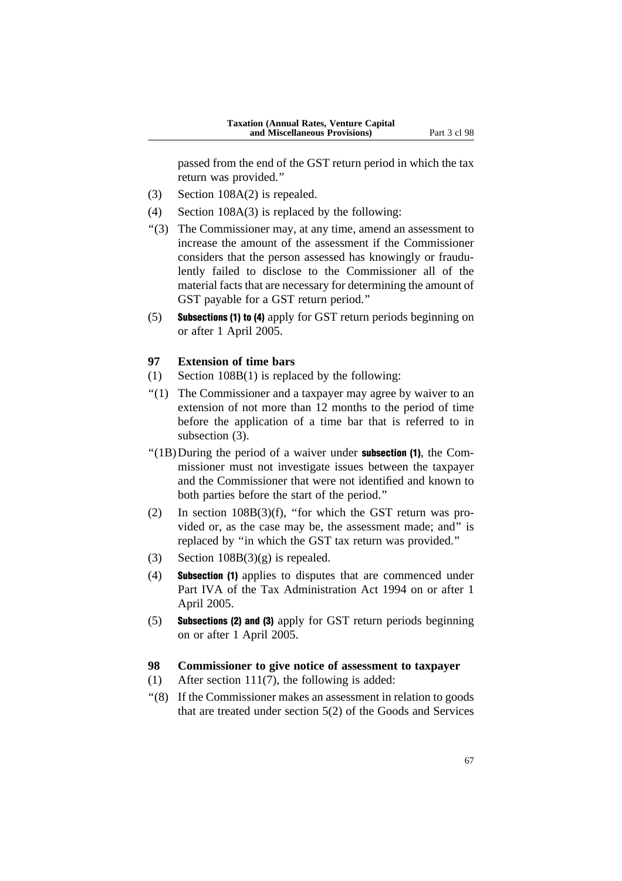passed from the end of the GST return period in which the tax return was provided.''

- (3) Section 108A(2) is repealed.
- (4) Section 108A(3) is replaced by the following:
- ''(3) The Commissioner may, at any time, amend an assessment to increase the amount of the assessment if the Commissioner considers that the person assessed has knowingly or fraudulently failed to disclose to the Commissioner all of the material facts that are necessary for determining the amount of GST payable for a GST return period.''
- (5) Subsections (1) to (4) apply for GST return periods beginning on or after 1 April 2005.

## **97 Extension of time bars**

- (1) Section 108B(1) is replaced by the following:
- "(1) The Commissioner and a taxpayer may agree by waiver to an extension of not more than 12 months to the period of time before the application of a time bar that is referred to in subsection (3).
- $''(1B)$ During the period of a waiver under **subsection (1)**, the Commissioner must not investigate issues between the taxpayer and the Commissioner that were not identified and known to both parties before the start of the period.''
- (2) In section 108B(3)(f), ''for which the GST return was provided or, as the case may be, the assessment made; and'' is replaced by ''in which the GST tax return was provided.''
- (3) Section  $108B(3)(g)$  is repealed.
- (4) Subsection (1) applies to disputes that are commenced under Part IVA of the Tax Administration Act 1994 on or after 1 April 2005.
- (5) Subsections (2) and (3) apply for GST return periods beginning on or after 1 April 2005.

### **98 Commissioner to give notice of assessment to taxpayer**

- (1) After section 111(7), the following is added:
- ''(8) If the Commissioner makes an assessment in relation to goods that are treated under section 5(2) of the Goods and Services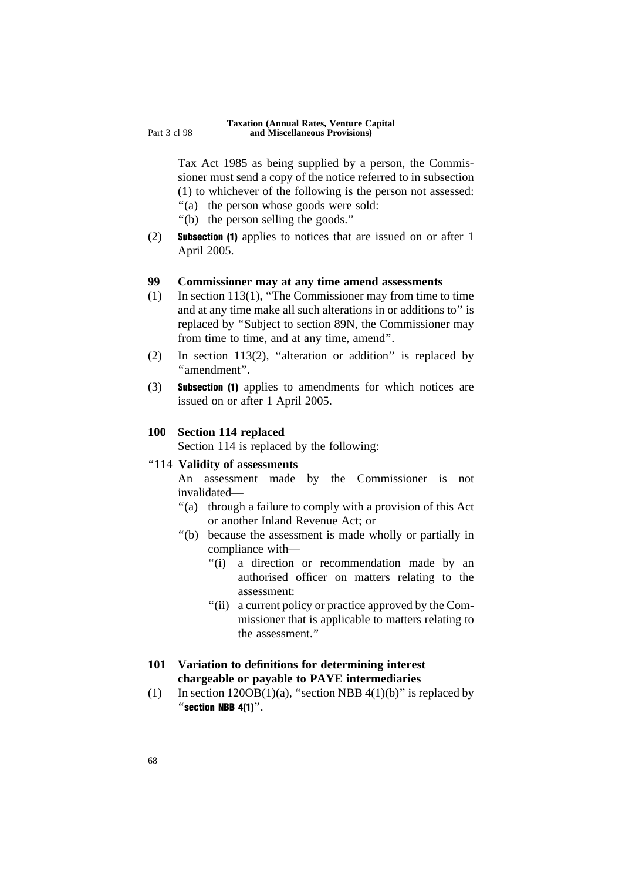Tax Act 1985 as being supplied by a person, the Commissioner must send a copy of the notice referred to in subsection (1) to whichever of the following is the person not assessed:

- ''(a) the person whose goods were sold:
- ''(b) the person selling the goods.''
- (2) Subsection (1) applies to notices that are issued on or after 1 April 2005.

## **99 Commissioner may at any time amend assessments**

- (1) In section 113(1), ''The Commissioner may from time to time and at any time make all such alterations in or additions to'' is replaced by ''Subject to section 89N, the Commissioner may from time to time, and at any time, amend''.
- (2) In section 113(2), "alteration or addition" is replaced by ''amendment''.
- (3) Subsection (1) applies to amendments for which notices are issued on or after 1 April 2005.

#### **100 Section 114 replaced**

Section 114 is replaced by the following:

#### ''114 **Validity of assessments**

An assessment made by the Commissioner is not invalidated—

- "(a) through a failure to comply with a provision of this Act or another Inland Revenue Act; or
- ''(b) because the assessment is made wholly or partially in compliance with—
	- ''(i) a direction or recommendation made by an authorised officer on matters relating to the assessment:
	- "(ii) a current policy or practice approved by the Commissioner that is applicable to matters relating to the assessment.''

## **101 Variation to definitions for determining interest chargeable or payable to PAYE intermediaries**

(1) In section  $120OB(1)(a)$ , "section NBB  $4(1)(b)$ " is replaced by ''section NBB 4(1)''.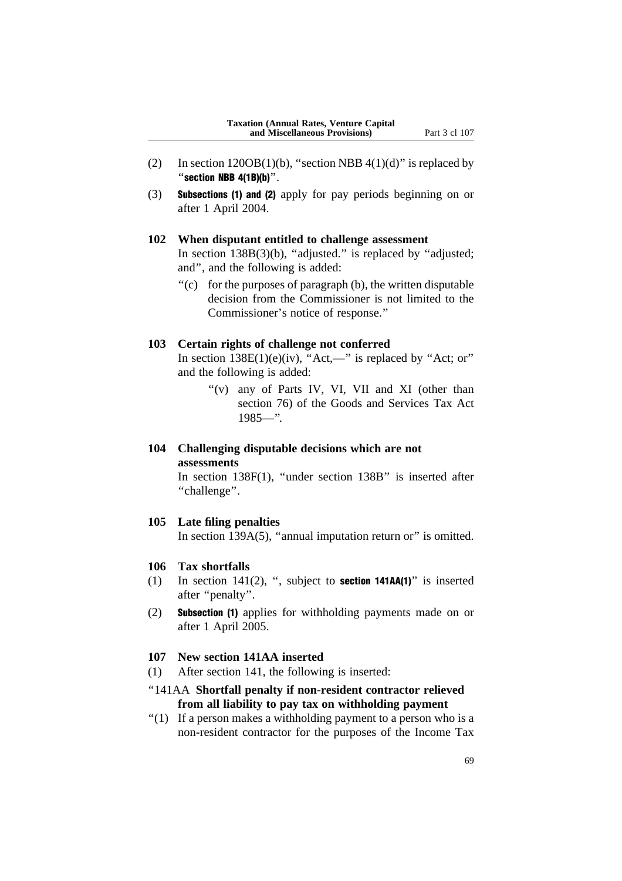- (2) In section  $120OB(1)(b)$ , "section NBB  $4(1)(d)$ " is replaced by "section NBB  $4(1B)(b)$ ".
- (3) Subsections (1) and (2) apply for pay periods beginning on or after 1 April 2004.

## **102 When disputant entitled to challenge assessment**

In section  $138B(3)(b)$ , "adjusted." is replaced by "adjusted; and'', and the following is added:

''(c) for the purposes of paragraph (b), the written disputable decision from the Commissioner is not limited to the Commissioner's notice of response.''

#### **103 Certain rights of challenge not conferred**

In section  $138E(1)(e)(iv)$ , "Act,—" is replaced by "Act; or" and the following is added:

> "(v) any of Parts IV, VI, VII and XI (other than section 76) of the Goods and Services Tax Act 1985—''.

## **104 Challenging disputable decisions which are not assessments**

In section 138F(1), ''under section 138B'' is inserted after ''challenge''.

#### **105 Late filing penalties**

In section  $139A(5)$ , "annual imputation return or" is omitted.

#### **106 Tax shortfalls**

- (1) In section  $141(2)$ , ", subject to **section**  $141AA(1)$ " is inserted after ''penalty''.
- (2) Subsection (1) applies for withholding payments made on or after 1 April 2005.

#### **107 New section 141AA inserted**

(1) After section 141, the following is inserted:

## ''141AA **Shortfall penalty if non-resident contractor relieved from all liability to pay tax on withholding payment**

" $(1)$  If a person makes a withholding payment to a person who is a non-resident contractor for the purposes of the Income Tax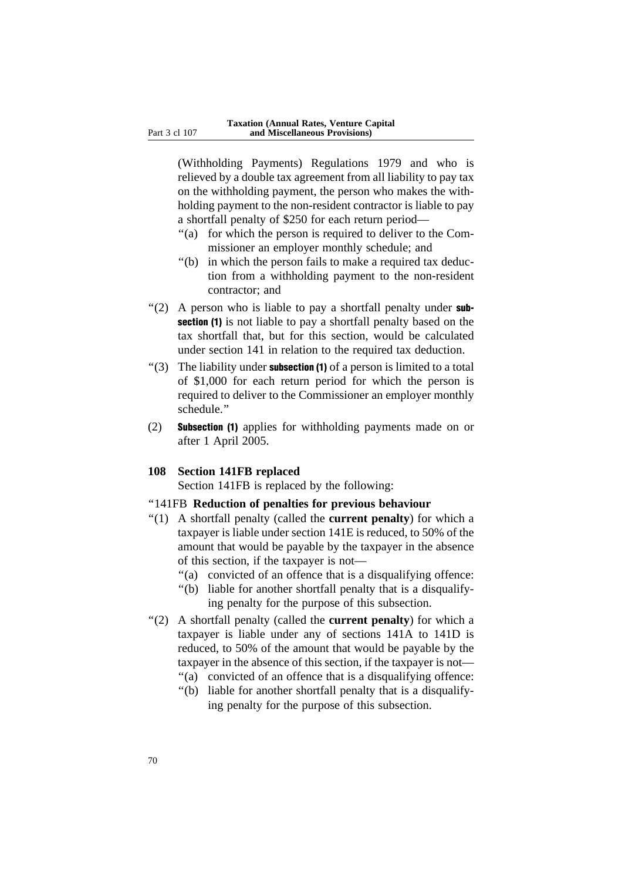(Withholding Payments) Regulations 1979 and who is relieved by a double tax agreement from all liability to pay tax on the withholding payment, the person who makes the withholding payment to the non-resident contractor is liable to pay a shortfall penalty of \$250 for each return period—

- "(a) for which the person is required to deliver to the Commissioner an employer monthly schedule; and
- ''(b) in which the person fails to make a required tax deduction from a withholding payment to the non-resident contractor; and
- $'(2)$  A person who is liable to pay a shortfall penalty under subsection (1) is not liable to pay a shortfall penalty based on the tax shortfall that, but for this section, would be calculated under section 141 in relation to the required tax deduction.
- "(3) The liability under **subsection (1)** of a person is limited to a total of \$1,000 for each return period for which the person is required to deliver to the Commissioner an employer monthly schedule.''
- (2) Subsection (1) applies for withholding payments made on or after 1 April 2005.

#### **108 Section 141FB replaced**

Section 141FB is replaced by the following:

#### ''141FB **Reduction of penalties for previous behaviour**

- ''(1) A shortfall penalty (called the **current penalty**) for which a taxpayer is liable under section 141E is reduced, to 50% of the amount that would be payable by the taxpayer in the absence of this section, if the taxpayer is not—
	- "(a) convicted of an offence that is a disqualifying offence:
	- ''(b) liable for another shortfall penalty that is a disqualifying penalty for the purpose of this subsection.
- ''(2) A shortfall penalty (called the **current penalty**) for which a taxpayer is liable under any of sections 141A to 141D is reduced, to 50% of the amount that would be payable by the taxpayer in the absence of this section, if the taxpayer is not— "(a) convicted of an offence that is a disqualifying offence:
	-
	- ''(b) liable for another shortfall penalty that is a disqualifying penalty for the purpose of this subsection.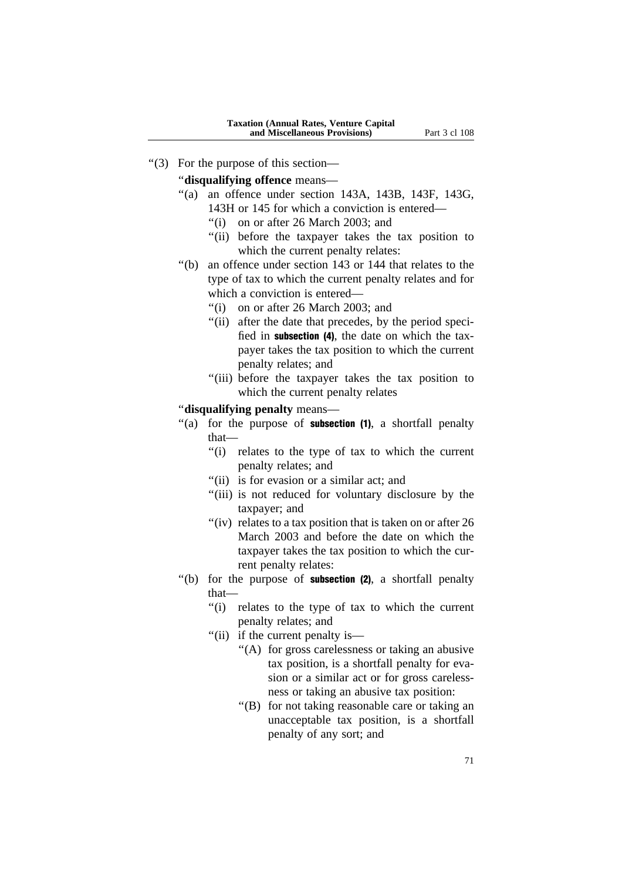''(3) For the purpose of this section—

''**disqualifying offence** means—

- ''(a) an offence under section 143A, 143B, 143F, 143G, 143H or 145 for which a conviction is entered—
	- ''(i) on or after 26 March 2003; and
	- ''(ii) before the taxpayer takes the tax position to which the current penalty relates:
- ''(b) an offence under section 143 or 144 that relates to the type of tax to which the current penalty relates and for which a conviction is entered–
	- ''(i) on or after 26 March 2003; and
	- "(ii) after the date that precedes, by the period specified in subsection (4), the date on which the taxpayer takes the tax position to which the current penalty relates; and
	- ''(iii) before the taxpayer takes the tax position to which the current penalty relates

## ''**disqualifying penalty** means—

- "(a) for the purpose of **subsection**  $(1)$ , a shortfall penalty that—
	- ''(i) relates to the type of tax to which the current penalty relates; and
	- "(ii) is for evasion or a similar act; and
	- "(iii) is not reduced for voluntary disclosure by the taxpayer; and
	- " $(iv)$  relates to a tax position that is taken on or after 26 March 2003 and before the date on which the taxpayer takes the tax position to which the current penalty relates:
- $'(b)$  for the purpose of **subsection (2)**, a shortfall penalty that—
	- ''(i) relates to the type of tax to which the current penalty relates; and
	- ''(ii) if the current penalty is—
		- ''(A) for gross carelessness or taking an abusive tax position, is a shortfall penalty for evasion or a similar act or for gross carelessness or taking an abusive tax position:
		- ''(B) for not taking reasonable care or taking an unacceptable tax position, is a shortfall penalty of any sort; and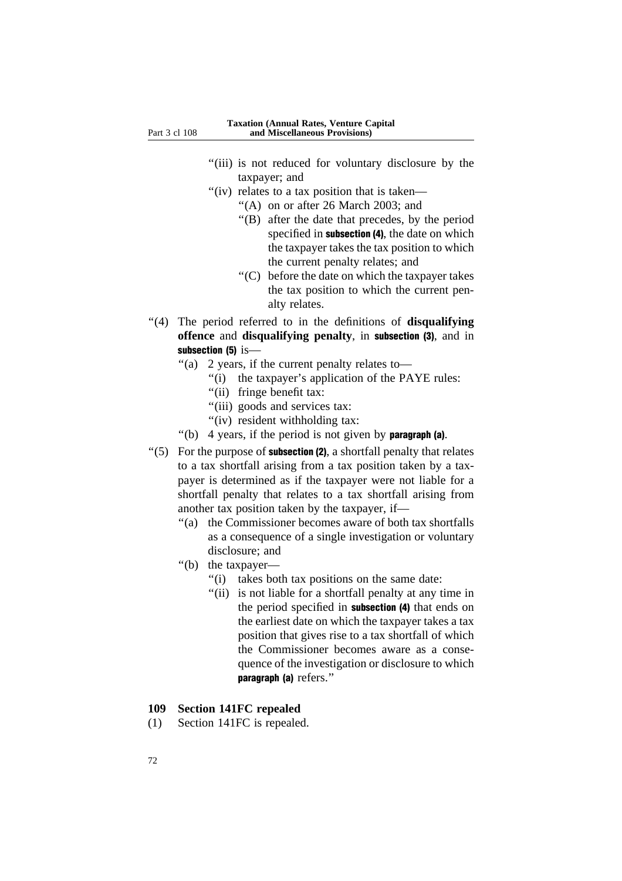- "(iii) is not reduced for voluntary disclosure by the taxpayer; and
- "(iv) relates to a tax position that is taken—
	- ''(A) on or after 26 March 2003; and
	- ''(B) after the date that precedes, by the period specified in subsection (4), the date on which the taxpayer takes the tax position to which the current penalty relates; and
	- ''(C) before the date on which the taxpayer takes the tax position to which the current penalty relates.
- ''(4) The period referred to in the definitions of **disqualifying offence** and **disqualifying penalty**, in subsection (3), and in subsection (5) is-
	- ''(a) 2 years, if the current penalty relates to—
		- "(i) the taxpayer's application of the PAYE rules:
		- "(ii) fringe benefit tax:
		- "(iii) goods and services tax:
		- "(iv) resident withholding tax:
	- "(b) 4 years, if the period is not given by **paragraph** (a).
- $'(5)$  For the purpose of **subsection (2)**, a shortfall penalty that relates to a tax shortfall arising from a tax position taken by a taxpayer is determined as if the taxpayer were not liable for a shortfall penalty that relates to a tax shortfall arising from another tax position taken by the taxpayer, if—
	- ''(a) the Commissioner becomes aware of both tax shortfalls as a consequence of a single investigation or voluntary disclosure; and
	- "(b) the taxpayer—
		- ''(i) takes both tax positions on the same date:
		- "(ii) is not liable for a shortfall penalty at any time in the period specified in subsection (4) that ends on the earliest date on which the taxpayer takes a tax position that gives rise to a tax shortfall of which the Commissioner becomes aware as a consequence of the investigation or disclosure to which paragraph (a) refers.''

#### **109 Section 141FC repealed**

(1) Section 141FC is repealed.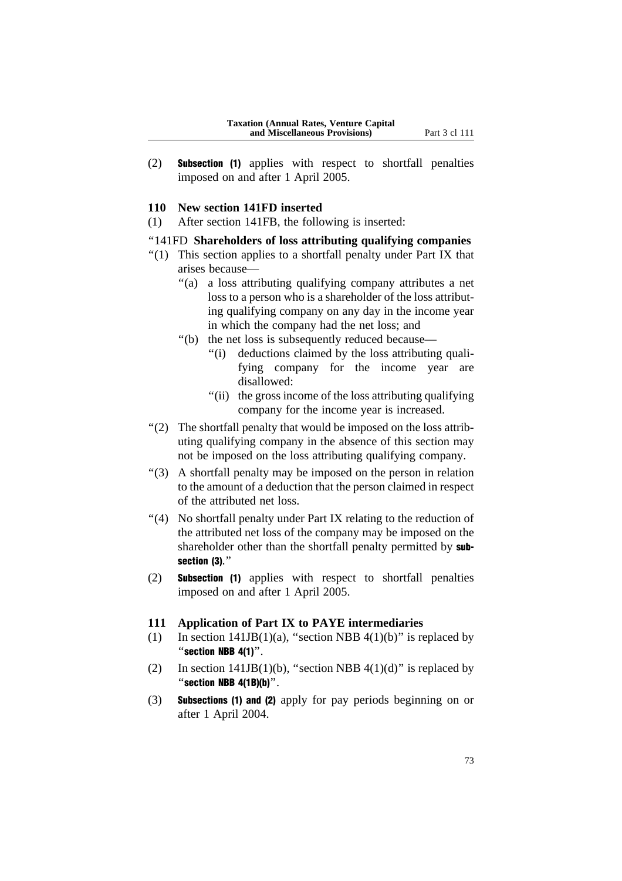(2) Subsection (1) applies with respect to shortfall penalties imposed on and after 1 April 2005.

#### **110 New section 141FD inserted**

(1) After section 141FB, the following is inserted:

## ''141FD **Shareholders of loss attributing qualifying companies**

- ''(1) This section applies to a shortfall penalty under Part IX that arises because—
	- ''(a) a loss attributing qualifying company attributes a net loss to a person who is a shareholder of the loss attributing qualifying company on any day in the income year in which the company had the net loss; and
	- ''(b) the net loss is subsequently reduced because—
		- "(i) deductions claimed by the loss attributing qualifying company for the income year are disallowed:
		- "(ii) the gross income of the loss attributing qualifying company for the income year is increased.
- "(2) The shortfall penalty that would be imposed on the loss attributing qualifying company in the absence of this section may not be imposed on the loss attributing qualifying company.
- ''(3) A shortfall penalty may be imposed on the person in relation to the amount of a deduction that the person claimed in respect of the attributed net loss.
- ''(4) No shortfall penalty under Part IX relating to the reduction of the attributed net loss of the company may be imposed on the shareholder other than the shortfall penalty permitted by subsection (3).''
- (2) Subsection (1) applies with respect to shortfall penalties imposed on and after 1 April 2005.

#### **111 Application of Part IX to PAYE intermediaries**

- (1) In section  $141JB(1)(a)$ , "section NBB  $4(1)(b)$ " is replaced by "section  $NBB$  4(1)".
- (2) In section  $141JB(1)(b)$ , "section NBB  $4(1)(d)$ " is replaced by "section  $NBB$  4(1B)(b)".
- (3) Subsections (1) and (2) apply for pay periods beginning on or after 1 April 2004.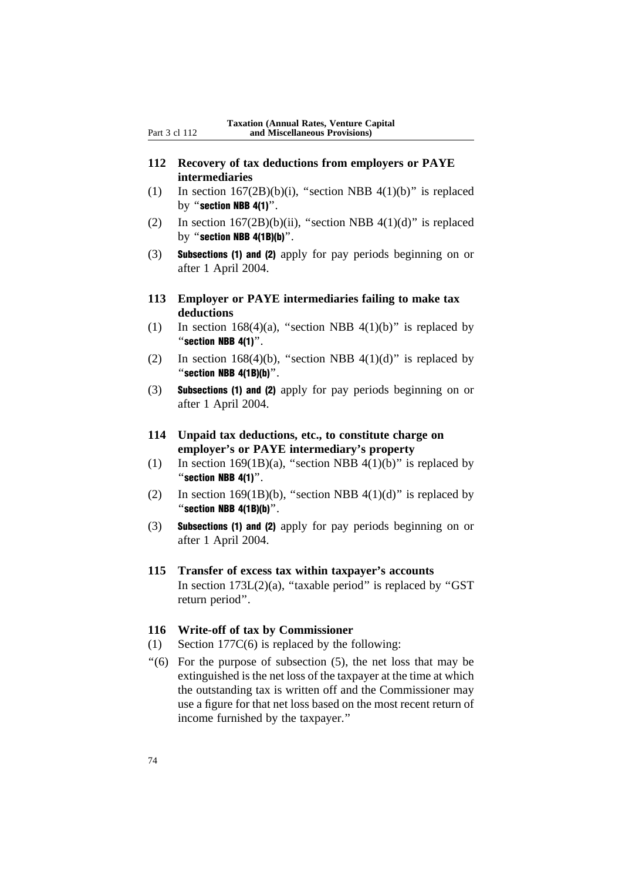- **112 Recovery of tax deductions from employers or PAYE intermediaries**
- (1) In section  $167(2B)(b)(i)$ , "section NBB  $4(1)(b)$ " is replaced by "section NBB 4(1)".
- (2) In section  $167(2B)(b)(ii)$ , "section NBB  $4(1)(d)$ " is replaced by "section NBB  $4(1B)(b)$ ".
- (3) Subsections (1) and (2) apply for pay periods beginning on or after 1 April 2004.
- **113 Employer or PAYE intermediaries failing to make tax deductions**
- (1) In section  $168(4)(a)$ , "section NBB  $4(1)(b)$ " is replaced by ''section NBB 4(1)''.
- (2) In section 168(4)(b), "section NBB 4(1)(d)" is replaced by "section  $NBB$  4(1B)(b)".
- (3) Subsections (1) and (2) apply for pay periods beginning on or after 1 April 2004.
- **114 Unpaid tax deductions, etc., to constitute charge on employer's or PAYE intermediary's property**
- (1) In section 169(1B)(a), "section NBB 4(1)(b)" is replaced by "section  $NBB$  4(1)".
- (2) In section 169(1B)(b), "section NBB 4(1)(d)" is replaced by "section NBB  $4(1B)(b)$ ".
- (3) Subsections (1) and (2) apply for pay periods beginning on or after 1 April 2004.
- **115 Transfer of excess tax within taxpayer's accounts** In section  $173L(2)(a)$ , "taxable period" is replaced by "GST return period''.

#### **116 Write-off of tax by Commissioner**

- (1) Section 177C(6) is replaced by the following:
- $(6)$  For the purpose of subsection  $(5)$ , the net loss that may be extinguished is the net loss of the taxpayer at the time at which the outstanding tax is written off and the Commissioner may use a figure for that net loss based on the most recent return of income furnished by the taxpayer.''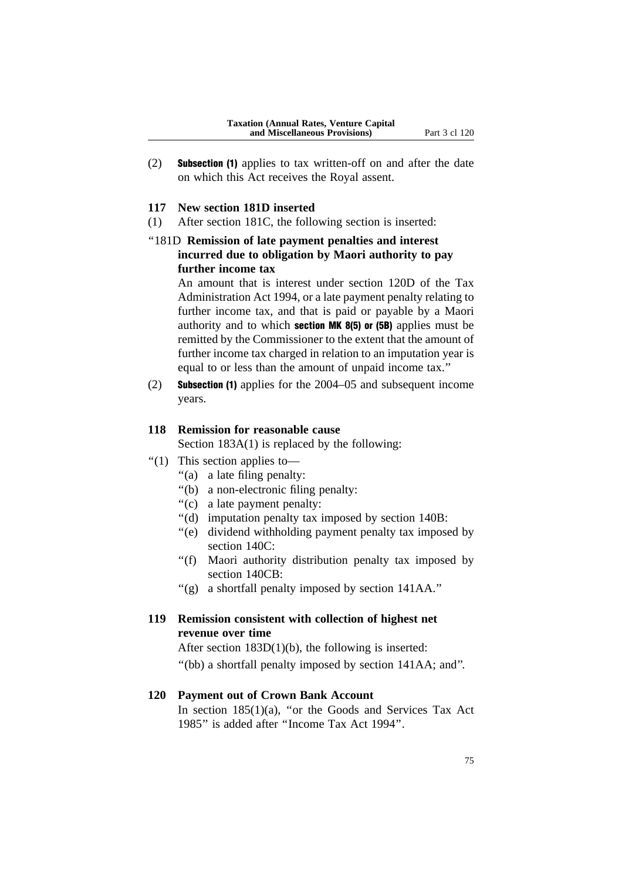(2) Subsection (1) applies to tax written-off on and after the date on which this Act receives the Royal assent.

#### **117 New section 181D inserted**

- (1) After section 181C, the following section is inserted:
- ''181D **Remission of late payment penalties and interest incurred due to obligation by Maori authority to pay further income tax**

An amount that is interest under section 120D of the Tax Administration Act 1994, or a late payment penalty relating to further income tax, and that is paid or payable by a Maori authority and to which section  $MK 8(5)$  or  $(5B)$  applies must be remitted by the Commissioner to the extent that the amount of further income tax charged in relation to an imputation year is equal to or less than the amount of unpaid income tax.''

(2) Subsection (1) applies for the 2004–05 and subsequent income years.

## **118 Remission for reasonable cause**

Section  $183A(1)$  is replaced by the following:

- ''(1) This section applies to—
	- ''(a) a late filing penalty:
	- ''(b) a non-electronic filing penalty:
	- ''(c) a late payment penalty:
	- ''(d) imputation penalty tax imposed by section 140B:
	- ''(e) dividend withholding payment penalty tax imposed by section 140C:
	- ''(f) Maori authority distribution penalty tax imposed by section 140CB:
	- ''(g) a shortfall penalty imposed by section 141AA.''

## **119 Remission consistent with collection of highest net revenue over time**

After section 183D(1)(b), the following is inserted:

''(bb) a shortfall penalty imposed by section 141AA; and''.

#### **120 Payment out of Crown Bank Account**

In section  $185(1)(a)$ , "or the Goods and Services Tax Act 1985'' is added after ''Income Tax Act 1994''.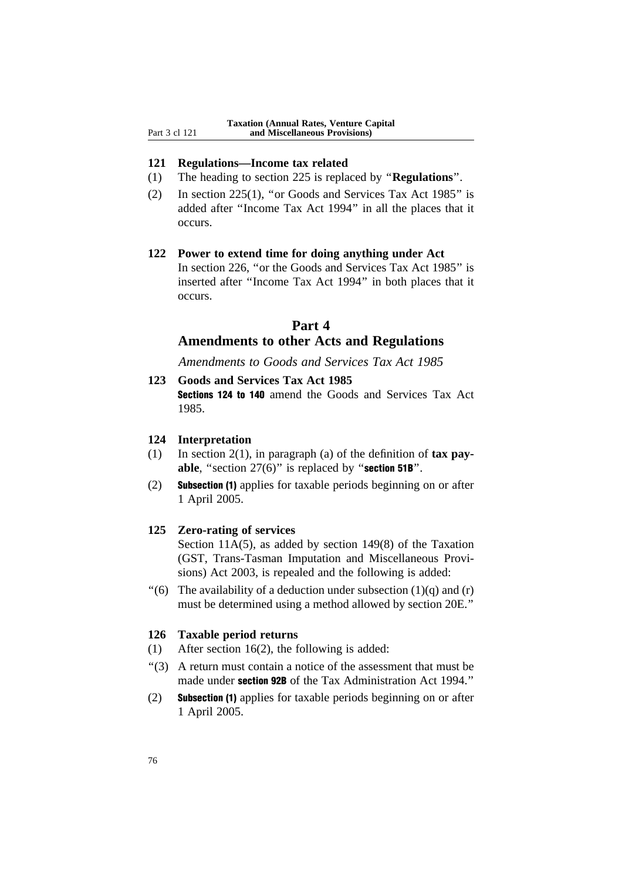#### **121 Regulations—Income tax related**

- (1) The heading to section 225 is replaced by ''**Regulations**''.
- (2) In section 225(1), ''or Goods and Services Tax Act 1985'' is added after ''Income Tax Act 1994'' in all the places that it occurs.

### **122 Power to extend time for doing anything under Act**

In section 226, ''or the Goods and Services Tax Act 1985'' is inserted after ''Income Tax Act 1994'' in both places that it occurs.

## **Part 4**

## **Amendments to other Acts and Regulations**

*Amendments to Goods and Services Tax Act 1985*

**123 Goods and Services Tax Act 1985** Sections 124 to 140 amend the Goods and Services Tax Act 1985.

## **124 Interpretation**

- (1) In section 2(1), in paragraph (a) of the definition of **tax pay**able, "section 27(6)" is replaced by "section 51B".
- (2) Subsection (1) applies for taxable periods beginning on or after 1 April 2005.

#### **125 Zero-rating of services**

Section 11A(5), as added by section 149(8) of the Taxation (GST, Trans-Tasman Imputation and Miscellaneous Provisions) Act 2003, is repealed and the following is added:

"(6) The availability of a deduction under subsection  $(1)(q)$  and  $(r)$ must be determined using a method allowed by section 20E.''

## **126 Taxable period returns**

- (1) After section 16(2), the following is added:
- ''(3) A return must contain a notice of the assessment that must be made under section 92B of the Tax Administration Act 1994.''
- (2) Subsection (1) applies for taxable periods beginning on or after 1 April 2005.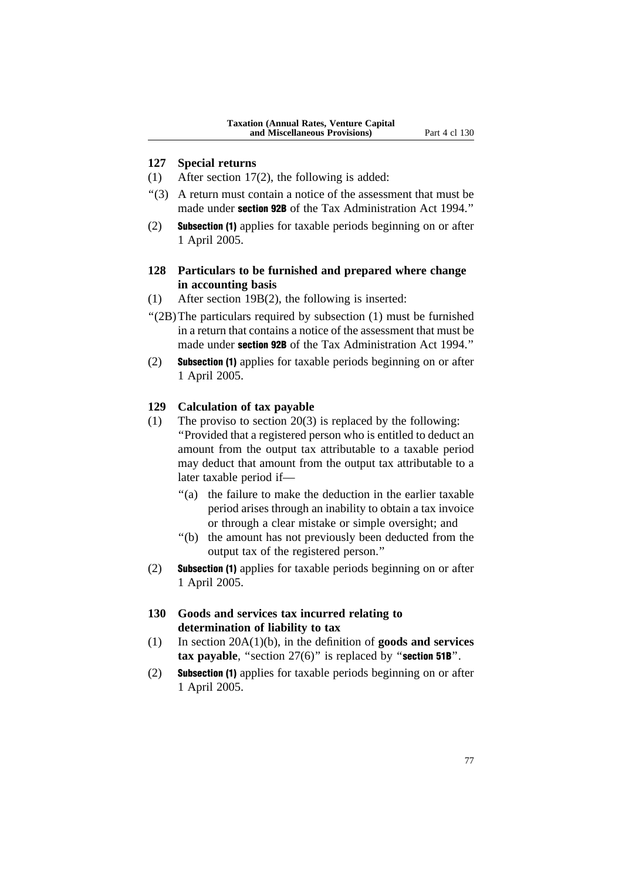#### **127 Special returns**

- (1) After section 17(2), the following is added:
- ''(3) A return must contain a notice of the assessment that must be made under **section 92B** of the Tax Administration Act 1994."
- (2) Subsection (1) applies for taxable periods beginning on or after 1 April 2005.

## **128 Particulars to be furnished and prepared where change in accounting basis**

- (1) After section 19B(2), the following is inserted:
- ''(2B)The particulars required by subsection (1) must be furnished in a return that contains a notice of the assessment that must be made under **section 92B** of the Tax Administration Act 1994."
- (2) Subsection (1) applies for taxable periods beginning on or after 1 April 2005.

#### **129 Calculation of tax payable**

- (1) The proviso to section 20(3) is replaced by the following: ''Provided that a registered person who is entitled to deduct an amount from the output tax attributable to a taxable period may deduct that amount from the output tax attributable to a later taxable period if—
	- "(a) the failure to make the deduction in the earlier taxable period arises through an inability to obtain a tax invoice or through a clear mistake or simple oversight; and
	- ''(b) the amount has not previously been deducted from the output tax of the registered person.''
- (2) Subsection (1) applies for taxable periods beginning on or after 1 April 2005.
- **130 Goods and services tax incurred relating to determination of liability to tax**
- (1) In section 20A(1)(b), in the definition of **goods and services tax payable**, "section 27(6)" is replaced by "**section 51B**".
- (2) Subsection (1) applies for taxable periods beginning on or after 1 April 2005.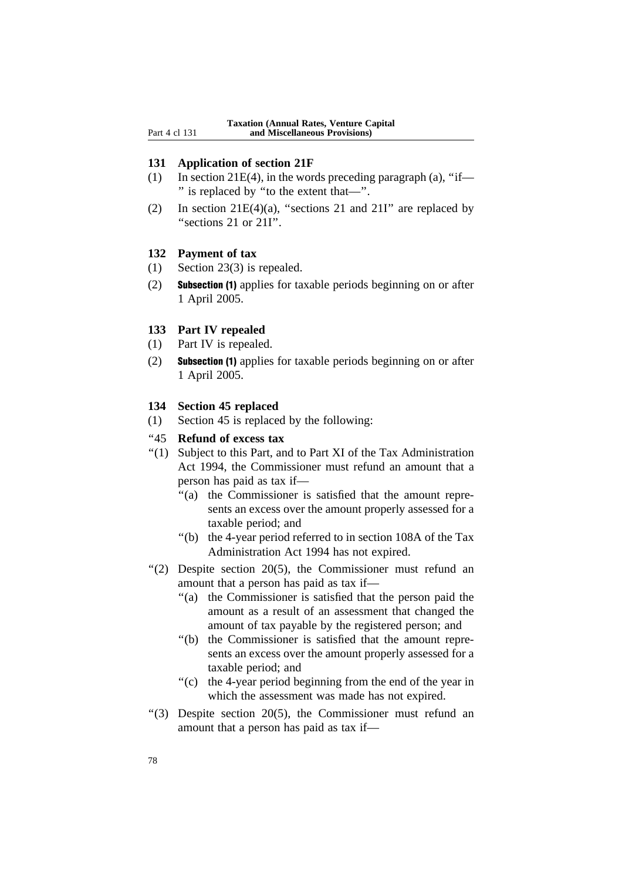#### **131 Application of section 21F**

- (1) In section 21E(4), in the words preceding paragraph (a), "if— '' is replaced by ''to the extent that—''.
- (2) In section  $21E(4)(a)$ , "sections 21 and  $21I$ " are replaced by "sections 21 or 21I".

## **132 Payment of tax**

- (1) Section 23(3) is repealed.
- (2) Subsection (1) applies for taxable periods beginning on or after 1 April 2005.

#### **133 Part IV repealed**

- (1) Part IV is repealed.
- (2) Subsection (1) applies for taxable periods beginning on or after 1 April 2005.

#### **134 Section 45 replaced**

(1) Section 45 is replaced by the following:

#### ''45 **Refund of excess tax**

- ''(1) Subject to this Part, and to Part XI of the Tax Administration Act 1994, the Commissioner must refund an amount that a person has paid as tax if—
	- "(a) the Commissioner is satisfied that the amount represents an excess over the amount properly assessed for a taxable period; and
	- ''(b) the 4-year period referred to in section 108A of the Tax Administration Act 1994 has not expired.
- ''(2) Despite section 20(5), the Commissioner must refund an amount that a person has paid as tax if—
	- ''(a) the Commissioner is satisfied that the person paid the amount as a result of an assessment that changed the amount of tax payable by the registered person; and
	- ''(b) the Commissioner is satisfied that the amount represents an excess over the amount properly assessed for a taxable period; and
	- ''(c) the 4-year period beginning from the end of the year in which the assessment was made has not expired.
- ''(3) Despite section 20(5), the Commissioner must refund an amount that a person has paid as tax if—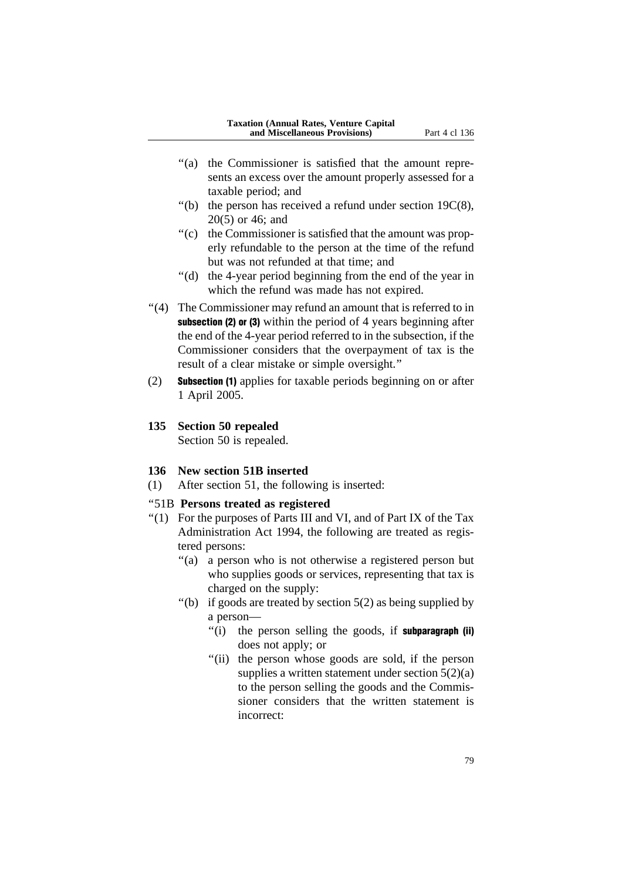- "(a) the Commissioner is satisfied that the amount represents an excess over the amount properly assessed for a taxable period; and
- "(b) the person has received a refund under section  $19C(8)$ , 20(5) or 46; and
- "(c) the Commissioner is satisfied that the amount was properly refundable to the person at the time of the refund but was not refunded at that time; and
- ''(d) the 4-year period beginning from the end of the year in which the refund was made has not expired.
- ''(4) The Commissioner may refund an amount that is referred to in subsection (2) or (3) within the period of 4 years beginning after the end of the 4-year period referred to in the subsection, if the Commissioner considers that the overpayment of tax is the result of a clear mistake or simple oversight.''
- (2) Subsection (1) applies for taxable periods beginning on or after 1 April 2005.
- **135 Section 50 repealed**

Section 50 is repealed.

## **136 New section 51B inserted**

(1) After section 51, the following is inserted:

## ''51B **Persons treated as registered**

- ''(1) For the purposes of Parts III and VI, and of Part IX of the Tax Administration Act 1994, the following are treated as registered persons:
	- "(a) a person who is not otherwise a registered person but who supplies goods or services, representing that tax is charged on the supply:
	- "(b) if goods are treated by section  $5(2)$  as being supplied by a person—
		- "(i) the person selling the goods, if **subparagraph** (ii) does not apply; or
		- "(ii) the person whose goods are sold, if the person supplies a written statement under section  $5(2)(a)$ to the person selling the goods and the Commissioner considers that the written statement is incorrect: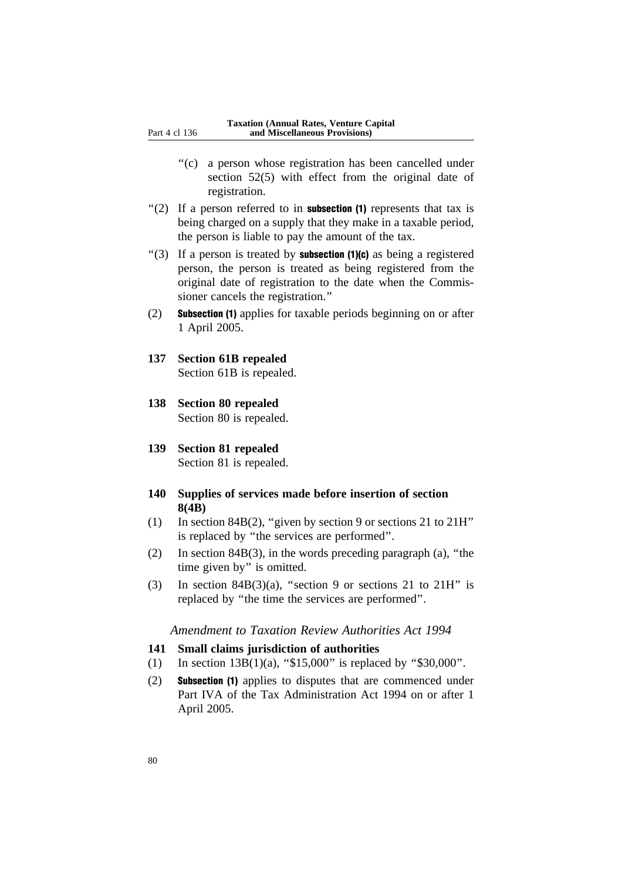- ''(c) a person whose registration has been cancelled under section 52(5) with effect from the original date of registration.
- $\degree$ (2) If a person referred to in **subsection (1)** represents that tax is being charged on a supply that they make in a taxable period, the person is liable to pay the amount of the tax.
- "(3) If a person is treated by **subsection (1)(c)** as being a registered person, the person is treated as being registered from the original date of registration to the date when the Commissioner cancels the registration.''
- (2) Subsection (1) applies for taxable periods beginning on or after 1 April 2005.
- **137 Section 61B repealed** Section 61B is repealed.
- **138 Section 80 repealed** Section 80 is repealed.
- **139 Section 81 repealed** Section 81 is repealed.
- **140 Supplies of services made before insertion of section 8(4B)**
- (1) In section 84B(2), "given by section 9 or sections 21 to  $21H$ " is replaced by ''the services are performed''.
- (2) In section 84B(3), in the words preceding paragraph (a), ''the time given by'' is omitted.
- (3) In section 84B(3)(a), "section 9 or sections 21 to 21H" is replaced by ''the time the services are performed''.

#### *Amendment to Taxation Review Authorities Act 1994*

#### **141 Small claims jurisdiction of authorities**

- (1) In section  $13B(1)(a)$ , "\$15,000" is replaced by "\$30,000".
- (2) Subsection (1) applies to disputes that are commenced under Part IVA of the Tax Administration Act 1994 on or after 1 April 2005.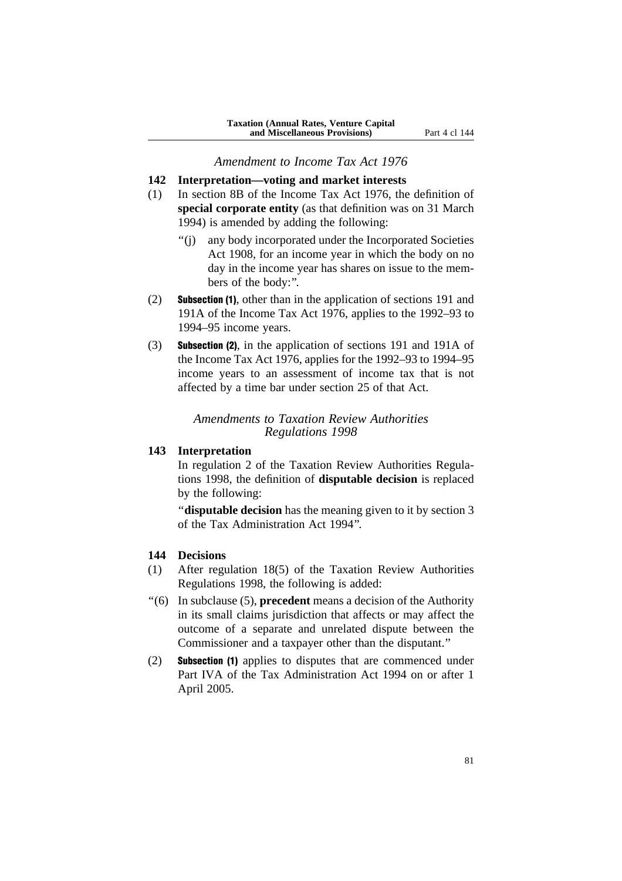#### *Amendment to Income Tax Act 1976*

### **142 Interpretation—voting and market interests**

- (1) In section 8B of the Income Tax Act 1976, the definition of **special corporate entity** (as that definition was on 31 March 1994) is amended by adding the following:
	- ''(j) any body incorporated under the Incorporated Societies Act 1908, for an income year in which the body on no day in the income year has shares on issue to the members of the body:''.
- (2) Subsection (1), other than in the application of sections 191 and 191A of the Income Tax Act 1976, applies to the 1992–93 to 1994–95 income years.
- (3) Subsection (2), in the application of sections 191 and 191A of the Income Tax Act 1976, applies for the 1992–93 to 1994–95 income years to an assessment of income tax that is not affected by a time bar under section 25 of that Act.

### *Amendments to Taxation Review Authorities Regulations 1998*

## **143 Interpretation**

In regulation 2 of the Taxation Review Authorities Regulations 1998, the definition of **disputable decision** is replaced by the following:

''**disputable decision** has the meaning given to it by section 3 of the Tax Administration Act 1994''.

### **144 Decisions**

- (1) After regulation 18(5) of the Taxation Review Authorities Regulations 1998, the following is added:
- ''(6) In subclause (5), **precedent** means a decision of the Authority in its small claims jurisdiction that affects or may affect the outcome of a separate and unrelated dispute between the Commissioner and a taxpayer other than the disputant.''
- (2) Subsection (1) applies to disputes that are commenced under Part IVA of the Tax Administration Act 1994 on or after 1 April 2005.